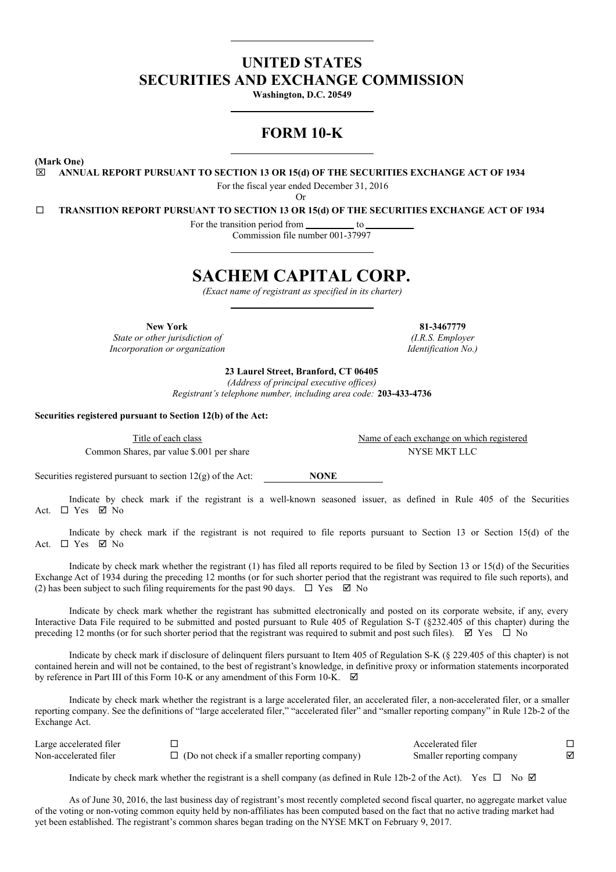## **UNITED STATES SECURITIES AND EXCHANGE COMMISSION**

**Washington, D.C. 20549**

# **FORM 10-K**

**(Mark One)**

x **ANNUAL REPORT PURSUANT TO SECTION 13 OR 15(d) OF THE SECURITIES EXCHANGE ACT OF 1934**

For the fiscal year ended December 31, 2016

Or

¨ **TRANSITION REPORT PURSUANT TO SECTION 13 OR 15(d) OF THE SECURITIES EXCHANGE ACT OF 1934**

For the transition period from to

Commission file number 001-37997

# **SACHEM CAPITAL CORP.**

*(Exact name of registrant as specified in its charter)*

*State or other jurisdiction of (I.R.S. Employer Incorporation or organization Identification No.)*

**New York 81-3467779**

**23 Laurel Street, Branford, CT 06405**

*(Address of principal executive of ices) Registrant's telephone number, including area code:* **203-433-4736**

**Securities registered pursuant to Section 12(b) of the Act:**

Common Shares, par value \$.001 per share NYSE MKT LLC

Securities registered pursuant to section 12(g) of the Act: **NONE** 

Indicate by check mark if the registrant is a well-known seasoned issuer, as defined in Rule 405 of the Securities Act. □ Yes Ø No

Indicate by check mark if the registrant is not required to file reports pursuant to Section 13 or Section 15(d) of the Act.  $\square$  Yes  $\square$  No

Indicate by check mark whether the registrant (1) has filed all reports required to be filed by Section 13 or 15(d) of the Securities Exchange Act of 1934 during the preceding 12 months (or for such shorter period that the registrant was required to file such reports), and (2) has been subject to such filing requirements for the past 90 days.  $\Box$  Yes  $\Box$  No

Indicate by check mark whether the registrant has submitted electronically and posted on its corporate website, if any, every Interactive Data File required to be submitted and posted pursuant to Rule 405 of Regulation S-T (§232.405 of this chapter) during the preceding 12 months (or for such shorter period that the registrant was required to submit and post such files).  $\boxtimes$  Yes  $\Box$  No

Indicate by check mark if disclosure of delinquent filers pursuant to Item 405 of Regulation S-K (§ 229.405 of this chapter) is not contained herein and will not be contained, to the best of registrant's knowledge, in definitive proxy or information statements incorporated by reference in Part III of this Form 10-K or any amendment of this Form 10-K.  $\boxtimes$ 

Indicate by check mark whether the registrant is a large accelerated filer, an accelerated filer, a non-accelerated filer, or a smaller reporting company. See the definitions of "large accelerated filer," "accelerated filer" and "smaller reporting company" in Rule 12b-2 of the Exchange Act.

| Large accelerated filer |                                                      | Accelerated filer         |  |
|-------------------------|------------------------------------------------------|---------------------------|--|
| Non-accelerated filer   | $\Box$ (Do not check if a smaller reporting company) | Smaller reporting company |  |

Indicate by check mark whether the registrant is a shell company (as defined in Rule 12b-2 of the Act). Yes  $\Box$  No  $\Box$ 

As of June 30, 2016, the last business day of registrant's most recently completed second fiscal quarter, no aggregate market value of the voting or non-voting common equity held by non-affiliates has been computed based on the fact that no active trading market had yet been established. The registrant's common shares began trading on the NYSE MKT on February 9, 2017.

Title of each class Name of each exchange on which registered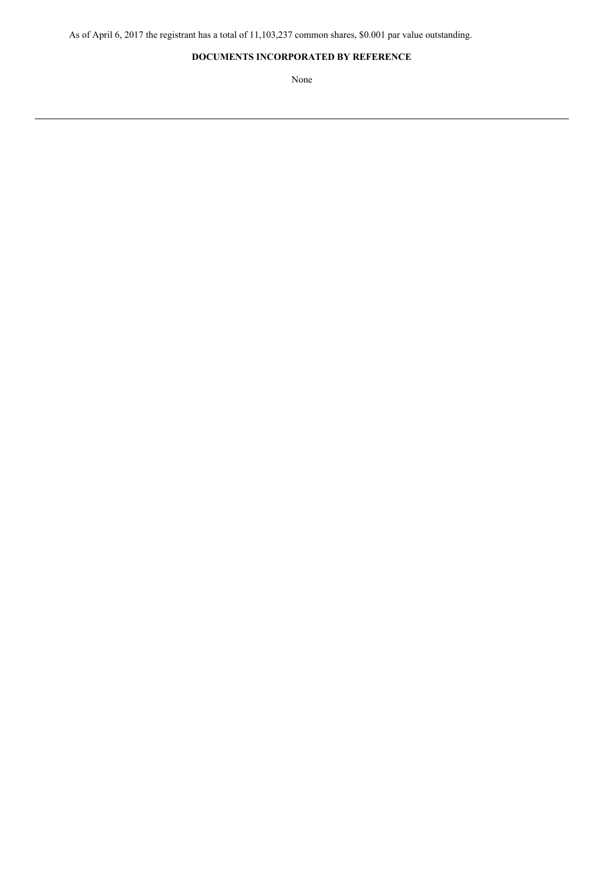## **DOCUMENTS INCORPORATED BY REFERENCE**

None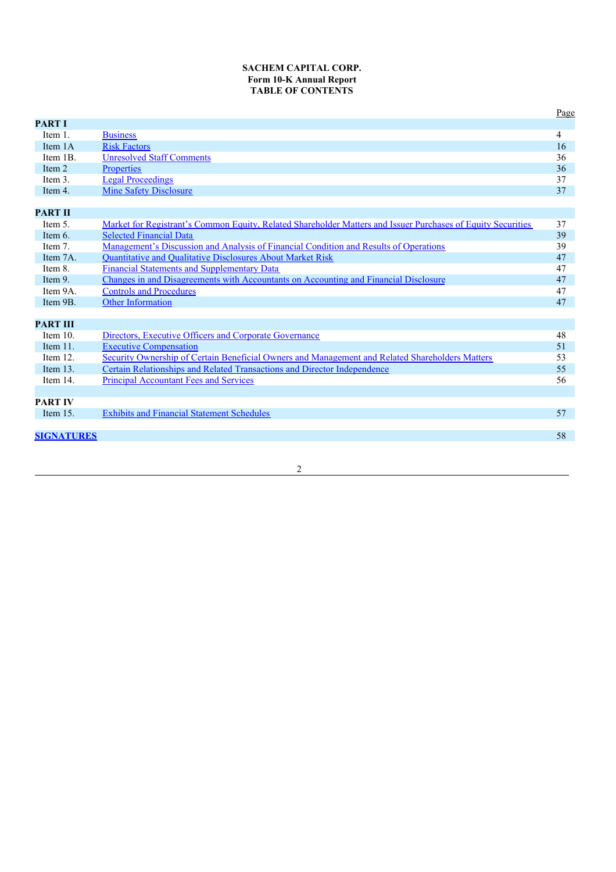## **SACHEM CAPITAL CORP. Form 10-K Annual Report TABLE OF CONTENTS**

|                   |                                                                                                              | Page |
|-------------------|--------------------------------------------------------------------------------------------------------------|------|
| <b>PART I</b>     |                                                                                                              |      |
| Item 1.           | <b>Business</b>                                                                                              | 4    |
| Item 1A           | <b>Risk Factors</b>                                                                                          | 16   |
| Item 1B.          | <b>Unresolved Staff Comments</b>                                                                             | 36   |
| Item 2            | Properties                                                                                                   | 36   |
| Item 3.           | <b>Legal Proceedings</b>                                                                                     | 37   |
| Item 4.           | <b>Mine Safety Disclosure</b>                                                                                | 37   |
|                   |                                                                                                              |      |
| <b>PART II</b>    |                                                                                                              |      |
| Item 5.           | Market for Registrant's Common Equity, Related Shareholder Matters and Issuer Purchases of Equity Securities | 37   |
| Item 6.           | <b>Selected Financial Data</b>                                                                               | 39   |
| Item 7.           | Management's Discussion and Analysis of Financial Condition and Results of Operations                        | 39   |
| Item 7A.          | <b>Quantitative and Qualitative Disclosures About Market Risk</b>                                            | 47   |
| Item 8.           | <b>Financial Statements and Supplementary Data</b>                                                           | 47   |
| Item 9.           | Changes in and Disagreements with Accountants on Accounting and Financial Disclosure                         | 47   |
| Item 9A.          | <b>Controls and Procedures</b>                                                                               | 47   |
| Item 9B.          | <b>Other Information</b>                                                                                     | 47   |
|                   |                                                                                                              |      |
| <b>PART III</b>   |                                                                                                              |      |
| Item 10.          | Directors, Executive Officers and Corporate Governance                                                       | 48   |
| Item 11.          | <b>Executive Compensation</b>                                                                                | 51   |
| Item $12$ .       | Security Ownership of Certain Beneficial Owners and Management and Related Shareholders Matters              | 53   |
| Item $13$ .       | Certain Relationships and Related Transactions and Director Independence                                     | 55   |
| Item 14.          | <b>Principal Accountant Fees and Services</b>                                                                | 56   |
|                   |                                                                                                              |      |
| <b>PART IV</b>    |                                                                                                              |      |
| Item $15$ .       | <b>Exhibits and Financial Statement Schedules</b>                                                            | 57   |
|                   |                                                                                                              |      |
| <b>SIGNATURES</b> |                                                                                                              | 58   |
|                   |                                                                                                              |      |

2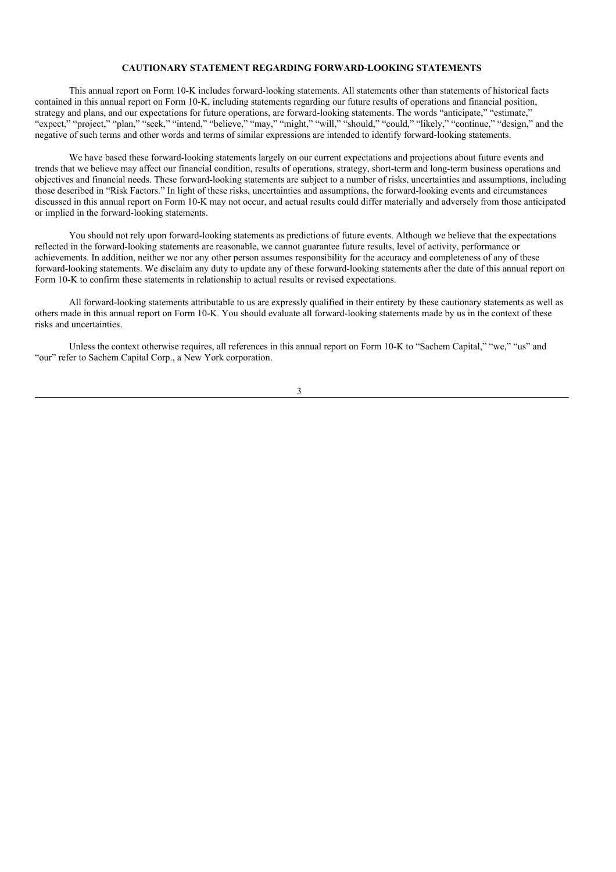## **CAUTIONARY STATEMENT REGARDING FORWARD-LOOKING STATEMENTS**

This annual report on Form 10-K includes forward-looking statements. All statements other than statements of historical facts contained in this annual report on Form 10-K, including statements regarding our future results of operations and financial position, strategy and plans, and our expectations for future operations, are forward-looking statements. The words "anticipate," "estimate," "expect," "project," "plan," "seek," "intend," "believe," "may," "might," "will," "should," "could," "likely," "continue," "design," and the negative of such terms and other words and terms of similar expressions are intended to identify forward-looking statements.

We have based these forward-looking statements largely on our current expectations and projections about future events and trends that we believe may affect our financial condition, results of operations, strategy, short-term and long-term business operations and objectives and financial needs. These forward-looking statements are subject to a number of risks, uncertainties and assumptions, including those described in "Risk Factors." In light of these risks, uncertainties and assumptions, the forward-looking events and circumstances discussed in this annual report on Form 10-K may not occur, and actual results could differ materially and adversely from those anticipated or implied in the forward-looking statements.

You should not rely upon forward-looking statements as predictions of future events. Although we believe that the expectations reflected in the forward-looking statements are reasonable, we cannot guarantee future results, level of activity, performance or achievements. In addition, neither we nor any other person assumes responsibility for the accuracy and completeness of any of these forward-looking statements. We disclaim any duty to update any of these forward-looking statements after the date of this annual report on Form 10-K to confirm these statements in relationship to actual results or revised expectations.

All forward-looking statements attributable to us are expressly qualified in their entirety by these cautionary statements as well as others made in this annual report on Form 10-K. You should evaluate all forward-looking statements made by us in the context of these risks and uncertainties.

Unless the context otherwise requires, all references in this annual report on Form 10-K to "Sachem Capital," "we," "us" and "our" refer to Sachem Capital Corp., a New York corporation.

3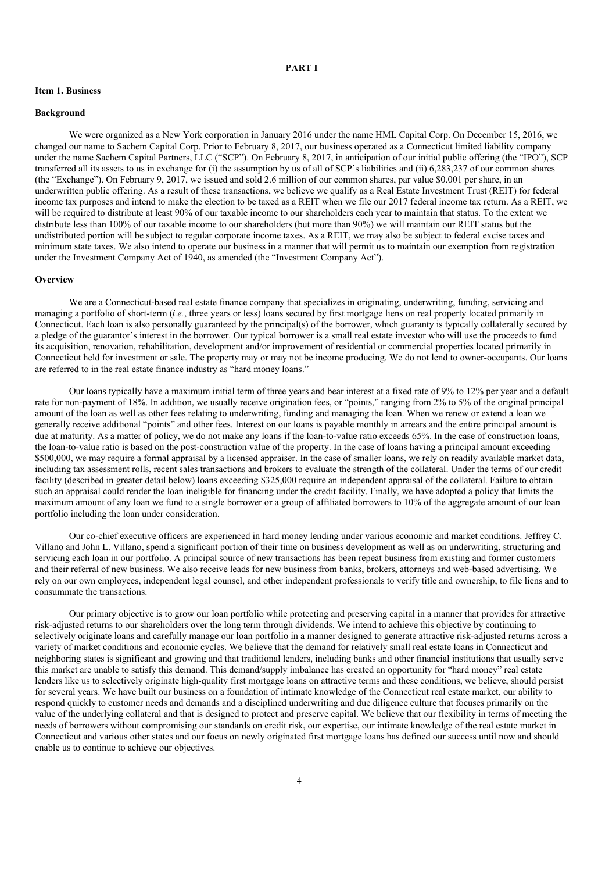## **PART I**

## **Item 1. Business**

#### **Background**

We were organized as a New York corporation in January 2016 under the name HML Capital Corp. On December 15, 2016, we changed our name to Sachem Capital Corp. Prior to February 8, 2017, our business operated as a Connecticut limited liability company under the name Sachem Capital Partners, LLC ("SCP"). On February 8, 2017, in anticipation of our initial public offering (the "IPO"), SCP transferred all its assets to us in exchange for (i) the assumption by us of all of SCP's liabilities and (ii) 6,283,237 of our common shares (the "Exchange"). On February 9, 2017, we issued and sold 2.6 million of our common shares, par value \$0.001 per share, in an underwritten public offering. As a result of these transactions, we believe we qualify as a Real Estate Investment Trust (REIT) for federal income tax purposes and intend to make the election to be taxed as a REIT when we file our 2017 federal income tax return. As a REIT, we will be required to distribute at least 90% of our taxable income to our shareholders each year to maintain that status. To the extent we distribute less than 100% of our taxable income to our shareholders (but more than 90%) we will maintain our REIT status but the undistributed portion will be subject to regular corporate income taxes. As a REIT, we may also be subject to federal excise taxes and minimum state taxes. We also intend to operate our business in a manner that will permit us to maintain our exemption from registration under the Investment Company Act of 1940, as amended (the "Investment Company Act").

## **Overview**

We are a Connecticut-based real estate finance company that specializes in originating, underwriting, funding, servicing and managing a portfolio of short-term (*i.e.*, three years or less) loans secured by first mortgage liens on real property located primarily in Connecticut. Each loan is also personally guaranteed by the principal(s) of the borrower, which guaranty is typically collaterally secured by a pledge of the guarantor's interest in the borrower. Our typical borrower is a small real estate investor who will use the proceeds to fund its acquisition, renovation, rehabilitation, development and/or improvement of residential or commercial properties located primarily in Connecticut held for investment or sale. The property may or may not be income producing. We do not lend to owner-occupants. Our loans are referred to in the real estate finance industry as "hard money loans."

Our loans typically have a maximum initial term of three years and bear interest at a fixed rate of 9% to 12% per year and a default rate for non-payment of 18%. In addition, we usually receive origination fees, or "points," ranging from 2% to 5% of the original principal amount of the loan as well as other fees relating to underwriting, funding and managing the loan. When we renew or extend a loan we generally receive additional "points" and other fees. Interest on our loans is payable monthly in arrears and the entire principal amount is due at maturity. As a matter of policy, we do not make any loans if the loan-to-value ratio exceeds 65%. In the case of construction loans, the loan-to-value ratio is based on the post-construction value of the property. In the case of loans having a principal amount exceeding \$500,000, we may require a formal appraisal by a licensed appraiser. In the case of smaller loans, we rely on readily available market data, including tax assessment rolls, recent sales transactions and brokers to evaluate the strength of the collateral. Under the terms of our credit facility (described in greater detail below) loans exceeding \$325,000 require an independent appraisal of the collateral. Failure to obtain such an appraisal could render the loan ineligible for financing under the credit facility. Finally, we have adopted a policy that limits the maximum amount of any loan we fund to a single borrower or a group of affiliated borrowers to 10% of the aggregate amount of our loan portfolio including the loan under consideration.

Our co-chief executive officers are experienced in hard money lending under various economic and market conditions. Jeffrey C. Villano and John L. Villano, spend a significant portion of their time on business development as well as on underwriting, structuring and servicing each loan in our portfolio. A principal source of new transactions has been repeat business from existing and former customers and their referral of new business. We also receive leads for new business from banks, brokers, attorneys and web-based advertising. We rely on our own employees, independent legal counsel, and other independent professionals to verify title and ownership, to file liens and to consummate the transactions.

Our primary objective is to grow our loan portfolio while protecting and preserving capital in a manner that provides for attractive risk-adjusted returns to our shareholders over the long term through dividends. We intend to achieve this objective by continuing to selectively originate loans and carefully manage our loan portfolio in a manner designed to generate attractive risk-adjusted returns across a variety of market conditions and economic cycles. We believe that the demand for relatively small real estate loans in Connecticut and neighboring states is significant and growing and that traditional lenders, including banks and other financial institutions that usually serve this market are unable to satisfy this demand. This demand/supply imbalance has created an opportunity for "hard money" real estate lenders like us to selectively originate high-quality first mortgage loans on attractive terms and these conditions, we believe, should persist for several years. We have built our business on a foundation of intimate knowledge of the Connecticut real estate market, our ability to respond quickly to customer needs and demands and a disciplined underwriting and due diligence culture that focuses primarily on the value of the underlying collateral and that is designed to protect and preserve capital. We believe that our flexibility in terms of meeting the needs of borrowers without compromising our standards on credit risk, our expertise, our intimate knowledge of the real estate market in Connecticut and various other states and our focus on newly originated first mortgage loans has defined our success until now and should enable us to continue to achieve our objectives.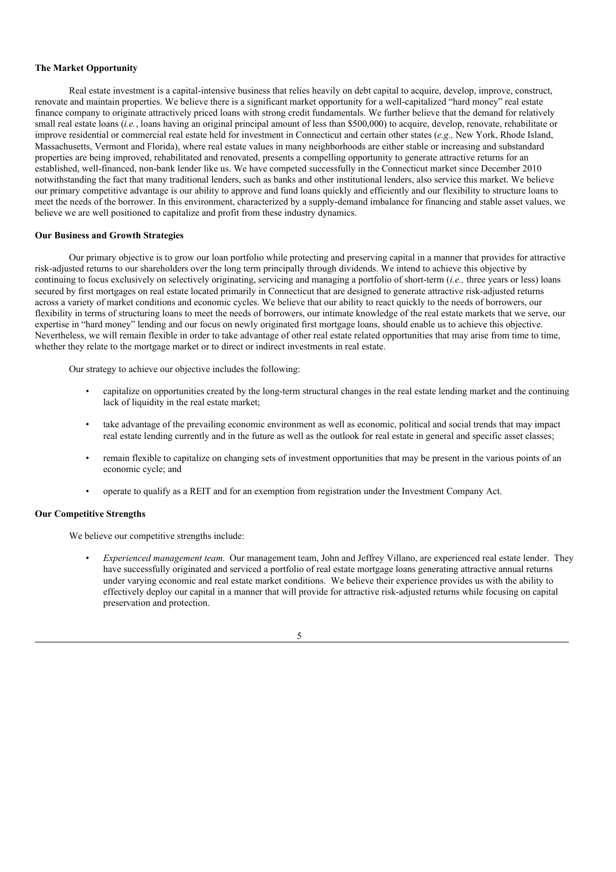## **The Market Opportunity**

Real estate investment is a capital-intensive business that relies heavily on debt capital to acquire, develop, improve, construct, renovate and maintain properties. We believe there is a significant market opportunity for a well-capitalized "hard money" real estate finance company to originate attractively priced loans with strong credit fundamentals. We further believe that the demand for relatively small real estate loans (*i.e.*, loans having an original principal amount of less than \$500,000) to acquire, develop, renovate, rehabilitate or improve residential or commercial real estate held for investment in Connecticut and certain other states (*e.g.,* New York, Rhode Island, Massachusetts, Vermont and Florida), where real estate values in many neighborhoods are either stable or increasing and substandard properties are being improved, rehabilitated and renovated, presents a compelling opportunity to generate attractive returns for an established, well-financed, non-bank lender like us. We have competed successfully in the Connecticut market since December 2010 notwithstanding the fact that many traditional lenders, such as banks and other institutional lenders, also service this market. We believe our primary competitive advantage is our ability to approve and fund loans quickly and efficiently and our flexibility to structure loans to meet the needs of the borrower. In this environment, characterized by a supply-demand imbalance for financing and stable asset values, we believe we are well positioned to capitalize and profit from these industry dynamics.

#### **Our Business and Growth Strategies**

Our primary objective is to grow our loan portfolio while protecting and preserving capital in a manner that provides for attractive risk-adjusted returns to our shareholders over the long term principally through dividends. We intend to achieve this objective by continuing to focus exclusively on selectively originating, servicing and managing a portfolio of short-term (*i.e.,* three years or less) loans secured by first mortgages on real estate located primarily in Connecticut that are designed to generate attractive risk-adjusted returns across a variety of market conditions and economic cycles. We believe that our ability to react quickly to the needs of borrowers, our flexibility in terms of structuring loans to meet the needs of borrowers, our intimate knowledge of the real estate markets that we serve, our expertise in "hard money" lending and our focus on newly originated first mortgage loans, should enable us to achieve this objective. Nevertheless, we will remain flexible in order to take advantage of other real estate related opportunities that may arise from time to time, whether they relate to the mortgage market or to direct or indirect investments in real estate.

Our strategy to achieve our objective includes the following:

- capitalize on opportunities created by the long-term structural changes in the real estate lending market and the continuing lack of liquidity in the real estate market;
- take advantage of the prevailing economic environment as well as economic, political and social trends that may impact real estate lending currently and in the future as well as the outlook for real estate in general and specific asset classes;
- remain flexible to capitalize on changing sets of investment opportunities that may be present in the various points of an economic cycle; and
- operate to qualify as a REIT and for an exemption from registration under the Investment Company Act.

## **Our Competitive Strengths**

We believe our competitive strengths include:

• *Experienced management team*. Our management team, John and Jeffrey Villano, are experienced real estate lender. They have successfully originated and serviced a portfolio of real estate mortgage loans generating attractive annual returns under varying economic and real estate market conditions. We believe their experience provides us with the ability to effectively deploy our capital in a manner that will provide for attractive risk-adjusted returns while focusing on capital preservation and protection.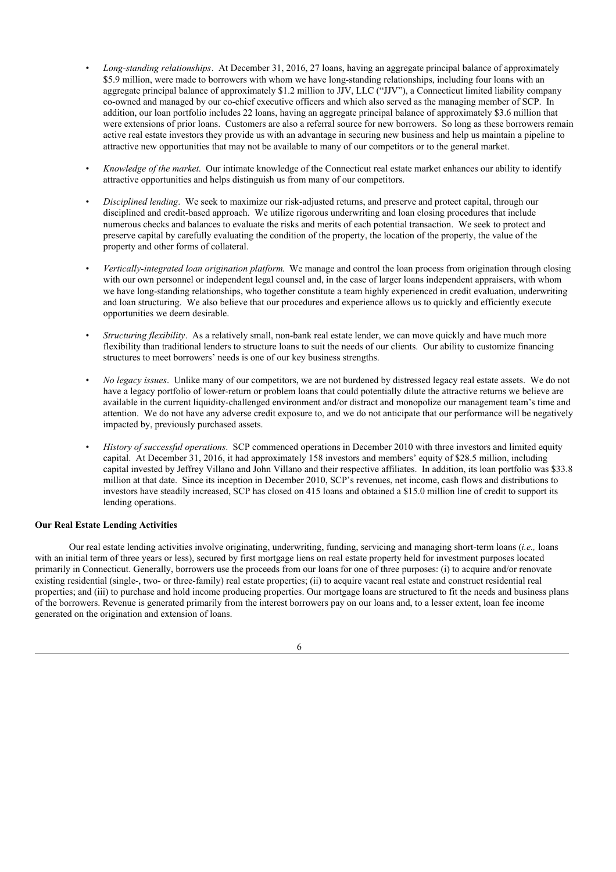- *Long-standing relationships*. At December 31, 2016, 27 loans, having an aggregate principal balance of approximately \$5.9 million, were made to borrowers with whom we have long-standing relationships, including four loans with an aggregate principal balance of approximately \$1.2 million to JJV, LLC ("JJV"), a Connecticut limited liability company co-owned and managed by our co-chief executive officers and which also served as the managing member of SCP. In addition, our loan portfolio includes 22 loans, having an aggregate principal balance of approximately \$3.6 million that were extensions of prior loans. Customers are also a referral source for new borrowers. So long as these borrowers remain active real estate investors they provide us with an advantage in securing new business and help us maintain a pipeline to attractive new opportunities that may not be available to many of our competitors or to the general market.
- *Knowledge of the market*. Our intimate knowledge of the Connecticut real estate market enhances our ability to identify attractive opportunities and helps distinguish us from many of our competitors.
- *Disciplined lending*. We seek to maximize our risk-adjusted returns, and preserve and protect capital, through our disciplined and credit-based approach. We utilize rigorous underwriting and loan closing procedures that include numerous checks and balances to evaluate the risks and merits of each potential transaction. We seek to protect and preserve capital by carefully evaluating the condition of the property, the location of the property, the value of the property and other forms of collateral.
- *Vertically-integrated loan origination platform*. We manage and control the loan process from origination through closing with our own personnel or independent legal counsel and, in the case of larger loans independent appraisers, with whom we have long-standing relationships, who together constitute a team highly experienced in credit evaluation, underwriting and loan structuring. We also believe that our procedures and experience allows us to quickly and efficiently execute opportunities we deem desirable.
- *Structuring flexibility*. As a relatively small, non-bank real estate lender, we can move quickly and have much more flexibility than traditional lenders to structure loans to suit the needs of our clients. Our ability to customize financing structures to meet borrowers' needs is one of our key business strengths.
- *No legacy issues*. Unlike many of our competitors, we are not burdened by distressed legacy real estate assets. We do not have a legacy portfolio of lower-return or problem loans that could potentially dilute the attractive returns we believe are available in the current liquidity-challenged environment and/or distract and monopolize our management team's time and attention. We do not have any adverse credit exposure to, and we do not anticipate that our performance will be negatively impacted by, previously purchased assets.
- *History of successful operations*. SCP commenced operations in December 2010 with three investors and limited equity capital. At December 31, 2016, it had approximately 158 investors and members' equity of \$28.5 million, including capital invested by Jeffrey Villano and John Villano and their respective affiliates. In addition, its loan portfolio was \$33.8 million at that date. Since its inception in December 2010, SCP's revenues, net income, cash flows and distributions to investors have steadily increased, SCP has closed on 415 loans and obtained a \$15.0 million line of credit to support its lending operations.

## **Our Real Estate Lending Activities**

Our real estate lending activities involve originating, underwriting, funding, servicing and managing short-term loans (*i.e.,* loans with an initial term of three years or less), secured by first mortgage liens on real estate property held for investment purposes located primarily in Connecticut. Generally, borrowers use the proceeds from our loans for one of three purposes: (i) to acquire and/or renovate existing residential (single-, two- or three-family) real estate properties; (ii) to acquire vacant real estate and construct residential real properties; and (iii) to purchase and hold income producing properties. Our mortgage loans are structured to fit the needs and business plans of the borrowers. Revenue is generated primarily from the interest borrowers pay on our loans and, to a lesser extent, loan fee income generated on the origination and extension of loans.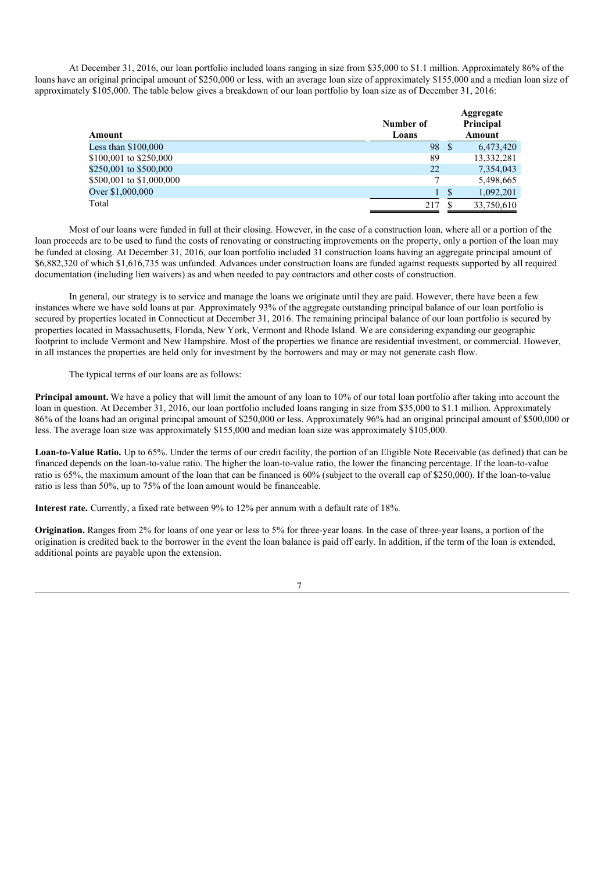At December 31, 2016, our loan portfolio included loans ranging in size from \$35,000 to \$1.1 million. Approximately 86% of the loans have an original principal amount of \$250,000 or less, with an average loan size of approximately \$155,000 and a median loan size of approximately \$105,000. The table below gives a breakdown of our loan portfolio by loan size as of December 31, 2016:

| Amount                   | Number of<br>Loans |    | Aggregate<br>Principal<br>Amount |
|--------------------------|--------------------|----|----------------------------------|
| Less than \$100,000      | 98                 | S  | 6,473,420                        |
| \$100,001 to \$250,000   | 89                 |    | 13,332,281                       |
| \$250,001 to \$500,000   | 22                 |    | 7,354,043                        |
| \$500,001 to \$1,000,000 | 7                  |    | 5,498,665                        |
| Over \$1,000,000         |                    | \$ | 1,092,201                        |
| Total                    | 217                |    | 33,750,610                       |

Most of our loans were funded in full at their closing. However, in the case of a construction loan, where all or a portion of the loan proceeds are to be used to fund the costs of renovating or constructing improvements on the property, only a portion of the loan may be funded at closing. At December 31, 2016, our loan portfolio included 31 construction loans having an aggregate principal amount of \$6,882,320 of which \$1,616,735 was unfunded. Advances under construction loans are funded against requests supported by all required documentation (including lien waivers) as and when needed to pay contractors and other costs of construction.

In general, our strategy is to service and manage the loans we originate until they are paid. However, there have been a few instances where we have sold loans at par. Approximately 93% of the aggregate outstanding principal balance of our loan portfolio is secured by properties located in Connecticut at December 31, 2016. The remaining principal balance of our loan portfolio is secured by properties located in Massachusetts, Florida, New York, Vermont and Rhode Island. We are considering expanding our geographic footprint to include Vermont and New Hampshire. Most of the properties we finance are residential investment, or commercial. However, in all instances the properties are held only for investment by the borrowers and may or may not generate cash flow.

The typical terms of our loans are as follows:

**Principal amount.** We have a policy that will limit the amount of any loan to 10% of our total loan portfolio after taking into account the loan in question. At December 31, 2016, our loan portfolio included loans ranging in size from \$35,000 to \$1.1 million. Approximately 86% of the loans had an original principal amount of \$250,000 or less. Approximately 96% had an original principal amount of \$500,000 or less. The average loan size was approximately \$155,000 and median loan size was approximately \$105,000.

**Loan-to-Value Ratio.** Up to 65%. Under the terms of our credit facility, the portion of an Eligible Note Receivable (as defined) that can be financed depends on the loan-to-value ratio. The higher the loan-to-value ratio, the lower the financing percentage. If the loan-to-value ratio is 65%, the maximum amount of the loan that can be financed is 60% (subject to the overall cap of \$250,000). If the loan-to-value ratio is less than 50%, up to 75% of the loan amount would be financeable.

**Interest rate.** Currently, a fixed rate between 9% to 12% per annum with a default rate of 18%.

**Origination.** Ranges from 2% for loans of one year or less to 5% for three-year loans. In the case of three-year loans, a portion of the origination is credited back to the borrower in the event the loan balance is paid off early. In addition, if the term of the loan is extended, additional points are payable upon the extension.

7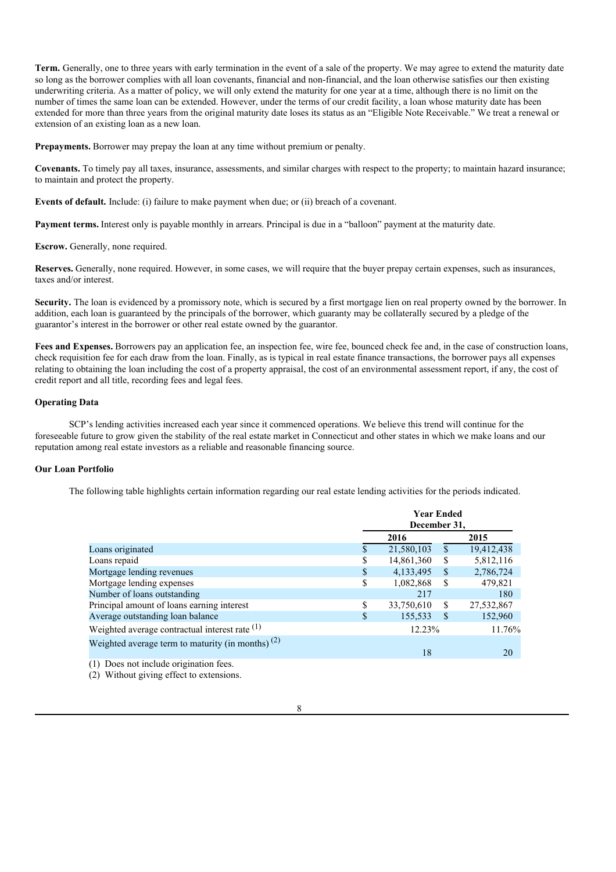**Term.** Generally, one to three years with early termination in the event of a sale of the property. We may agree to extend the maturity date so long as the borrower complies with all loan covenants, financial and non-financial, and the loan otherwise satisfies our then existing underwriting criteria. As a matter of policy, we will only extend the maturity for one year at a time, although there is no limit on the number of times the same loan can be extended. However, under the terms of our credit facility, a loan whose maturity date has been extended for more than three years from the original maturity date loses its status as an "Eligible Note Receivable." We treat a renewal or extension of an existing loan as a new loan.

**Prepayments.** Borrower may prepay the loan at any time without premium or penalty.

**Covenants.** To timely pay all taxes, insurance, assessments, and similar charges with respect to the property; to maintain hazard insurance; to maintain and protect the property.

**Events of default.** Include: (i) failure to make payment when due; or (ii) breach of a covenant.

**Payment terms.** Interest only is payable monthly in arrears. Principal is due in a "balloon" payment at the maturity date.

#### **Escrow.** Generally, none required.

**Reserves.** Generally, none required. However, in some cases, we will require that the buyer prepay certain expenses, such as insurances, taxes and/or interest.

**Security.** The loan is evidenced by a promissory note, which is secured by a first mortgage lien on real property owned by the borrower. In addition, each loan is guaranteed by the principals of the borrower, which guaranty may be collaterally secured by a pledge of the guarantor's interest in the borrower or other real estate owned by the guarantor.

Fees and Expenses. Borrowers pay an application fee, an inspection fee, wire fee, bounced check fee and, in the case of construction loans, check requisition fee for each draw from the loan. Finally, as is typical in real estate finance transactions, the borrower pays all expenses relating to obtaining the loan including the cost of a property appraisal, the cost of an environmental assessment report, if any, the cost of credit report and all title, recording fees and legal fees.

## **Operating Data**

SCP's lending activities increased each year since it commenced operations. We believe this trend will continue for the foreseeable future to grow given the stability of the real estate market in Connecticut and other states in which we make loans and our reputation among real estate investors as a reliable and reasonable financing source.

## **Our Loan Portfolio**

The following table highlights certain information regarding our real estate lending activities for the periods indicated.

|                                                     |     | <b>Year Ended</b><br>December 31, |               |            |  |
|-----------------------------------------------------|-----|-----------------------------------|---------------|------------|--|
|                                                     |     | 2016                              |               | 2015       |  |
| Loans originated                                    | S   | 21,580,103                        | \$            | 19,412,438 |  |
| Loans repaid                                        | \$  | 14,861,360                        | \$            | 5,812,116  |  |
| Mortgage lending revenues                           | S   | 4,133,495                         | S             | 2,786,724  |  |
| Mortgage lending expenses                           | \$  | 1,082,868                         | <sup>\$</sup> | 479,821    |  |
| Number of loans outstanding                         |     | 217                               |               | 180        |  |
| Principal amount of loans earning interest          | \$  | 33,750,610                        | \$            | 27,532,867 |  |
| Average outstanding loan balance                    | \$. | 155,533                           | -S            | 152,960    |  |
| Weighted average contractual interest rate $(1)$    |     | 12.23%                            |               | 11.76%     |  |
| Weighted average term to maturity (in months) $(2)$ |     |                                   |               |            |  |
|                                                     |     | 18                                |               | 20         |  |
|                                                     |     |                                   |               |            |  |

(1) Does not include origination fees. (2) Without giving effect to extensions.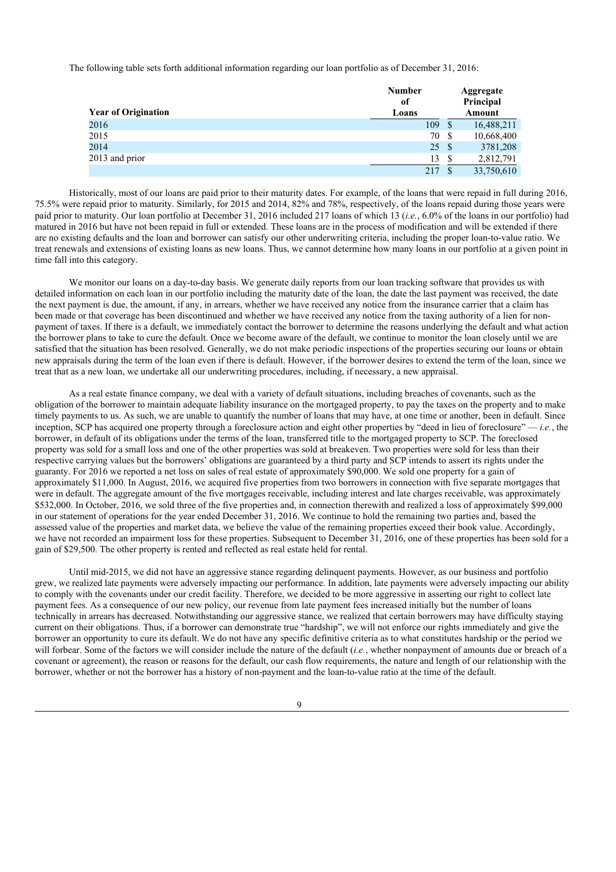The following table sets forth additional information regarding our loan portfolio as of December 31, 2016:

|                            | <b>Number</b><br>of |      | Aggregate<br>Principal |
|----------------------------|---------------------|------|------------------------|
| <b>Year of Origination</b> | Loans               |      | <b>Amount</b>          |
| 2016                       | 109                 | - S  | 16,488,211             |
| 2015                       | 70                  | - \$ | 10,668,400             |
| 2014                       | 25                  | - S  | 3781,208               |
| 2013 and prior             | 13                  | S    | 2,812,791              |
|                            | 217                 |      | 33,750,610             |

Historically, most of our loans are paid prior to their maturity dates. For example, of the loans that were repaid in full during 2016, 75.5% were repaid prior to maturity. Similarly, for 2015 and 2014, 82% and 78%, respectively, of the loans repaid during those years were paid prior to maturity. Our loan portfolio at December 31, 2016 included 217 loans of which 13 (*i.e.*, 6.0% of the loans in our portfolio) had matured in 2016 but have not been repaid in full or extended. These loans are in the process of modification and will be extended if there are no existing defaults and the loan and borrower can satisfy our other underwriting criteria, including the proper loan-to-value ratio. We treat renewals and extensions of existing loans as new loans. Thus, we cannot determine how many loans in our portfolio at a given point in time fall into this category.

We monitor our loans on a day-to-day basis. We generate daily reports from our loan tracking software that provides us with detailed information on each loan in our portfolio including the maturity date of the loan, the date the last payment was received, the date the next payment is due, the amount, if any, in arrears, whether we have received any notice from the insurance carrier that a claim has been made or that coverage has been discontinued and whether we have received any notice from the taxing authority of a lien for nonpayment of taxes. If there is a default, we immediately contact the borrower to determine the reasons underlying the default and what action the borrower plans to take to cure the default. Once we become aware of the default, we continue to monitor the loan closely until we are satisfied that the situation has been resolved. Generally, we do not make periodic inspections of the properties securing our loans or obtain new appraisals during the term of the loan even if there is default. However, if the borrower desires to extend the term of the loan, since we treat that as a new loan, we undertake all our underwriting procedures, including, if necessary, a new appraisal.

As a real estate finance company, we deal with a variety of default situations, including breaches of covenants, such as the obligation of the borrower to maintain adequate liability insurance on the mortgaged property, to pay the taxes on the property and to make timely payments to us. As such, we are unable to quantify the number of loans that may have, at one time or another, been in default. Since inception, SCP has acquired one property through a foreclosure action and eight other properties by "deed in lieu of foreclosure" — *i.e.*, the borrower, in default of its obligations under the terms of the loan, transferred title to the mortgaged property to SCP. The foreclosed property was sold for a small loss and one of the other properties was sold at breakeven. Two properties were sold for less than their respective carrying values but the borrowers' obligations are guaranteed by a third party and SCP intends to assert its rights under the guaranty. For 2016 we reported a net loss on sales of real estate of approximately \$90,000. We sold one property for a gain of approximately \$11,000. In August, 2016, we acquired five properties from two borrowers in connection with five separate mortgages that were in default. The aggregate amount of the five mortgages receivable, including interest and late charges receivable, was approximately \$532,000. In October, 2016, we sold three of the five properties and, in connection therewith and realized a loss of approximately \$99,000 in our statement of operations for the year ended December 31, 2016. We continue to hold the remaining two parties and, based the assessed value of the properties and market data, we believe the value of the remaining properties exceed their book value. Accordingly, we have not recorded an impairment loss for these properties. Subsequent to December 31, 2016, one of these properties has been sold for a gain of \$29,500. The other property is rented and reflected as real estate held for rental.

Until mid-2015, we did not have an aggressive stance regarding delinquent payments. However, as our business and portfolio grew, we realized late payments were adversely impacting our performance. In addition, late payments were adversely impacting our ability to comply with the covenants under our credit facility. Therefore, we decided to be more aggressive in asserting our right to collect late payment fees. As a consequence of our new policy, our revenue from late payment fees increased initially but the number of loans technically in arrears has decreased. Notwithstanding our aggressive stance, we realized that certain borrowers may have difficulty staying current on their obligations. Thus, if a borrower can demonstrate true "hardship", we will not enforce our rights immediately and give the borrower an opportunity to cure its default. We do not have any specific definitive criteria as to what constitutes hardship or the period we will forbear. Some of the factors we will consider include the nature of the default (*i.e.*, whether nonpayment of amounts due or breach of a covenant or agreement), the reason or reasons for the default, our cash flow requirements, the nature and length of our relationship with the borrower, whether or not the borrower has a history of non-payment and the loan-to-value ratio at the time of the default.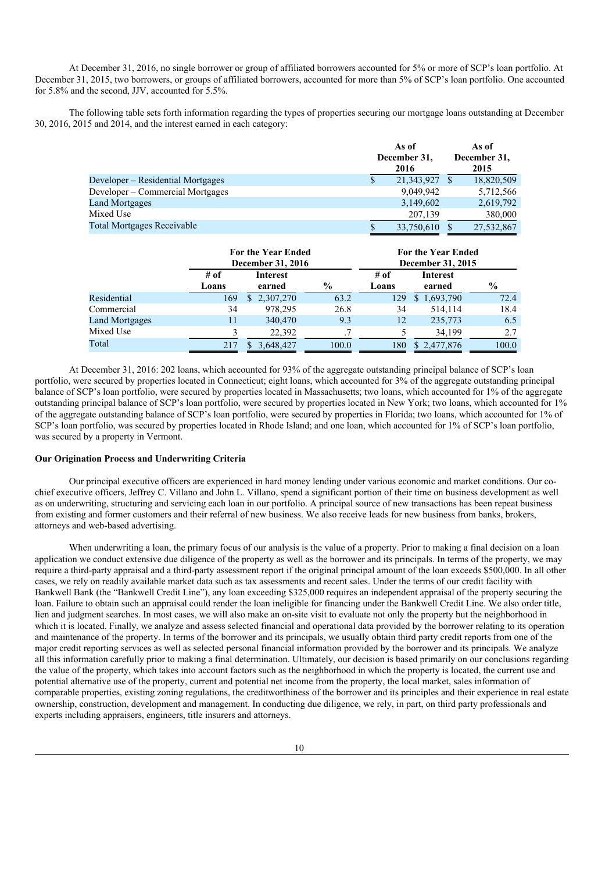At December 31, 2016, no single borrower or group of affiliated borrowers accounted for 5% or more of SCP's loan portfolio. At December 31, 2015, two borrowers, or groups of affiliated borrowers, accounted for more than 5% of SCP's loan portfolio. One accounted for 5.8% and the second, JJV, accounted for 5.5%.

The following table sets forth information regarding the types of properties securing our mortgage loans outstanding at December 30, 2016, 2015 and 2014, and the interest earned in each category:

|                                   | As of<br>December 31,<br>2016 |            | As of<br>December 31,<br>2015 |            |
|-----------------------------------|-------------------------------|------------|-------------------------------|------------|
| Developer – Residential Mortgages |                               | 21,343,927 |                               | 18,820,509 |
| Developer – Commercial Mortgages  |                               | 9,049,942  |                               | 5,712,566  |
| Land Mortgages                    |                               | 3,149,602  |                               | 2,619,792  |
| Mixed Use                         |                               | 207,139    |                               | 380,000    |
| Total Mortgages Receivable        |                               | 33,750,610 |                               | 27,532,867 |

|                       | <b>For the Year Ended</b><br>December 31, 2016 |                    |                      | For the Year Ended<br>December 31, 2015 |                    |               |
|-----------------------|------------------------------------------------|--------------------|----------------------|-----------------------------------------|--------------------|---------------|
|                       | # of<br>Loans                                  | Interest<br>earned | $\frac{6}{9}$        | # of<br>Loans                           | Interest<br>earned | $\frac{6}{9}$ |
| Residential           | 169                                            | \$2,307,270        | 63.2                 | 129                                     | \$1,693,790        | 72.4          |
| Commercial            | 34                                             | 978.295            | 26.8                 | 34                                      | 514.114            | 18.4          |
| <b>Land Mortgages</b> | 11                                             | 340,470            | 9.3                  | 12                                      | 235,773            | 6.5           |
| Mixed Use             |                                                | 22.392             | $\ddot{\phantom{0}}$ |                                         | 34,199             | 2.7           |
| Total                 | 217                                            | 3,648,427          | 100.0                | 180                                     | \$2,477,876        | 100.0         |

At December 31, 2016: 202 loans, which accounted for 93% of the aggregate outstanding principal balance of SCP's loan portfolio, were secured by properties located in Connecticut; eight loans, which accounted for 3% of the aggregate outstanding principal balance of SCP's loan portfolio, were secured by properties located in Massachusetts; two loans, which accounted for 1% of the aggregate outstanding principal balance of SCP's loan portfolio, were secured by properties located in New York; two loans, which accounted for 1% of the aggregate outstanding balance of SCP's loan portfolio, were secured by properties in Florida; two loans, which accounted for 1% of SCP's loan portfolio, was secured by properties located in Rhode Island; and one loan, which accounted for 1% of SCP's loan portfolio, was secured by a property in Vermont.

## **Our Origination Process and Underwriting Criteria**

Our principal executive officers are experienced in hard money lending under various economic and market conditions. Our cochief executive officers, Jeffrey C. Villano and John L. Villano, spend a significant portion of their time on business development as well as on underwriting, structuring and servicing each loan in our portfolio. A principal source of new transactions has been repeat business from existing and former customers and their referral of new business. We also receive leads for new business from banks, brokers, attorneys and web-based advertising.

When underwriting a loan, the primary focus of our analysis is the value of a property. Prior to making a final decision on a loan application we conduct extensive due diligence of the property as well as the borrower and its principals. In terms of the property, we may require a third-party appraisal and a third-party assessment report if the original principal amount of the loan exceeds \$500,000. In all other cases, we rely on readily available market data such as tax assessments and recent sales. Under the terms of our credit facility with Bankwell Bank (the "Bankwell Credit Line"), any loan exceeding \$325,000 requires an independent appraisal of the property securing the loan. Failure to obtain such an appraisal could render the loan ineligible for financing under the Bankwell Credit Line. We also order title, lien and judgment searches. In most cases, we will also make an on-site visit to evaluate not only the property but the neighborhood in which it is located. Finally, we analyze and assess selected financial and operational data provided by the borrower relating to its operation and maintenance of the property. In terms of the borrower and its principals, we usually obtain third party credit reports from one of the major credit reporting services as well as selected personal financial information provided by the borrower and its principals. We analyze all this information carefully prior to making a final determination. Ultimately, our decision is based primarily on our conclusions regarding the value of the property, which takes into account factors such as the neighborhood in which the property is located, the current use and potential alternative use of the property, current and potential net income from the property, the local market, sales information of comparable properties, existing zoning regulations, the creditworthiness of the borrower and its principles and their experience in real estate ownership, construction, development and management. In conducting due diligence, we rely, in part, on third party professionals and experts including appraisers, engineers, title insurers and attorneys.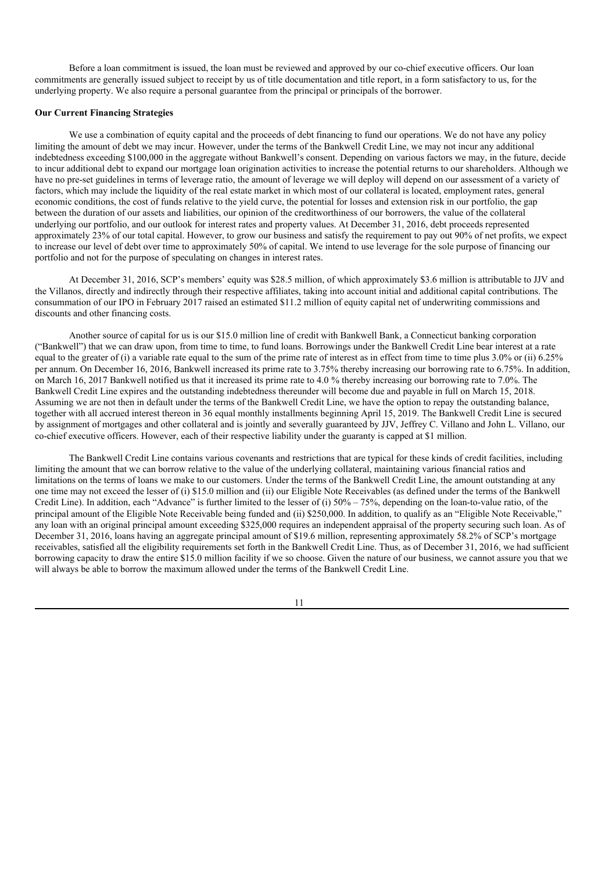Before a loan commitment is issued, the loan must be reviewed and approved by our co-chief executive officers. Our loan commitments are generally issued subject to receipt by us of title documentation and title report, in a form satisfactory to us, for the underlying property. We also require a personal guarantee from the principal or principals of the borrower.

## **Our Current Financing Strategies**

We use a combination of equity capital and the proceeds of debt financing to fund our operations. We do not have any policy limiting the amount of debt we may incur. However, under the terms of the Bankwell Credit Line, we may not incur any additional indebtedness exceeding \$100,000 in the aggregate without Bankwell's consent. Depending on various factors we may, in the future, decide to incur additional debt to expand our mortgage loan origination activities to increase the potential returns to our shareholders. Although we have no pre-set guidelines in terms of leverage ratio, the amount of leverage we will deploy will depend on our assessment of a variety of factors, which may include the liquidity of the real estate market in which most of our collateral is located, employment rates, general economic conditions, the cost of funds relative to the yield curve, the potential for losses and extension risk in our portfolio, the gap between the duration of our assets and liabilities, our opinion of the creditworthiness of our borrowers, the value of the collateral underlying our portfolio, and our outlook for interest rates and property values. At December 31, 2016, debt proceeds represented approximately 23% of our total capital. However, to grow our business and satisfy the requirement to pay out 90% of net profits, we expect to increase our level of debt over time to approximately 50% of capital. We intend to use leverage for the sole purpose of financing our portfolio and not for the purpose of speculating on changes in interest rates.

At December 31, 2016, SCP's members' equity was \$28.5 million, of which approximately \$3.6 million is attributable to JJV and the Villanos, directly and indirectly through their respective affiliates, taking into account initial and additional capital contributions. The consummation of our IPO in February 2017 raised an estimated \$11.2 million of equity capital net of underwriting commissions and discounts and other financing costs.

Another source of capital for us is our \$15.0 million line of credit with Bankwell Bank, a Connecticut banking corporation ("Bankwell") that we can draw upon, from time to time, to fund loans. Borrowings under the Bankwell Credit Line bear interest at a rate equal to the greater of (i) a variable rate equal to the sum of the prime rate of interest as in effect from time to time plus 3.0% or (ii) 6.25% per annum. On December 16, 2016, Bankwell increased its prime rate to 3.75% thereby increasing our borrowing rate to 6.75%. In addition, on March 16, 2017 Bankwell notified us that it increased its prime rate to 4.0 % thereby increasing our borrowing rate to 7.0%. The Bankwell Credit Line expires and the outstanding indebtedness thereunder will become due and payable in full on March 15, 2018. Assuming we are not then in default under the terms of the Bankwell Credit Line, we have the option to repay the outstanding balance, together with all accrued interest thereon in 36 equal monthly installments beginning April 15, 2019. The Bankwell Credit Line is secured by assignment of mortgages and other collateral and is jointly and severally guaranteed by JJV, Jeffrey C. Villano and John L. Villano, our co-chief executive officers. However, each of their respective liability under the guaranty is capped at \$1 million.

The Bankwell Credit Line contains various covenants and restrictions that are typical for these kinds of credit facilities, including limiting the amount that we can borrow relative to the value of the underlying collateral, maintaining various financial ratios and limitations on the terms of loans we make to our customers. Under the terms of the Bankwell Credit Line, the amount outstanding at any one time may not exceed the lesser of (i) \$15.0 million and (ii) our Eligible Note Receivables (as defined under the terms of the Bankwell Credit Line). In addition, each "Advance" is further limited to the lesser of (i) 50% – 75%, depending on the loan-to-value ratio, of the principal amount of the Eligible Note Receivable being funded and (ii) \$250,000. In addition, to qualify as an "Eligible Note Receivable," any loan with an original principal amount exceeding \$325,000 requires an independent appraisal of the property securing such loan. As of December 31, 2016, loans having an aggregate principal amount of \$19.6 million, representing approximately 58.2% of SCP's mortgage receivables, satisfied all the eligibility requirements set forth in the Bankwell Credit Line. Thus, as of December 31, 2016, we had sufficient borrowing capacity to draw the entire \$15.0 million facility if we so choose. Given the nature of our business, we cannot assure you that we will always be able to borrow the maximum allowed under the terms of the Bankwell Credit Line.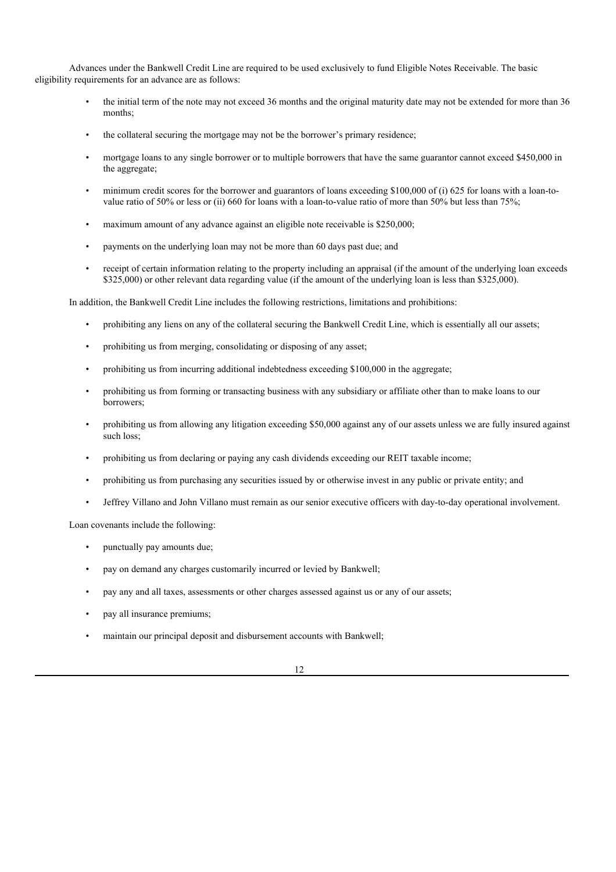Advances under the Bankwell Credit Line are required to be used exclusively to fund Eligible Notes Receivable. The basic eligibility requirements for an advance are as follows:

- the initial term of the note may not exceed 36 months and the original maturity date may not be extended for more than 36 months;
- the collateral securing the mortgage may not be the borrower's primary residence;
- mortgage loans to any single borrower or to multiple borrowers that have the same guarantor cannot exceed \$450,000 in the aggregate;
- minimum credit scores for the borrower and guarantors of loans exceeding \$100,000 of (i) 625 for loans with a loan-tovalue ratio of 50% or less or (ii) 660 for loans with a loan-to-value ratio of more than 50% but less than 75%;
- maximum amount of any advance against an eligible note receivable is \$250,000;
- payments on the underlying loan may not be more than 60 days past due; and
- receipt of certain information relating to the property including an appraisal (if the amount of the underlying loan exceeds \$325,000) or other relevant data regarding value (if the amount of the underlying loan is less than \$325,000).

In addition, the Bankwell Credit Line includes the following restrictions, limitations and prohibitions:

- prohibiting any liens on any of the collateral securing the Bankwell Credit Line, which is essentially all our assets;
- prohibiting us from merging, consolidating or disposing of any asset;
- prohibiting us from incurring additional indebtedness exceeding \$100,000 in the aggregate;
- prohibiting us from forming or transacting business with any subsidiary or affiliate other than to make loans to our borrowers;
- prohibiting us from allowing any litigation exceeding \$50,000 against any of our assets unless we are fully insured against such loss;
- prohibiting us from declaring or paying any cash dividends exceeding our REIT taxable income;
- prohibiting us from purchasing any securities issued by or otherwise invest in any public or private entity; and
- Jeffrey Villano and John Villano must remain as our senior executive officers with day-to-day operational involvement.

Loan covenants include the following:

- punctually pay amounts due;
- pay on demand any charges customarily incurred or levied by Bankwell;
- pay any and all taxes, assessments or other charges assessed against us or any of our assets;
- pay all insurance premiums;
- maintain our principal deposit and disbursement accounts with Bankwell;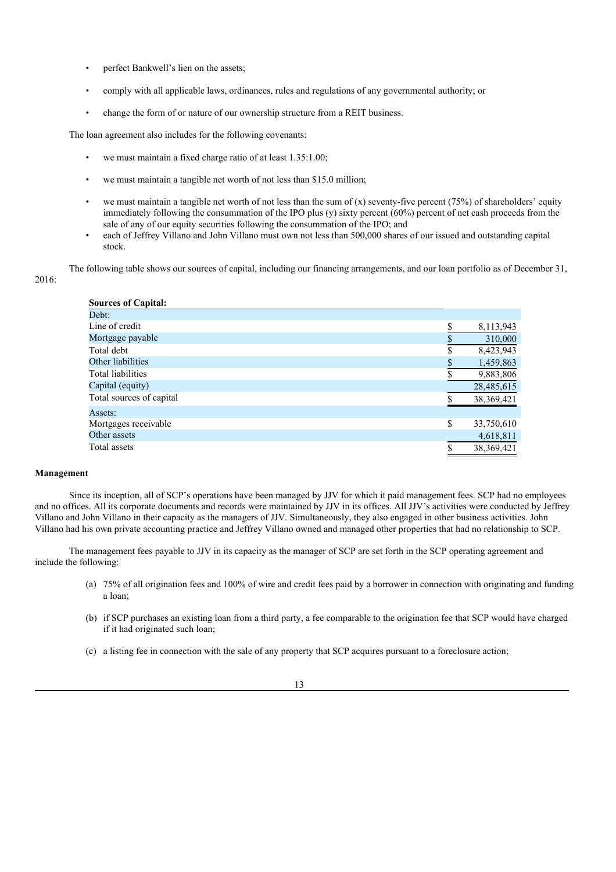- perfect Bankwell's lien on the assets;
- comply with all applicable laws, ordinances, rules and regulations of any governmental authority; or
- change the form of or nature of our ownership structure from a REIT business.

The loan agreement also includes for the following covenants:

- we must maintain a fixed charge ratio of at least 1.35:1.00;
- we must maintain a tangible net worth of not less than \$15.0 million;
- we must maintain a tangible net worth of not less than the sum of  $(x)$  seventy-five percent (75%) of shareholders' equity immediately following the consummation of the IPO plus (y) sixty percent (60%) percent of net cash proceeds from the sale of any of our equity securities following the consummation of the IPO; and
- each of Jeffrey Villano and John Villano must own not less than 500,000 shares of our issued and outstanding capital stock.

The following table shows our sources of capital, including our financing arrangements, and our loan portfolio as of December 31,

## 2016:

| <b>Sources of Capital:</b> |              |            |
|----------------------------|--------------|------------|
| Debt:                      |              |            |
| Line of credit             | \$           | 8,113,943  |
| Mortgage payable           |              | 310,000    |
| Total debt                 | \$           | 8,423,943  |
| Other liabilities          | $\mathbb{S}$ | 1,459,863  |
| Total liabilities          |              | 9,883,806  |
| Capital (equity)           |              | 28,485,615 |
| Total sources of capital   |              | 38,369,421 |
| Assets:                    |              |            |
| Mortgages receivable       | \$           | 33,750,610 |
| Other assets               |              | 4,618,811  |
| Total assets               | \$           | 38,369,421 |

## **Management**

Since its inception, all of SCP's operations have been managed by JJV for which it paid management fees. SCP had no employees and no offices. All its corporate documents and records were maintained by JJV in its offices. All JJV's activities were conducted by Jeffrey Villano and John Villano in their capacity as the managers of JJV. Simultaneously, they also engaged in other business activities. John Villano had his own private accounting practice and Jeffrey Villano owned and managed other properties that had no relationship to SCP.

The management fees payable to JJV in its capacity as the manager of SCP are set forth in the SCP operating agreement and include the following:

- (a) 75% of all origination fees and 100% of wire and credit fees paid by a borrower in connection with originating and funding a loan;
- (b) if SCP purchases an existing loan from a third party, a fee comparable to the origination fee that SCP would have charged if it had originated such loan;
- (c) a listing fee in connection with the sale of any property that SCP acquires pursuant to a foreclosure action;

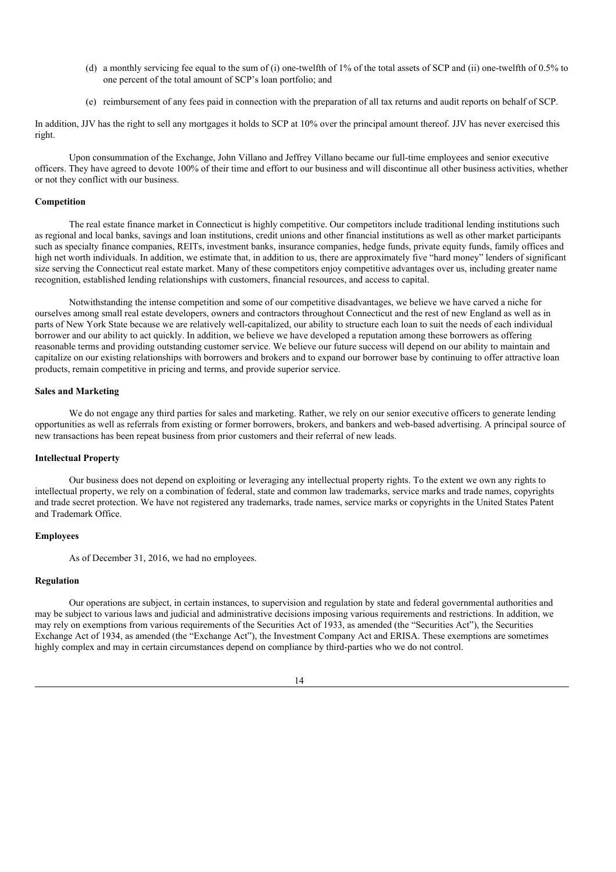- (d) a monthly servicing fee equal to the sum of (i) one-twelfth of 1% of the total assets of SCP and (ii) one-twelfth of 0.5% to one percent of the total amount of SCP's loan portfolio; and
- (e) reimbursement of any fees paid in connection with the preparation of all tax returns and audit reports on behalf of SCP.

In addition, JJV has the right to sell any mortgages it holds to SCP at 10% over the principal amount thereof. JJV has never exercised this right.

Upon consummation of the Exchange, John Villano and Jeffrey Villano became our full-time employees and senior executive officers. They have agreed to devote 100% of their time and effort to our business and will discontinue all other business activities, whether or not they conflict with our business.

## **Competition**

The real estate finance market in Connecticut is highly competitive. Our competitors include traditional lending institutions such as regional and local banks, savings and loan institutions, credit unions and other financial institutions as well as other market participants such as specialty finance companies, REITs, investment banks, insurance companies, hedge funds, private equity funds, family offices and high net worth individuals. In addition, we estimate that, in addition to us, there are approximately five "hard money" lenders of significant size serving the Connecticut real estate market. Many of these competitors enjoy competitive advantages over us, including greater name recognition, established lending relationships with customers, financial resources, and access to capital.

Notwithstanding the intense competition and some of our competitive disadvantages, we believe we have carved a niche for ourselves among small real estate developers, owners and contractors throughout Connecticut and the rest of new England as well as in parts of New York State because we are relatively well-capitalized, our ability to structure each loan to suit the needs of each individual borrower and our ability to act quickly. In addition, we believe we have developed a reputation among these borrowers as offering reasonable terms and providing outstanding customer service. We believe our future success will depend on our ability to maintain and capitalize on our existing relationships with borrowers and brokers and to expand our borrower base by continuing to offer attractive loan products, remain competitive in pricing and terms, and provide superior service.

## **Sales and Marketing**

We do not engage any third parties for sales and marketing. Rather, we rely on our senior executive officers to generate lending opportunities as well as referrals from existing or former borrowers, brokers, and bankers and web-based advertising. A principal source of new transactions has been repeat business from prior customers and their referral of new leads.

#### **Intellectual Property**

Our business does not depend on exploiting or leveraging any intellectual property rights. To the extent we own any rights to intellectual property, we rely on a combination of federal, state and common law trademarks, service marks and trade names, copyrights and trade secret protection. We have not registered any trademarks, trade names, service marks or copyrights in the United States Patent and Trademark Office.

## **Employees**

As of December 31, 2016, we had no employees.

#### **Regulation**

Our operations are subject, in certain instances, to supervision and regulation by state and federal governmental authorities and may be subject to various laws and judicial and administrative decisions imposing various requirements and restrictions. In addition, we may rely on exemptions from various requirements of the Securities Act of 1933, as amended (the "Securities Act"), the Securities Exchange Act of 1934, as amended (the "Exchange Act"), the Investment Company Act and ERISA. These exemptions are sometimes highly complex and may in certain circumstances depend on compliance by third-parties who we do not control.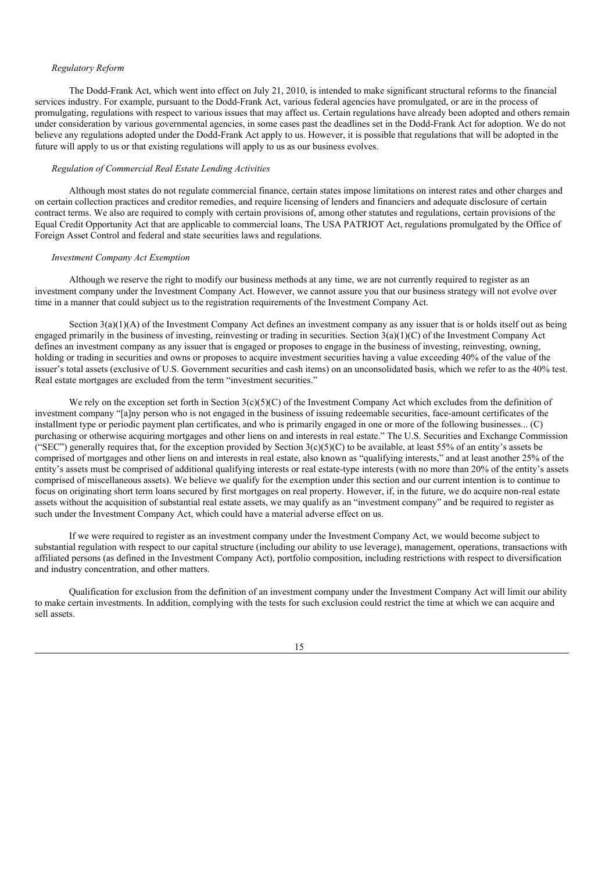#### *Regulatory Reform*

The Dodd-Frank Act, which went into effect on July 21, 2010, is intended to make significant structural reforms to the financial services industry. For example, pursuant to the Dodd-Frank Act, various federal agencies have promulgated, or are in the process of promulgating, regulations with respect to various issues that may affect us. Certain regulations have already been adopted and others remain under consideration by various governmental agencies, in some cases past the deadlines set in the Dodd-Frank Act for adoption. We do not believe any regulations adopted under the Dodd-Frank Act apply to us. However, it is possible that regulations that will be adopted in the future will apply to us or that existing regulations will apply to us as our business evolves.

## *Regulation of Commercial Real Estate Lending Activities*

Although most states do not regulate commercial finance, certain states impose limitations on interest rates and other charges and on certain collection practices and creditor remedies, and require licensing of lenders and financiers and adequate disclosure of certain contract terms. We also are required to comply with certain provisions of, among other statutes and regulations, certain provisions of the Equal Credit Opportunity Act that are applicable to commercial loans, The USA PATRIOT Act, regulations promulgated by the Office of Foreign Asset Control and federal and state securities laws and regulations.

#### *Investment Company Act Exemption*

Although we reserve the right to modify our business methods at any time, we are not currently required to register as an investment company under the Investment Company Act. However, we cannot assure you that our business strategy will not evolve over time in a manner that could subject us to the registration requirements of the Investment Company Act.

Section  $3(a)(1)(A)$  of the Investment Company Act defines an investment company as any issuer that is or holds itself out as being engaged primarily in the business of investing, reinvesting or trading in securities. Section 3(a)(1)(C) of the Investment Company Act defines an investment company as any issuer that is engaged or proposes to engage in the business of investing, reinvesting, owning, holding or trading in securities and owns or proposes to acquire investment securities having a value exceeding 40% of the value of the issuer's total assets (exclusive of U.S. Government securities and cash items) on an unconsolidated basis, which we refer to as the 40% test. Real estate mortgages are excluded from the term "investment securities."

We rely on the exception set forth in Section 3(c)(5)(C) of the Investment Company Act which excludes from the definition of investment company "[a]ny person who is not engaged in the business of issuing redeemable securities, face-amount certificates of the installment type or periodic payment plan certificates, and who is primarily engaged in one or more of the following businesses... (C) purchasing or otherwise acquiring mortgages and other liens on and interests in real estate." The U.S. Securities and Exchange Commission ("SEC") generally requires that, for the exception provided by Section  $3(c)(5)(C)$  to be available, at least 55% of an entity's assets be comprised of mortgages and other liens on and interests in real estate, also known as "qualifying interests," and at least another 25% of the entity's assets must be comprised of additional qualifying interests or real estate-type interests (with no more than 20% of the entity's assets comprised of miscellaneous assets). We believe we qualify for the exemption under this section and our current intention is to continue to focus on originating short term loans secured by first mortgages on real property. However, if, in the future, we do acquire non-real estate assets without the acquisition of substantial real estate assets, we may qualify as an "investment company" and be required to register as such under the Investment Company Act, which could have a material adverse effect on us.

If we were required to register as an investment company under the Investment Company Act, we would become subject to substantial regulation with respect to our capital structure (including our ability to use leverage), management, operations, transactions with affiliated persons (as defined in the Investment Company Act), portfolio composition, including restrictions with respect to diversification and industry concentration, and other matters.

Qualification for exclusion from the definition of an investment company under the Investment Company Act will limit our ability to make certain investments. In addition, complying with the tests for such exclusion could restrict the time at which we can acquire and sell assets.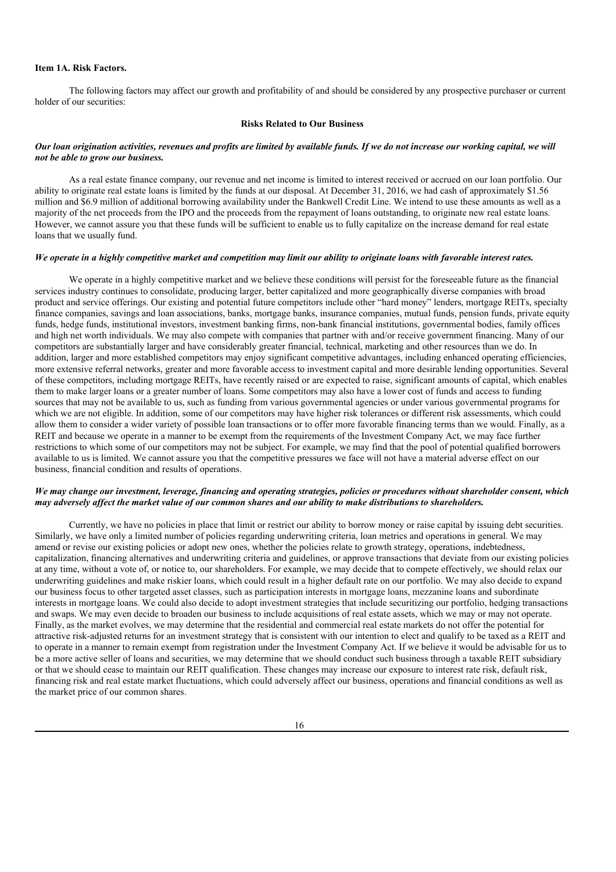## **Item 1A. Risk Factors.**

The following factors may affect our growth and profitability of and should be considered by any prospective purchaser or current holder of our securities:

#### **Risks Related to Our Business**

## Our loan origination activities, revenues and profits are limited by available funds. If we do not increase our working capital, we will *not be able to grow our business.*

As a real estate finance company, our revenue and net income is limited to interest received or accrued on our loan portfolio. Our ability to originate real estate loans is limited by the funds at our disposal. At December 31, 2016, we had cash of approximately \$1.56 million and \$6.9 million of additional borrowing availability under the Bankwell Credit Line. We intend to use these amounts as well as a majority of the net proceeds from the IPO and the proceeds from the repayment of loans outstanding, to originate new real estate loans. However, we cannot assure you that these funds will be sufficient to enable us to fully capitalize on the increase demand for real estate loans that we usually fund.

#### We operate in a highly competitive market and competition may limit our ability to originate loans with favorable interest rates.

We operate in a highly competitive market and we believe these conditions will persist for the foreseeable future as the financial services industry continues to consolidate, producing larger, better capitalized and more geographically diverse companies with broad product and service offerings. Our existing and potential future competitors include other "hard money" lenders, mortgage REITs, specialty finance companies, savings and loan associations, banks, mortgage banks, insurance companies, mutual funds, pension funds, private equity funds, hedge funds, institutional investors, investment banking firms, non-bank financial institutions, governmental bodies, family offices and high net worth individuals. We may also compete with companies that partner with and/or receive government financing. Many of our competitors are substantially larger and have considerably greater financial, technical, marketing and other resources than we do. In addition, larger and more established competitors may enjoy significant competitive advantages, including enhanced operating efficiencies, more extensive referral networks, greater and more favorable access to investment capital and more desirable lending opportunities. Several of these competitors, including mortgage REITs, have recently raised or are expected to raise, significant amounts of capital, which enables them to make larger loans or a greater number of loans. Some competitors may also have a lower cost of funds and access to funding sources that may not be available to us, such as funding from various governmental agencies or under various governmental programs for which we are not eligible. In addition, some of our competitors may have higher risk tolerances or different risk assessments, which could allow them to consider a wider variety of possible loan transactions or to offer more favorable financing terms than we would. Finally, as a REIT and because we operate in a manner to be exempt from the requirements of the Investment Company Act, we may face further restrictions to which some of our competitors may not be subject. For example, we may find that the pool of potential qualified borrowers available to us is limited. We cannot assure you that the competitive pressures we face will not have a material adverse effect on our business, financial condition and results of operations.

## We may change our investment, leverage, financing and operating strategies, policies or procedures without shareholder consent, which may adversely affect the market value of our common shares and our ability to make distributions to shareholders.

Currently, we have no policies in place that limit or restrict our ability to borrow money or raise capital by issuing debt securities. Similarly, we have only a limited number of policies regarding underwriting criteria, loan metrics and operations in general. We may amend or revise our existing policies or adopt new ones, whether the policies relate to growth strategy, operations, indebtedness, capitalization, financing alternatives and underwriting criteria and guidelines, or approve transactions that deviate from our existing policies at any time, without a vote of, or notice to, our shareholders. For example, we may decide that to compete effectively, we should relax our underwriting guidelines and make riskier loans, which could result in a higher default rate on our portfolio. We may also decide to expand our business focus to other targeted asset classes, such as participation interests in mortgage loans, mezzanine loans and subordinate interests in mortgage loans. We could also decide to adopt investment strategies that include securitizing our portfolio, hedging transactions and swaps. We may even decide to broaden our business to include acquisitions of real estate assets, which we may or may not operate. Finally, as the market evolves, we may determine that the residential and commercial real estate markets do not offer the potential for attractive risk-adjusted returns for an investment strategy that is consistent with our intention to elect and qualify to be taxed as a REIT and to operate in a manner to remain exempt from registration under the Investment Company Act. If we believe it would be advisable for us to be a more active seller of loans and securities, we may determine that we should conduct such business through a taxable REIT subsidiary or that we should cease to maintain our REIT qualification. These changes may increase our exposure to interest rate risk, default risk, financing risk and real estate market fluctuations, which could adversely affect our business, operations and financial conditions as well as the market price of our common shares.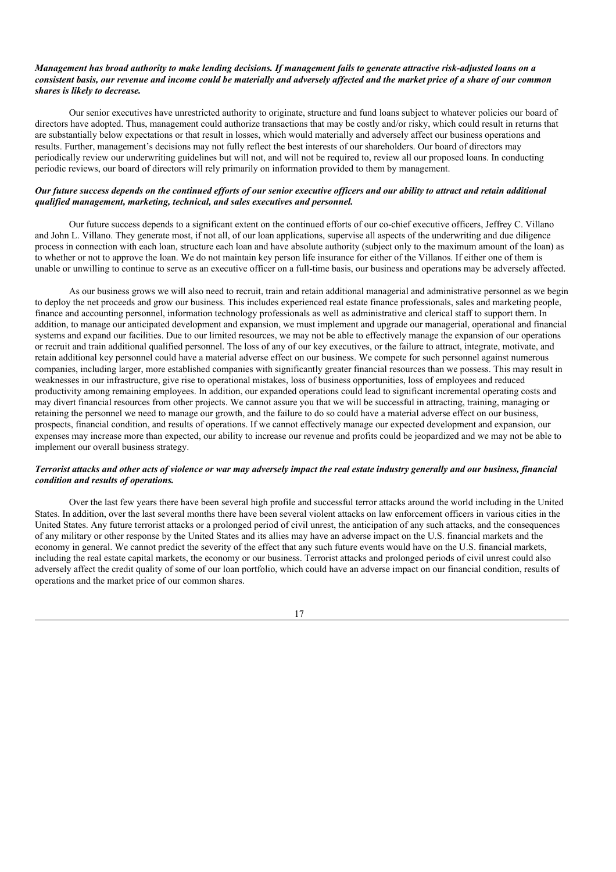## Management has broad authority to make lending decisions. If management fails to generate attractive risk-adjusted loans on a consistent basis, our revenue and income could be materially and adversely affected and the market price of a share of our common *shares is likely to decrease.*

Our senior executives have unrestricted authority to originate, structure and fund loans subject to whatever policies our board of directors have adopted. Thus, management could authorize transactions that may be costly and/or risky, which could result in returns that are substantially below expectations or that result in losses, which would materially and adversely affect our business operations and results. Further, management's decisions may not fully reflect the best interests of our shareholders. Our board of directors may periodically review our underwriting guidelines but will not, and will not be required to, review all our proposed loans. In conducting periodic reviews, our board of directors will rely primarily on information provided to them by management.

## Our future success depends on the continued efforts of our senior executive officers and our ability to attract and retain additional *qualified management, marketing, technical, and sales executives and personnel.*

Our future success depends to a significant extent on the continued efforts of our co-chief executive officers, Jeffrey C. Villano and John L. Villano. They generate most, if not all, of our loan applications, supervise all aspects of the underwriting and due diligence process in connection with each loan, structure each loan and have absolute authority (subject only to the maximum amount of the loan) as to whether or not to approve the loan. We do not maintain key person life insurance for either of the Villanos. If either one of them is unable or unwilling to continue to serve as an executive officer on a full-time basis, our business and operations may be adversely affected.

As our business grows we will also need to recruit, train and retain additional managerial and administrative personnel as we begin to deploy the net proceeds and grow our business. This includes experienced real estate finance professionals, sales and marketing people, finance and accounting personnel, information technology professionals as well as administrative and clerical staff to support them. In addition, to manage our anticipated development and expansion, we must implement and upgrade our managerial, operational and financial systems and expand our facilities. Due to our limited resources, we may not be able to effectively manage the expansion of our operations or recruit and train additional qualified personnel. The loss of any of our key executives, or the failure to attract, integrate, motivate, and retain additional key personnel could have a material adverse effect on our business. We compete for such personnel against numerous companies, including larger, more established companies with significantly greater financial resources than we possess. This may result in weaknesses in our infrastructure, give rise to operational mistakes, loss of business opportunities, loss of employees and reduced productivity among remaining employees. In addition, our expanded operations could lead to significant incremental operating costs and may divert financial resources from other projects. We cannot assure you that we will be successful in attracting, training, managing or retaining the personnel we need to manage our growth, and the failure to do so could have a material adverse effect on our business, prospects, financial condition, and results of operations. If we cannot effectively manage our expected development and expansion, our expenses may increase more than expected, our ability to increase our revenue and profits could be jeopardized and we may not be able to implement our overall business strategy.

## Terrorist attacks and other acts of violence or war may adversely impact the real estate industry generally and our business, financial *condition and results of operations.*

Over the last few years there have been several high profile and successful terror attacks around the world including in the United States. In addition, over the last several months there have been several violent attacks on law enforcement officers in various cities in the United States. Any future terrorist attacks or a prolonged period of civil unrest, the anticipation of any such attacks, and the consequences of any military or other response by the United States and its allies may have an adverse impact on the U.S. financial markets and the economy in general. We cannot predict the severity of the effect that any such future events would have on the U.S. financial markets, including the real estate capital markets, the economy or our business. Terrorist attacks and prolonged periods of civil unrest could also adversely affect the credit quality of some of our loan portfolio, which could have an adverse impact on our financial condition, results of operations and the market price of our common shares.

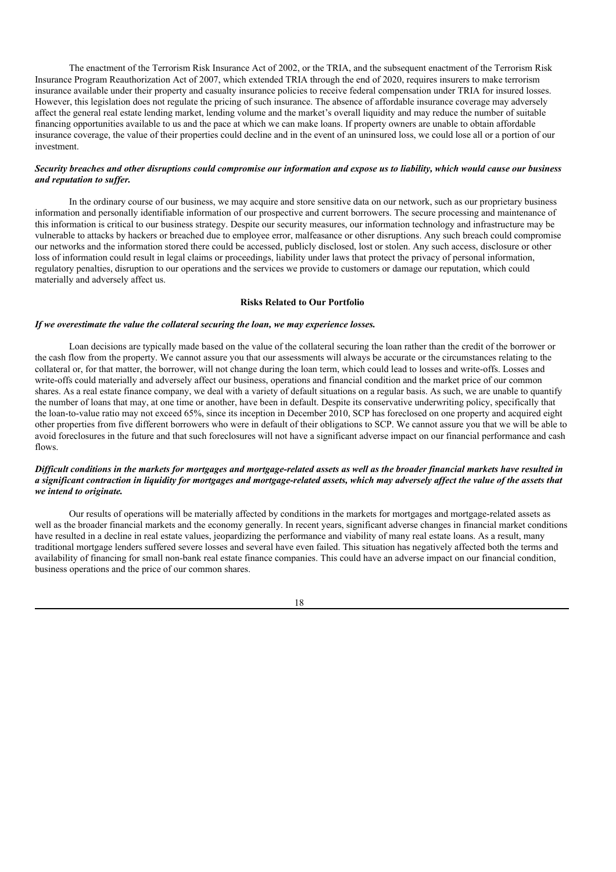The enactment of the Terrorism Risk Insurance Act of 2002, or the TRIA, and the subsequent enactment of the Terrorism Risk Insurance Program Reauthorization Act of 2007, which extended TRIA through the end of 2020, requires insurers to make terrorism insurance available under their property and casualty insurance policies to receive federal compensation under TRIA for insured losses. However, this legislation does not regulate the pricing of such insurance. The absence of affordable insurance coverage may adversely affect the general real estate lending market, lending volume and the market's overall liquidity and may reduce the number of suitable financing opportunities available to us and the pace at which we can make loans. If property owners are unable to obtain affordable insurance coverage, the value of their properties could decline and in the event of an uninsured loss, we could lose all or a portion of our investment.

## Security breaches and other disruptions could compromise our information and expose us to liability, which would cause our business *and reputation to suf er.*

In the ordinary course of our business, we may acquire and store sensitive data on our network, such as our proprietary business information and personally identifiable information of our prospective and current borrowers. The secure processing and maintenance of this information is critical to our business strategy. Despite our security measures, our information technology and infrastructure may be vulnerable to attacks by hackers or breached due to employee error, malfeasance or other disruptions. Any such breach could compromise our networks and the information stored there could be accessed, publicly disclosed, lost or stolen. Any such access, disclosure or other loss of information could result in legal claims or proceedings, liability under laws that protect the privacy of personal information, regulatory penalties, disruption to our operations and the services we provide to customers or damage our reputation, which could materially and adversely affect us.

## **Risks Related to Our Portfolio**

#### *If we overestimate the value the collateral securing the loan, we may experience losses.*

Loan decisions are typically made based on the value of the collateral securing the loan rather than the credit of the borrower or the cash flow from the property. We cannot assure you that our assessments will always be accurate or the circumstances relating to the collateral or, for that matter, the borrower, will not change during the loan term, which could lead to losses and write-offs. Losses and write-offs could materially and adversely affect our business, operations and financial condition and the market price of our common shares. As a real estate finance company, we deal with a variety of default situations on a regular basis. As such, we are unable to quantify the number of loans that may, at one time or another, have been in default. Despite its conservative underwriting policy, specifically that the loan-to-value ratio may not exceed 65%, since its inception in December 2010, SCP has foreclosed on one property and acquired eight other properties from five different borrowers who were in default of their obligations to SCP. We cannot assure you that we will be able to avoid foreclosures in the future and that such foreclosures will not have a significant adverse impact on our financial performance and cash flows.

## Difficult conditions in the markets for mortgages and mortgage-related assets as well as the broader financial markets have resulted in a significant contraction in liquidity for mortgages and mortgage-related assets, which may adversely affect the value of the assets that *we intend to originate.*

Our results of operations will be materially affected by conditions in the markets for mortgages and mortgage-related assets as well as the broader financial markets and the economy generally. In recent years, significant adverse changes in financial market conditions have resulted in a decline in real estate values, jeopardizing the performance and viability of many real estate loans. As a result, many traditional mortgage lenders suffered severe losses and several have even failed. This situation has negatively affected both the terms and availability of financing for small non-bank real estate finance companies. This could have an adverse impact on our financial condition, business operations and the price of our common shares.

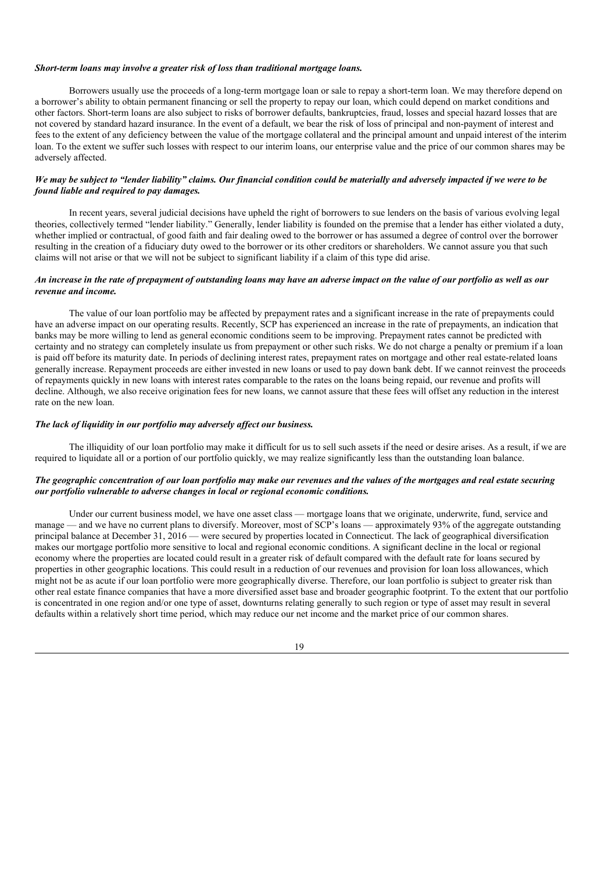#### *Short-term loans may involve a greater risk of loss than traditional mortgage loans.*

Borrowers usually use the proceeds of a long-term mortgage loan or sale to repay a short-term loan. We may therefore depend on a borrower's ability to obtain permanent financing or sell the property to repay our loan, which could depend on market conditions and other factors. Short-term loans are also subject to risks of borrower defaults, bankruptcies, fraud, losses and special hazard losses that are not covered by standard hazard insurance. In the event of a default, we bear the risk of loss of principal and non-payment of interest and fees to the extent of any deficiency between the value of the mortgage collateral and the principal amount and unpaid interest of the interim loan. To the extent we suffer such losses with respect to our interim loans, our enterprise value and the price of our common shares may be adversely affected.

## We may be subject to "lender liability" claims. Our financial condition could be materially and adversely impacted if we were to be *found liable and required to pay damages.*

In recent years, several judicial decisions have upheld the right of borrowers to sue lenders on the basis of various evolving legal theories, collectively termed "lender liability." Generally, lender liability is founded on the premise that a lender has either violated a duty, whether implied or contractual, of good faith and fair dealing owed to the borrower or has assumed a degree of control over the borrower resulting in the creation of a fiduciary duty owed to the borrower or its other creditors or shareholders. We cannot assure you that such claims will not arise or that we will not be subject to significant liability if a claim of this type did arise.

## An increase in the rate of prepayment of outstanding loans may have an adverse impact on the value of our portfolio as well as our *revenue and income.*

The value of our loan portfolio may be affected by prepayment rates and a significant increase in the rate of prepayments could have an adverse impact on our operating results. Recently, SCP has experienced an increase in the rate of prepayments, an indication that banks may be more willing to lend as general economic conditions seem to be improving. Prepayment rates cannot be predicted with certainty and no strategy can completely insulate us from prepayment or other such risks. We do not charge a penalty or premium if a loan is paid off before its maturity date. In periods of declining interest rates, prepayment rates on mortgage and other real estate-related loans generally increase. Repayment proceeds are either invested in new loans or used to pay down bank debt. If we cannot reinvest the proceeds of repayments quickly in new loans with interest rates comparable to the rates on the loans being repaid, our revenue and profits will decline. Although, we also receive origination fees for new loans, we cannot assure that these fees will offset any reduction in the interest rate on the new loan.

## *The lack of liquidity in our portfolio may adversely af ect our business.*

The illiquidity of our loan portfolio may make it difficult for us to sell such assets if the need or desire arises. As a result, if we are required to liquidate all or a portion of our portfolio quickly, we may realize significantly less than the outstanding loan balance.

## The geographic concentration of our loan portfolio may make our revenues and the values of the mortgages and real estate securing *our portfolio vulnerable to adverse changes in local or regional economic conditions.*

Under our current business model, we have one asset class — mortgage loans that we originate, underwrite, fund, service and manage — and we have no current plans to diversify. Moreover, most of SCP's loans — approximately 93% of the aggregate outstanding principal balance at December 31, 2016 — were secured by properties located in Connecticut. The lack of geographical diversification makes our mortgage portfolio more sensitive to local and regional economic conditions. A significant decline in the local or regional economy where the properties are located could result in a greater risk of default compared with the default rate for loans secured by properties in other geographic locations. This could result in a reduction of our revenues and provision for loan loss allowances, which might not be as acute if our loan portfolio were more geographically diverse. Therefore, our loan portfolio is subject to greater risk than other real estate finance companies that have a more diversified asset base and broader geographic footprint. To the extent that our portfolio is concentrated in one region and/or one type of asset, downturns relating generally to such region or type of asset may result in several defaults within a relatively short time period, which may reduce our net income and the market price of our common shares.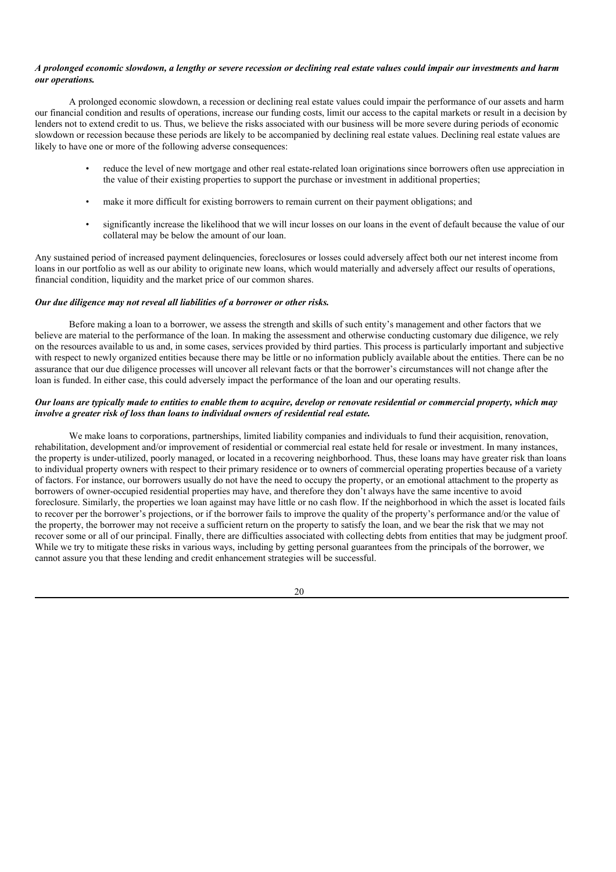## A prolonged economic slowdown, a lengthy or severe recession or declining real estate values could impair our investments and harm *our operations.*

A prolonged economic slowdown, a recession or declining real estate values could impair the performance of our assets and harm our financial condition and results of operations, increase our funding costs, limit our access to the capital markets or result in a decision by lenders not to extend credit to us. Thus, we believe the risks associated with our business will be more severe during periods of economic slowdown or recession because these periods are likely to be accompanied by declining real estate values. Declining real estate values are likely to have one or more of the following adverse consequences:

- reduce the level of new mortgage and other real estate-related loan originations since borrowers often use appreciation in the value of their existing properties to support the purchase or investment in additional properties;
- make it more difficult for existing borrowers to remain current on their payment obligations; and
- significantly increase the likelihood that we will incur losses on our loans in the event of default because the value of our collateral may be below the amount of our loan.

Any sustained period of increased payment delinquencies, foreclosures or losses could adversely affect both our net interest income from loans in our portfolio as well as our ability to originate new loans, which would materially and adversely affect our results of operations, financial condition, liquidity and the market price of our common shares.

## *Our due diligence may not reveal all liabilities of a borrower or other risks.*

Before making a loan to a borrower, we assess the strength and skills of such entity's management and other factors that we believe are material to the performance of the loan. In making the assessment and otherwise conducting customary due diligence, we rely on the resources available to us and, in some cases, services provided by third parties. This process is particularly important and subjective with respect to newly organized entities because there may be little or no information publicly available about the entities. There can be no assurance that our due diligence processes will uncover all relevant facts or that the borrower's circumstances will not change after the loan is funded. In either case, this could adversely impact the performance of the loan and our operating results.

## Our loans are typically made to entities to enable them to acquire, develop or renovate residential or commercial property, which may *involve a greater risk of loss than loans to individual owners of residential real estate.*

We make loans to corporations, partnerships, limited liability companies and individuals to fund their acquisition, renovation, rehabilitation, development and/or improvement of residential or commercial real estate held for resale or investment. In many instances, the property is under-utilized, poorly managed, or located in a recovering neighborhood. Thus, these loans may have greater risk than loans to individual property owners with respect to their primary residence or to owners of commercial operating properties because of a variety of factors. For instance, our borrowers usually do not have the need to occupy the property, or an emotional attachment to the property as borrowers of owner-occupied residential properties may have, and therefore they don't always have the same incentive to avoid foreclosure. Similarly, the properties we loan against may have little or no cash flow. If the neighborhood in which the asset is located fails to recover per the borrower's projections, or if the borrower fails to improve the quality of the property's performance and/or the value of the property, the borrower may not receive a sufficient return on the property to satisfy the loan, and we bear the risk that we may not recover some or all of our principal. Finally, there are difficulties associated with collecting debts from entities that may be judgment proof. While we try to mitigate these risks in various ways, including by getting personal guarantees from the principals of the borrower, we cannot assure you that these lending and credit enhancement strategies will be successful.

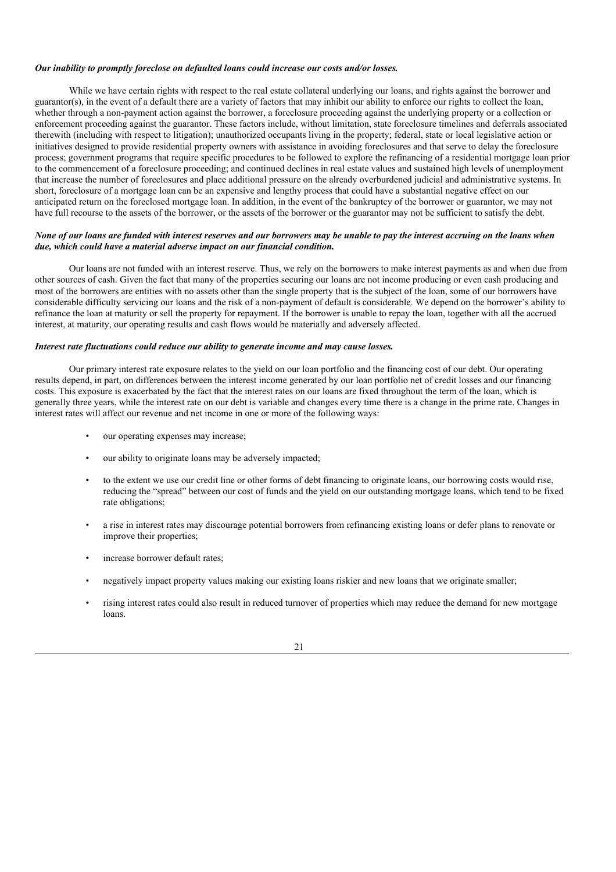#### *Our inability to promptly foreclose on defaulted loans could increase our costs and/or losses.*

While we have certain rights with respect to the real estate collateral underlying our loans, and rights against the borrower and guarantor(s), in the event of a default there are a variety of factors that may inhibit our ability to enforce our rights to collect the loan, whether through a non-payment action against the borrower, a foreclosure proceeding against the underlying property or a collection or enforcement proceeding against the guarantor. These factors include, without limitation, state foreclosure timelines and deferrals associated therewith (including with respect to litigation); unauthorized occupants living in the property; federal, state or local legislative action or initiatives designed to provide residential property owners with assistance in avoiding foreclosures and that serve to delay the foreclosure process; government programs that require specific procedures to be followed to explore the refinancing of a residential mortgage loan prior to the commencement of a foreclosure proceeding; and continued declines in real estate values and sustained high levels of unemployment that increase the number of foreclosures and place additional pressure on the already overburdened judicial and administrative systems. In short, foreclosure of a mortgage loan can be an expensive and lengthy process that could have a substantial negative effect on our anticipated return on the foreclosed mortgage loan. In addition, in the event of the bankruptcy of the borrower or guarantor, we may not have full recourse to the assets of the borrower, or the assets of the borrower or the guarantor may not be sufficient to satisfy the debt.

## None of our loans are funded with interest reserves and our borrowers may be unable to pay the interest accruing on the loans when *due, which could have a material adverse impact on our financial condition.*

Our loans are not funded with an interest reserve. Thus, we rely on the borrowers to make interest payments as and when due from other sources of cash. Given the fact that many of the properties securing our loans are not income producing or even cash producing and most of the borrowers are entities with no assets other than the single property that is the subject of the loan, some of our borrowers have considerable difficulty servicing our loans and the risk of a non-payment of default is considerable. We depend on the borrower's ability to refinance the loan at maturity or sell the property for repayment. If the borrower is unable to repay the loan, together with all the accrued interest, at maturity, our operating results and cash flows would be materially and adversely affected.

## *Interest rate fluctuations could reduce our ability to generate income and may cause losses.*

Our primary interest rate exposure relates to the yield on our loan portfolio and the financing cost of our debt. Our operating results depend, in part, on differences between the interest income generated by our loan portfolio net of credit losses and our financing costs. This exposure is exacerbated by the fact that the interest rates on our loans are fixed throughout the term of the loan, which is generally three years, while the interest rate on our debt is variable and changes every time there is a change in the prime rate. Changes in interest rates will affect our revenue and net income in one or more of the following ways:

- our operating expenses may increase;
- our ability to originate loans may be adversely impacted;
- to the extent we use our credit line or other forms of debt financing to originate loans, our borrowing costs would rise, reducing the "spread" between our cost of funds and the yield on our outstanding mortgage loans, which tend to be fixed rate obligations;
- a rise in interest rates may discourage potential borrowers from refinancing existing loans or defer plans to renovate or improve their properties;
- increase borrower default rates;
- negatively impact property values making our existing loans riskier and new loans that we originate smaller;
- rising interest rates could also result in reduced turnover of properties which may reduce the demand for new mortgage loans.

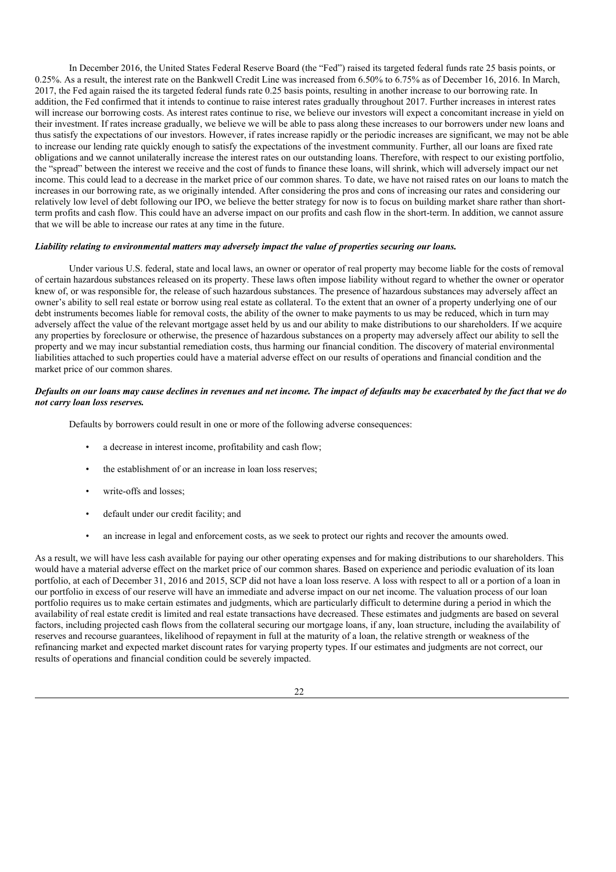In December 2016, the United States Federal Reserve Board (the "Fed") raised its targeted federal funds rate 25 basis points, or 0.25%. As a result, the interest rate on the Bankwell Credit Line was increased from 6.50% to 6.75% as of December 16, 2016. In March, 2017, the Fed again raised the its targeted federal funds rate 0.25 basis points, resulting in another increase to our borrowing rate. In addition, the Fed confirmed that it intends to continue to raise interest rates gradually throughout 2017. Further increases in interest rates will increase our borrowing costs. As interest rates continue to rise, we believe our investors will expect a concomitant increase in yield on their investment. If rates increase gradually, we believe we will be able to pass along these increases to our borrowers under new loans and thus satisfy the expectations of our investors. However, if rates increase rapidly or the periodic increases are significant, we may not be able to increase our lending rate quickly enough to satisfy the expectations of the investment community. Further, all our loans are fixed rate obligations and we cannot unilaterally increase the interest rates on our outstanding loans. Therefore, with respect to our existing portfolio, the "spread" between the interest we receive and the cost of funds to finance these loans, will shrink, which will adversely impact our net income. This could lead to a decrease in the market price of our common shares. To date, we have not raised rates on our loans to match the increases in our borrowing rate, as we originally intended. After considering the pros and cons of increasing our rates and considering our relatively low level of debt following our IPO, we believe the better strategy for now is to focus on building market share rather than shortterm profits and cash flow. This could have an adverse impact on our profits and cash flow in the short-term. In addition, we cannot assure that we will be able to increase our rates at any time in the future.

#### *Liability relating to environmental matters may adversely impact the value of properties securing our loans.*

Under various U.S. federal, state and local laws, an owner or operator of real property may become liable for the costs of removal of certain hazardous substances released on its property. These laws often impose liability without regard to whether the owner or operator knew of, or was responsible for, the release of such hazardous substances. The presence of hazardous substances may adversely affect an owner's ability to sell real estate or borrow using real estate as collateral. To the extent that an owner of a property underlying one of our debt instruments becomes liable for removal costs, the ability of the owner to make payments to us may be reduced, which in turn may adversely affect the value of the relevant mortgage asset held by us and our ability to make distributions to our shareholders. If we acquire any properties by foreclosure or otherwise, the presence of hazardous substances on a property may adversely affect our ability to sell the property and we may incur substantial remediation costs, thus harming our financial condition. The discovery of material environmental liabilities attached to such properties could have a material adverse effect on our results of operations and financial condition and the market price of our common shares.

## Defaults on our loans may cause declines in revenues and net income. The impact of defaults may be exacerbated by the fact that we do *not carry loan loss reserves.*

Defaults by borrowers could result in one or more of the following adverse consequences:

- a decrease in interest income, profitability and cash flow;
- the establishment of or an increase in loan loss reserves:
- write-offs and losses;
- default under our credit facility; and
- an increase in legal and enforcement costs, as we seek to protect our rights and recover the amounts owed.

As a result, we will have less cash available for paying our other operating expenses and for making distributions to our shareholders. This would have a material adverse effect on the market price of our common shares. Based on experience and periodic evaluation of its loan portfolio, at each of December 31, 2016 and 2015, SCP did not have a loan loss reserve. A loss with respect to all or a portion of a loan in our portfolio in excess of our reserve will have an immediate and adverse impact on our net income. The valuation process of our loan portfolio requires us to make certain estimates and judgments, which are particularly difficult to determine during a period in which the availability of real estate credit is limited and real estate transactions have decreased. These estimates and judgments are based on several factors, including projected cash flows from the collateral securing our mortgage loans, if any, loan structure, including the availability of reserves and recourse guarantees, likelihood of repayment in full at the maturity of a loan, the relative strength or weakness of the refinancing market and expected market discount rates for varying property types. If our estimates and judgments are not correct, our results of operations and financial condition could be severely impacted.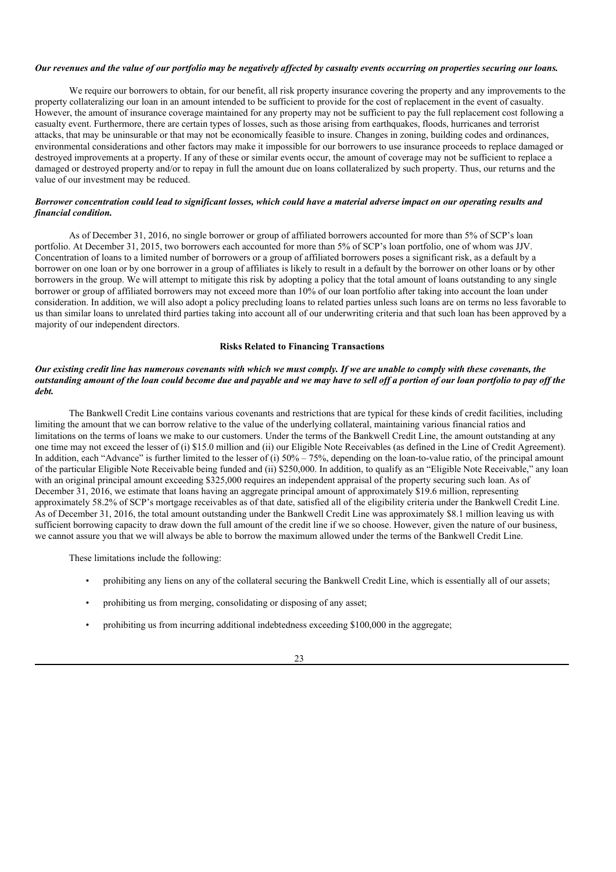#### Our revenues and the value of our portfolio may be negatively affected by casualty events occurring on properties securing our loans.

We require our borrowers to obtain, for our benefit, all risk property insurance covering the property and any improvements to the property collateralizing our loan in an amount intended to be sufficient to provide for the cost of replacement in the event of casualty. However, the amount of insurance coverage maintained for any property may not be sufficient to pay the full replacement cost following a casualty event. Furthermore, there are certain types of losses, such as those arising from earthquakes, floods, hurricanes and terrorist attacks, that may be uninsurable or that may not be economically feasible to insure. Changes in zoning, building codes and ordinances, environmental considerations and other factors may make it impossible for our borrowers to use insurance proceeds to replace damaged or destroyed improvements at a property. If any of these or similar events occur, the amount of coverage may not be sufficient to replace a damaged or destroyed property and/or to repay in full the amount due on loans collateralized by such property. Thus, our returns and the value of our investment may be reduced.

## Borrower concentration could lead to significant losses, which could have a material adverse impact on our operating results and *financial condition.*

As of December 31, 2016, no single borrower or group of affiliated borrowers accounted for more than 5% of SCP's loan portfolio. At December 31, 2015, two borrowers each accounted for more than 5% of SCP's loan portfolio, one of whom was JJV. Concentration of loans to a limited number of borrowers or a group of affiliated borrowers poses a significant risk, as a default by a borrower on one loan or by one borrower in a group of affiliates is likely to result in a default by the borrower on other loans or by other borrowers in the group. We will attempt to mitigate this risk by adopting a policy that the total amount of loans outstanding to any single borrower or group of affiliated borrowers may not exceed more than 10% of our loan portfolio after taking into account the loan under consideration. In addition, we will also adopt a policy precluding loans to related parties unless such loans are on terms no less favorable to us than similar loans to unrelated third parties taking into account all of our underwriting criteria and that such loan has been approved by a majority of our independent directors.

## **Risks Related to Financing Transactions**

## Our existing credit line has numerous covenants with which we must comply. If we are unable to comply with these covenants, the outstanding amount of the loan could become due and payable and we may have to sell off a portion of our loan portfolio to pay off the *debt.*

The Bankwell Credit Line contains various covenants and restrictions that are typical for these kinds of credit facilities, including limiting the amount that we can borrow relative to the value of the underlying collateral, maintaining various financial ratios and limitations on the terms of loans we make to our customers. Under the terms of the Bankwell Credit Line, the amount outstanding at any one time may not exceed the lesser of (i) \$15.0 million and (ii) our Eligible Note Receivables (as defined in the Line of Credit Agreement). In addition, each "Advance" is further limited to the lesser of (i)  $50\% - 75\%$ , depending on the loan-to-value ratio, of the principal amount of the particular Eligible Note Receivable being funded and (ii) \$250,000. In addition, to qualify as an "Eligible Note Receivable," any loan with an original principal amount exceeding \$325,000 requires an independent appraisal of the property securing such loan. As of December 31, 2016, we estimate that loans having an aggregate principal amount of approximately \$19.6 million, representing approximately 58.2% of SCP's mortgage receivables as of that date, satisfied all of the eligibility criteria under the Bankwell Credit Line. As of December 31, 2016, the total amount outstanding under the Bankwell Credit Line was approximately \$8.1 million leaving us with sufficient borrowing capacity to draw down the full amount of the credit line if we so choose. However, given the nature of our business, we cannot assure you that we will always be able to borrow the maximum allowed under the terms of the Bankwell Credit Line.

These limitations include the following:

- prohibiting any liens on any of the collateral securing the Bankwell Credit Line, which is essentially all of our assets;
- prohibiting us from merging, consolidating or disposing of any asset;
- prohibiting us from incurring additional indebtedness exceeding \$100,000 in the aggregate;

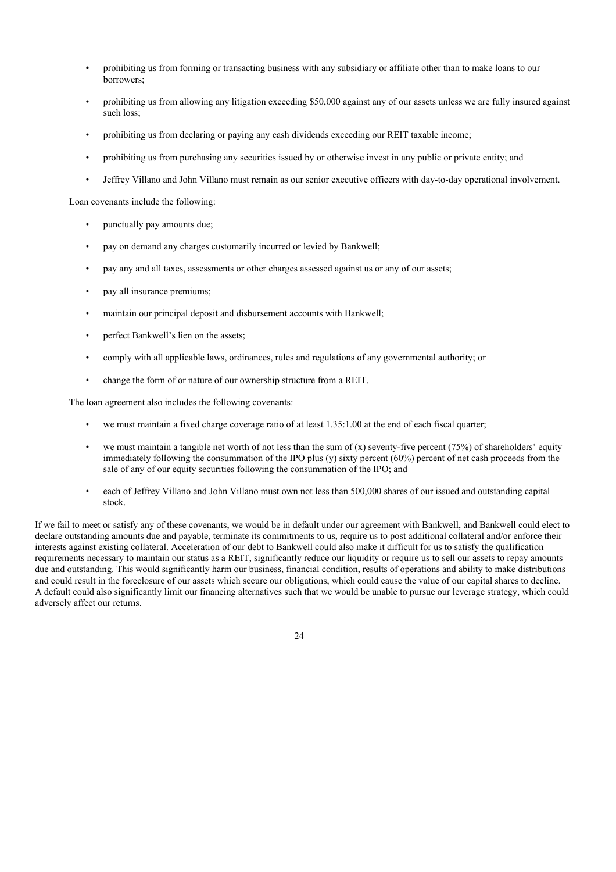- prohibiting us from forming or transacting business with any subsidiary or affiliate other than to make loans to our borrowers;
- prohibiting us from allowing any litigation exceeding \$50,000 against any of our assets unless we are fully insured against such loss;
- prohibiting us from declaring or paying any cash dividends exceeding our REIT taxable income;
- prohibiting us from purchasing any securities issued by or otherwise invest in any public or private entity; and
- Jeffrey Villano and John Villano must remain as our senior executive officers with day-to-day operational involvement.

Loan covenants include the following:

- punctually pay amounts due;
- pay on demand any charges customarily incurred or levied by Bankwell;
- pay any and all taxes, assessments or other charges assessed against us or any of our assets;
- pay all insurance premiums;
- maintain our principal deposit and disbursement accounts with Bankwell;
- perfect Bankwell's lien on the assets;
- comply with all applicable laws, ordinances, rules and regulations of any governmental authority; or
- change the form of or nature of our ownership structure from a REIT.

The loan agreement also includes the following covenants:

- we must maintain a fixed charge coverage ratio of at least 1.35:1.00 at the end of each fiscal quarter;
- we must maintain a tangible net worth of not less than the sum of  $(x)$  seventy-five percent  $(75%)$  of shareholders' equity immediately following the consummation of the IPO plus (y) sixty percent (60%) percent of net cash proceeds from the sale of any of our equity securities following the consummation of the IPO; and
- each of Jeffrey Villano and John Villano must own not less than 500,000 shares of our issued and outstanding capital stock.

If we fail to meet or satisfy any of these covenants, we would be in default under our agreement with Bankwell, and Bankwell could elect to declare outstanding amounts due and payable, terminate its commitments to us, require us to post additional collateral and/or enforce their interests against existing collateral. Acceleration of our debt to Bankwell could also make it difficult for us to satisfy the qualification requirements necessary to maintain our status as a REIT, significantly reduce our liquidity or require us to sell our assets to repay amounts due and outstanding. This would significantly harm our business, financial condition, results of operations and ability to make distributions and could result in the foreclosure of our assets which secure our obligations, which could cause the value of our capital shares to decline. A default could also significantly limit our financing alternatives such that we would be unable to pursue our leverage strategy, which could adversely affect our returns.

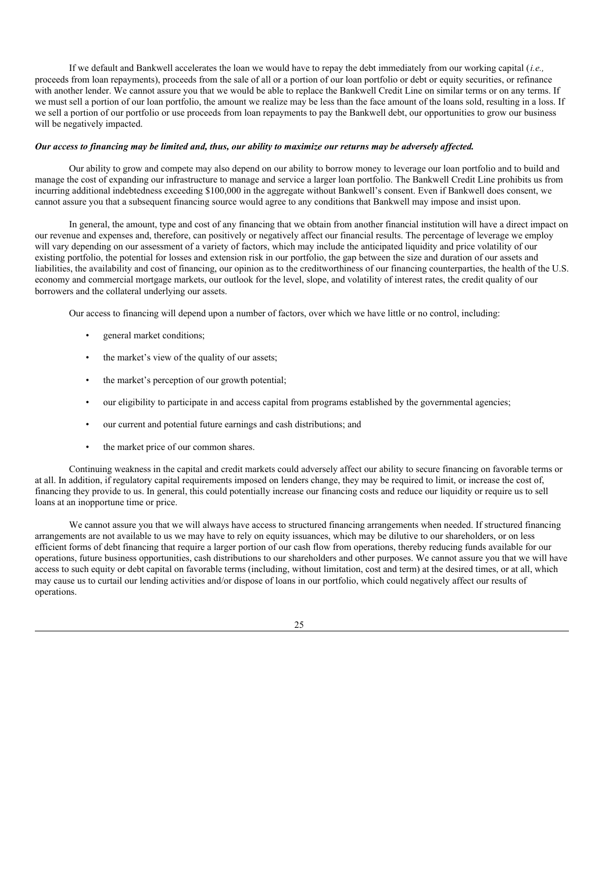If we default and Bankwell accelerates the loan we would have to repay the debt immediately from our working capital (*i.e.,* proceeds from loan repayments), proceeds from the sale of all or a portion of our loan portfolio or debt or equity securities, or refinance with another lender. We cannot assure you that we would be able to replace the Bankwell Credit Line on similar terms or on any terms. If we must sell a portion of our loan portfolio, the amount we realize may be less than the face amount of the loans sold, resulting in a loss. If we sell a portion of our portfolio or use proceeds from loan repayments to pay the Bankwell debt, our opportunities to grow our business will be negatively impacted.

## Our access to financing may be limited and, thus, our ability to maximize our returns may be adversely affected.

Our ability to grow and compete may also depend on our ability to borrow money to leverage our loan portfolio and to build and manage the cost of expanding our infrastructure to manage and service a larger loan portfolio. The Bankwell Credit Line prohibits us from incurring additional indebtedness exceeding \$100,000 in the aggregate without Bankwell's consent. Even if Bankwell does consent, we cannot assure you that a subsequent financing source would agree to any conditions that Bankwell may impose and insist upon.

In general, the amount, type and cost of any financing that we obtain from another financial institution will have a direct impact on our revenue and expenses and, therefore, can positively or negatively affect our financial results. The percentage of leverage we employ will vary depending on our assessment of a variety of factors, which may include the anticipated liquidity and price volatility of our existing portfolio, the potential for losses and extension risk in our portfolio, the gap between the size and duration of our assets and liabilities, the availability and cost of financing, our opinion as to the creditworthiness of our financing counterparties, the health of the U.S. economy and commercial mortgage markets, our outlook for the level, slope, and volatility of interest rates, the credit quality of our borrowers and the collateral underlying our assets.

Our access to financing will depend upon a number of factors, over which we have little or no control, including:

- general market conditions;
- the market's view of the quality of our assets;
- the market's perception of our growth potential;
- our eligibility to participate in and access capital from programs established by the governmental agencies;
- our current and potential future earnings and cash distributions; and
- the market price of our common shares.

Continuing weakness in the capital and credit markets could adversely affect our ability to secure financing on favorable terms or at all. In addition, if regulatory capital requirements imposed on lenders change, they may be required to limit, or increase the cost of, financing they provide to us. In general, this could potentially increase our financing costs and reduce our liquidity or require us to sell loans at an inopportune time or price.

We cannot assure you that we will always have access to structured financing arrangements when needed. If structured financing arrangements are not available to us we may have to rely on equity issuances, which may be dilutive to our shareholders, or on less efficient forms of debt financing that require a larger portion of our cash flow from operations, thereby reducing funds available for our operations, future business opportunities, cash distributions to our shareholders and other purposes. We cannot assure you that we will have access to such equity or debt capital on favorable terms (including, without limitation, cost and term) at the desired times, or at all, which may cause us to curtail our lending activities and/or dispose of loans in our portfolio, which could negatively affect our results of operations.

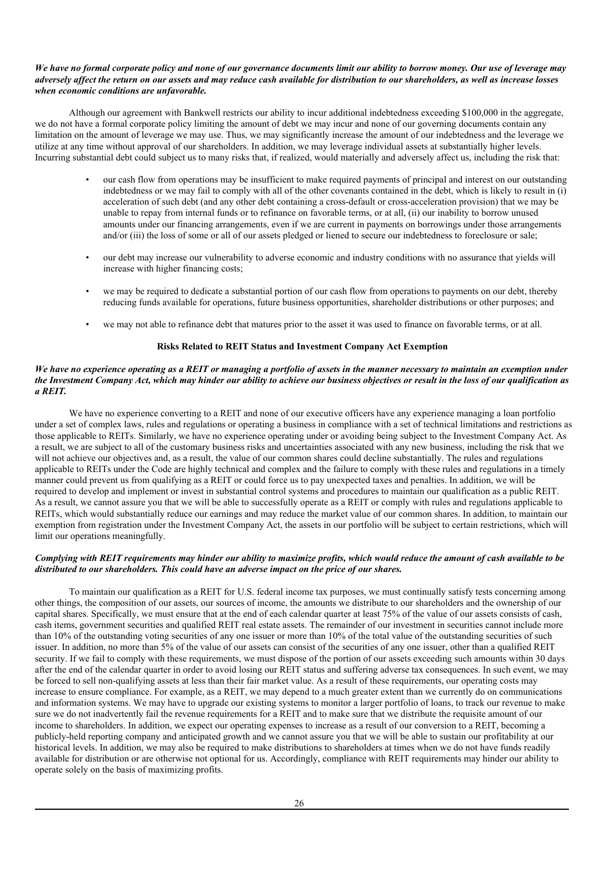## We have no formal corporate policy and none of our governance documents limit our ability to borrow money. Our use of leverage may adversely affect the return on our assets and may reduce cash available for distribution to our shareholders, as well as increase losses *when economic conditions are unfavorable.*

Although our agreement with Bankwell restricts our ability to incur additional indebtedness exceeding \$100,000 in the aggregate, we do not have a formal corporate policy limiting the amount of debt we may incur and none of our governing documents contain any limitation on the amount of leverage we may use. Thus, we may significantly increase the amount of our indebtedness and the leverage we utilize at any time without approval of our shareholders. In addition, we may leverage individual assets at substantially higher levels. Incurring substantial debt could subject us to many risks that, if realized, would materially and adversely affect us, including the risk that:

- our cash flow from operations may be insufficient to make required payments of principal and interest on our outstanding indebtedness or we may fail to comply with all of the other covenants contained in the debt, which is likely to result in (i) acceleration of such debt (and any other debt containing a cross-default or cross-acceleration provision) that we may be unable to repay from internal funds or to refinance on favorable terms, or at all, (ii) our inability to borrow unused amounts under our financing arrangements, even if we are current in payments on borrowings under those arrangements and/or (iii) the loss of some or all of our assets pledged or liened to secure our indebtedness to foreclosure or sale;
- our debt may increase our vulnerability to adverse economic and industry conditions with no assurance that yields will increase with higher financing costs;
- we may be required to dedicate a substantial portion of our cash flow from operations to payments on our debt, thereby reducing funds available for operations, future business opportunities, shareholder distributions or other purposes; and
- we may not able to refinance debt that matures prior to the asset it was used to finance on favorable terms, or at all.

## **Risks Related to REIT Status and Investment Company Act Exemption**

## We have no experience operating as a REIT or managing a portfolio of assets in the manner necessary to maintain an exemption under the Investment Company Act, which may hinder our ability to achieve our business objectives or result in the loss of our qualification as *a REIT.*

We have no experience converting to a REIT and none of our executive officers have any experience managing a loan portfolio under a set of complex laws, rules and regulations or operating a business in compliance with a set of technical limitations and restrictions as those applicable to REITs. Similarly, we have no experience operating under or avoiding being subject to the Investment Company Act. As a result, we are subject to all of the customary business risks and uncertainties associated with any new business, including the risk that we will not achieve our objectives and, as a result, the value of our common shares could decline substantially. The rules and regulations applicable to REITs under the Code are highly technical and complex and the failure to comply with these rules and regulations in a timely manner could prevent us from qualifying as a REIT or could force us to pay unexpected taxes and penalties. In addition, we will be required to develop and implement or invest in substantial control systems and procedures to maintain our qualification as a public REIT. As a result, we cannot assure you that we will be able to successfully operate as a REIT or comply with rules and regulations applicable to REITs, which would substantially reduce our earnings and may reduce the market value of our common shares. In addition, to maintain our exemption from registration under the Investment Company Act, the assets in our portfolio will be subject to certain restrictions, which will limit our operations meaningfully.

## Complying with REIT requirements may hinder our ability to maximize profits, which would reduce the amount of cash available to be *distributed to our shareholders. This could have an adverse impact on the price of our shares.*

To maintain our qualification as a REIT for U.S. federal income tax purposes, we must continually satisfy tests concerning among other things, the composition of our assets, our sources of income, the amounts we distribute to our shareholders and the ownership of our capital shares. Specifically, we must ensure that at the end of each calendar quarter at least 75% of the value of our assets consists of cash, cash items, government securities and qualified REIT real estate assets. The remainder of our investment in securities cannot include more than 10% of the outstanding voting securities of any one issuer or more than 10% of the total value of the outstanding securities of such issuer. In addition, no more than 5% of the value of our assets can consist of the securities of any one issuer, other than a qualified REIT security. If we fail to comply with these requirements, we must dispose of the portion of our assets exceeding such amounts within 30 days after the end of the calendar quarter in order to avoid losing our REIT status and suffering adverse tax consequences. In such event, we may be forced to sell non-qualifying assets at less than their fair market value. As a result of these requirements, our operating costs may increase to ensure compliance. For example, as a REIT, we may depend to a much greater extent than we currently do on communications and information systems. We may have to upgrade our existing systems to monitor a larger portfolio of loans, to track our revenue to make sure we do not inadvertently fail the revenue requirements for a REIT and to make sure that we distribute the requisite amount of our income to shareholders. In addition, we expect our operating expenses to increase as a result of our conversion to a REIT, becoming a publicly-held reporting company and anticipated growth and we cannot assure you that we will be able to sustain our profitability at our historical levels. In addition, we may also be required to make distributions to shareholders at times when we do not have funds readily available for distribution or are otherwise not optional for us. Accordingly, compliance with REIT requirements may hinder our ability to operate solely on the basis of maximizing profits.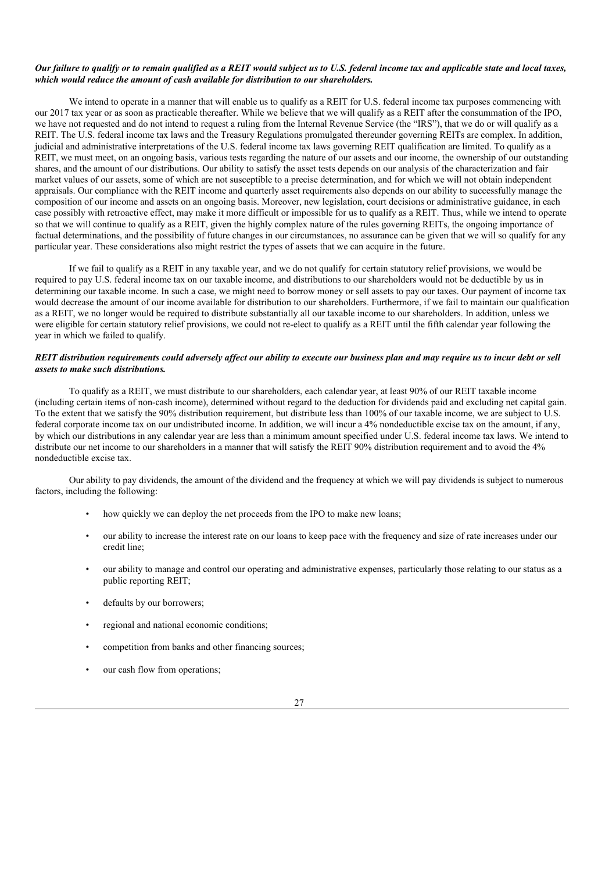## Our failure to qualify or to remain qualified as a REIT would subject us to U.S. federal income tax and applicable state and local taxes, *which would reduce the amount of cash available for distribution to our shareholders.*

We intend to operate in a manner that will enable us to qualify as a REIT for U.S. federal income tax purposes commencing with our 2017 tax year or as soon as practicable thereafter. While we believe that we will qualify as a REIT after the consummation of the IPO, we have not requested and do not intend to request a ruling from the Internal Revenue Service (the "IRS"), that we do or will qualify as a REIT. The U.S. federal income tax laws and the Treasury Regulations promulgated thereunder governing REITs are complex. In addition, judicial and administrative interpretations of the U.S. federal income tax laws governing REIT qualification are limited. To qualify as a REIT, we must meet, on an ongoing basis, various tests regarding the nature of our assets and our income, the ownership of our outstanding shares, and the amount of our distributions. Our ability to satisfy the asset tests depends on our analysis of the characterization and fair market values of our assets, some of which are not susceptible to a precise determination, and for which we will not obtain independent appraisals. Our compliance with the REIT income and quarterly asset requirements also depends on our ability to successfully manage the composition of our income and assets on an ongoing basis. Moreover, new legislation, court decisions or administrative guidance, in each case possibly with retroactive effect, may make it more difficult or impossible for us to qualify as a REIT. Thus, while we intend to operate so that we will continue to qualify as a REIT, given the highly complex nature of the rules governing REITs, the ongoing importance of factual determinations, and the possibility of future changes in our circumstances, no assurance can be given that we will so qualify for any particular year. These considerations also might restrict the types of assets that we can acquire in the future.

If we fail to qualify as a REIT in any taxable year, and we do not qualify for certain statutory relief provisions, we would be required to pay U.S. federal income tax on our taxable income, and distributions to our shareholders would not be deductible by us in determining our taxable income. In such a case, we might need to borrow money or sell assets to pay our taxes. Our payment of income tax would decrease the amount of our income available for distribution to our shareholders. Furthermore, if we fail to maintain our qualification as a REIT, we no longer would be required to distribute substantially all our taxable income to our shareholders. In addition, unless we were eligible for certain statutory relief provisions, we could not re-elect to qualify as a REIT until the fifth calendar year following the year in which we failed to qualify.

## REIT distribution requirements could adversely affect our ability to execute our business plan and may require us to incur debt or sell *assets to make such distributions.*

To qualify as a REIT, we must distribute to our shareholders, each calendar year, at least 90% of our REIT taxable income (including certain items of non-cash income), determined without regard to the deduction for dividends paid and excluding net capital gain. To the extent that we satisfy the 90% distribution requirement, but distribute less than 100% of our taxable income, we are subject to U.S. federal corporate income tax on our undistributed income. In addition, we will incur a 4% nondeductible excise tax on the amount, if any, by which our distributions in any calendar year are less than a minimum amount specified under U.S. federal income tax laws. We intend to distribute our net income to our shareholders in a manner that will satisfy the REIT 90% distribution requirement and to avoid the 4% nondeductible excise tax.

Our ability to pay dividends, the amount of the dividend and the frequency at which we will pay dividends is subject to numerous factors, including the following:

- how quickly we can deploy the net proceeds from the IPO to make new loans;
- our ability to increase the interest rate on our loans to keep pace with the frequency and size of rate increases under our credit line;
- our ability to manage and control our operating and administrative expenses, particularly those relating to our status as a public reporting REIT;
- defaults by our borrowers:
- regional and national economic conditions;
- competition from banks and other financing sources;
- our cash flow from operations: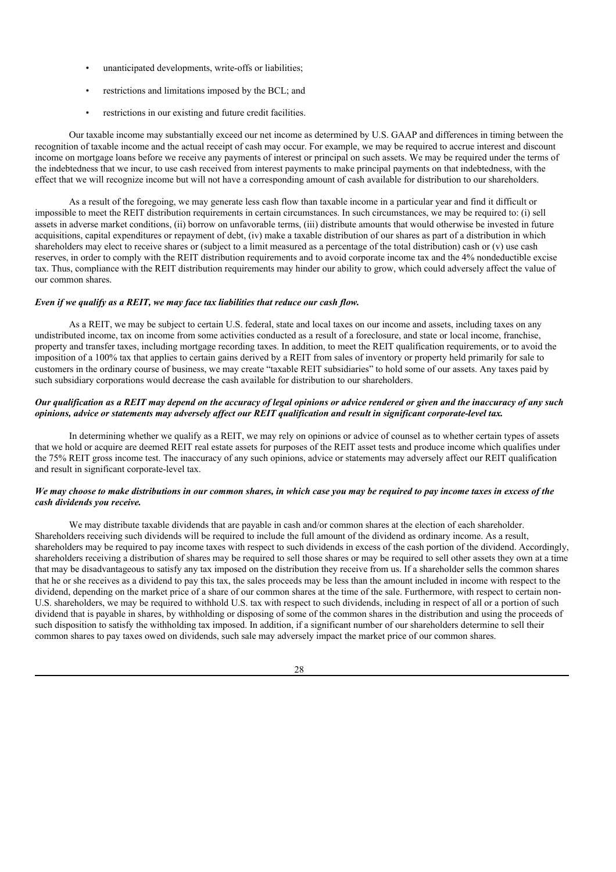- unanticipated developments, write-offs or liabilities;
- restrictions and limitations imposed by the BCL; and
- restrictions in our existing and future credit facilities.

Our taxable income may substantially exceed our net income as determined by U.S. GAAP and differences in timing between the recognition of taxable income and the actual receipt of cash may occur. For example, we may be required to accrue interest and discount income on mortgage loans before we receive any payments of interest or principal on such assets. We may be required under the terms of the indebtedness that we incur, to use cash received from interest payments to make principal payments on that indebtedness, with the effect that we will recognize income but will not have a corresponding amount of cash available for distribution to our shareholders.

As a result of the foregoing, we may generate less cash flow than taxable income in a particular year and find it difficult or impossible to meet the REIT distribution requirements in certain circumstances. In such circumstances, we may be required to: (i) sell assets in adverse market conditions, (ii) borrow on unfavorable terms, (iii) distribute amounts that would otherwise be invested in future acquisitions, capital expenditures or repayment of debt, (iv) make a taxable distribution of our shares as part of a distribution in which shareholders may elect to receive shares or (subject to a limit measured as a percentage of the total distribution) cash or (v) use cash reserves, in order to comply with the REIT distribution requirements and to avoid corporate income tax and the 4% nondeductible excise tax. Thus, compliance with the REIT distribution requirements may hinder our ability to grow, which could adversely affect the value of our common shares.

#### *Even if we qualify as a REIT, we may face tax liabilities that reduce our cash flow.*

As a REIT, we may be subject to certain U.S. federal, state and local taxes on our income and assets, including taxes on any undistributed income, tax on income from some activities conducted as a result of a foreclosure, and state or local income, franchise, property and transfer taxes, including mortgage recording taxes. In addition, to meet the REIT qualification requirements, or to avoid the imposition of a 100% tax that applies to certain gains derived by a REIT from sales of inventory or property held primarily for sale to customers in the ordinary course of business, we may create "taxable REIT subsidiaries" to hold some of our assets. Any taxes paid by such subsidiary corporations would decrease the cash available for distribution to our shareholders.

## Our qualification as a REIT may depend on the accuracy of legal opinions or advice rendered or given and the inaccuracy of any such opinions, advice or statements may adversely affect our REIT qualification and result in significant corporate-level tax.

In determining whether we qualify as a REIT, we may rely on opinions or advice of counsel as to whether certain types of assets that we hold or acquire are deemed REIT real estate assets for purposes of the REIT asset tests and produce income which qualifies under the 75% REIT gross income test. The inaccuracy of any such opinions, advice or statements may adversely affect our REIT qualification and result in significant corporate-level tax.

## We may choose to make distributions in our common shares, in which case you may be required to pay income taxes in excess of the *cash dividends you receive.*

We may distribute taxable dividends that are payable in cash and/or common shares at the election of each shareholder. Shareholders receiving such dividends will be required to include the full amount of the dividend as ordinary income. As a result, shareholders may be required to pay income taxes with respect to such dividends in excess of the cash portion of the dividend. Accordingly, shareholders receiving a distribution of shares may be required to sell those shares or may be required to sell other assets they own at a time that may be disadvantageous to satisfy any tax imposed on the distribution they receive from us. If a shareholder sells the common shares that he or she receives as a dividend to pay this tax, the sales proceeds may be less than the amount included in income with respect to the dividend, depending on the market price of a share of our common shares at the time of the sale. Furthermore, with respect to certain non-U.S. shareholders, we may be required to withhold U.S. tax with respect to such dividends, including in respect of all or a portion of such dividend that is payable in shares, by withholding or disposing of some of the common shares in the distribution and using the proceeds of such disposition to satisfy the withholding tax imposed. In addition, if a significant number of our shareholders determine to sell their common shares to pay taxes owed on dividends, such sale may adversely impact the market price of our common shares.

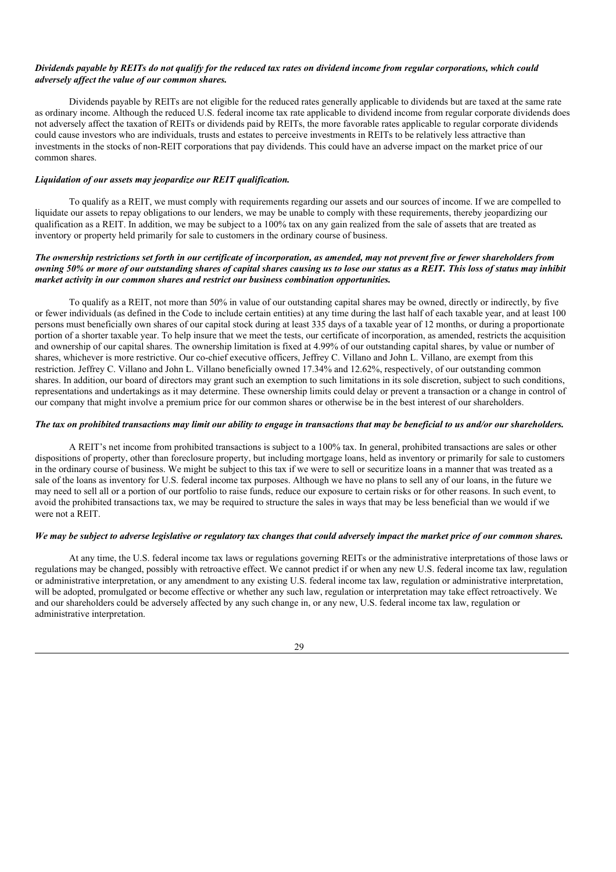## Dividends payable by REITs do not qualify for the reduced tax rates on dividend income from regular corporations, which could *adversely af ect the value of our common shares.*

Dividends payable by REITs are not eligible for the reduced rates generally applicable to dividends but are taxed at the same rate as ordinary income. Although the reduced U.S. federal income tax rate applicable to dividend income from regular corporate dividends does not adversely affect the taxation of REITs or dividends paid by REITs, the more favorable rates applicable to regular corporate dividends could cause investors who are individuals, trusts and estates to perceive investments in REITs to be relatively less attractive than investments in the stocks of non-REIT corporations that pay dividends. This could have an adverse impact on the market price of our common shares.

## *Liquidation of our assets may jeopardize our REIT qualification.*

To qualify as a REIT, we must comply with requirements regarding our assets and our sources of income. If we are compelled to liquidate our assets to repay obligations to our lenders, we may be unable to comply with these requirements, thereby jeopardizing our qualification as a REIT. In addition, we may be subject to a 100% tax on any gain realized from the sale of assets that are treated as inventory or property held primarily for sale to customers in the ordinary course of business.

## The ownership restrictions set forth in our certificate of incorporation, as amended, may not prevent five or fewer shareholders from owning 50% or more of our outstanding shares of capital shares causing us to lose our status as a REIT. This loss of status may inhibit *market activity in our common shares and restrict our business combination opportunities.*

To qualify as a REIT, not more than 50% in value of our outstanding capital shares may be owned, directly or indirectly, by five or fewer individuals (as defined in the Code to include certain entities) at any time during the last half of each taxable year, and at least 100 persons must beneficially own shares of our capital stock during at least 335 days of a taxable year of 12 months, or during a proportionate portion of a shorter taxable year. To help insure that we meet the tests, our certificate of incorporation, as amended, restricts the acquisition and ownership of our capital shares. The ownership limitation is fixed at 4.99% of our outstanding capital shares, by value or number of shares, whichever is more restrictive. Our co-chief executive officers, Jeffrey C. Villano and John L. Villano, are exempt from this restriction. Jeffrey C. Villano and John L. Villano beneficially owned 17.34% and 12.62%, respectively, of our outstanding common shares. In addition, our board of directors may grant such an exemption to such limitations in its sole discretion, subject to such conditions, representations and undertakings as it may determine. These ownership limits could delay or prevent a transaction or a change in control of our company that might involve a premium price for our common shares or otherwise be in the best interest of our shareholders.

## The tax on prohibited transactions may limit our ability to engage in transactions that may be beneficial to us and/or our shareholders.

A REIT's net income from prohibited transactions is subject to a 100% tax. In general, prohibited transactions are sales or other dispositions of property, other than foreclosure property, but including mortgage loans, held as inventory or primarily for sale to customers in the ordinary course of business. We might be subject to this tax if we were to sell or securitize loans in a manner that was treated as a sale of the loans as inventory for U.S. federal income tax purposes. Although we have no plans to sell any of our loans, in the future we may need to sell all or a portion of our portfolio to raise funds, reduce our exposure to certain risks or for other reasons. In such event, to avoid the prohibited transactions tax, we may be required to structure the sales in ways that may be less beneficial than we would if we were not a REIT.

## We may be subject to adverse legislative or regulatory tax changes that could adversely impact the market price of our common shares.

At any time, the U.S. federal income tax laws or regulations governing REITs or the administrative interpretations of those laws or regulations may be changed, possibly with retroactive effect. We cannot predict if or when any new U.S. federal income tax law, regulation or administrative interpretation, or any amendment to any existing U.S. federal income tax law, regulation or administrative interpretation, will be adopted, promulgated or become effective or whether any such law, regulation or interpretation may take effect retroactively. We and our shareholders could be adversely affected by any such change in, or any new, U.S. federal income tax law, regulation or administrative interpretation.

#### 29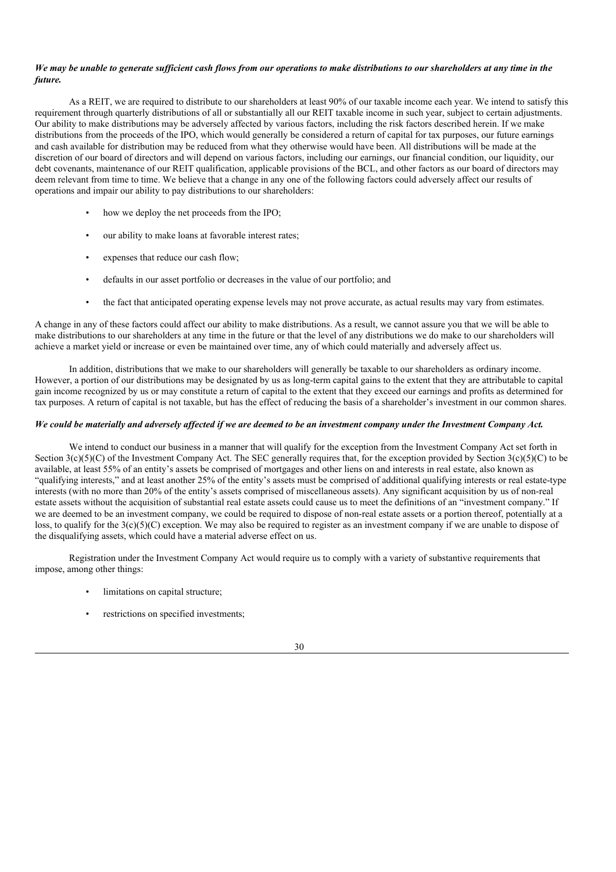## We may be unable to generate sufficient cash flows from our operations to make distributions to our shareholders at any time in the *future.*

As a REIT, we are required to distribute to our shareholders at least 90% of our taxable income each year. We intend to satisfy this requirement through quarterly distributions of all or substantially all our REIT taxable income in such year, subject to certain adjustments. Our ability to make distributions may be adversely affected by various factors, including the risk factors described herein. If we make distributions from the proceeds of the IPO, which would generally be considered a return of capital for tax purposes, our future earnings and cash available for distribution may be reduced from what they otherwise would have been. All distributions will be made at the discretion of our board of directors and will depend on various factors, including our earnings, our financial condition, our liquidity, our debt covenants, maintenance of our REIT qualification, applicable provisions of the BCL, and other factors as our board of directors may deem relevant from time to time. We believe that a change in any one of the following factors could adversely affect our results of operations and impair our ability to pay distributions to our shareholders:

- how we deploy the net proceeds from the IPO:
- our ability to make loans at favorable interest rates;
- expenses that reduce our cash flow;
- defaults in our asset portfolio or decreases in the value of our portfolio; and
- the fact that anticipated operating expense levels may not prove accurate, as actual results may vary from estimates.

A change in any of these factors could affect our ability to make distributions. As a result, we cannot assure you that we will be able to make distributions to our shareholders at any time in the future or that the level of any distributions we do make to our shareholders will achieve a market yield or increase or even be maintained over time, any of which could materially and adversely affect us.

In addition, distributions that we make to our shareholders will generally be taxable to our shareholders as ordinary income. However, a portion of our distributions may be designated by us as long-term capital gains to the extent that they are attributable to capital gain income recognized by us or may constitute a return of capital to the extent that they exceed our earnings and profits as determined for tax purposes. A return of capital is not taxable, but has the effect of reducing the basis of a shareholder's investment in our common shares.

## We could be materially and adversely affected if we are deemed to be an investment company under the Investment Company Act.

We intend to conduct our business in a manner that will qualify for the exception from the Investment Company Act set forth in Section  $3(c)(5)(C)$  of the Investment Company Act. The SEC generally requires that, for the exception provided by Section  $3(c)(5)(C)$  to be available, at least 55% of an entity's assets be comprised of mortgages and other liens on and interests in real estate, also known as "qualifying interests," and at least another 25% of the entity's assets must be comprised of additional qualifying interests or real estate-type interests (with no more than 20% of the entity's assets comprised of miscellaneous assets). Any significant acquisition by us of non-real estate assets without the acquisition of substantial real estate assets could cause us to meet the definitions of an "investment company." If we are deemed to be an investment company, we could be required to dispose of non-real estate assets or a portion thereof, potentially at a loss, to qualify for the 3(c)(5)(C) exception. We may also be required to register as an investment company if we are unable to dispose of the disqualifying assets, which could have a material adverse effect on us.

Registration under the Investment Company Act would require us to comply with a variety of substantive requirements that impose, among other things:

- limitations on capital structure;
- restrictions on specified investments;

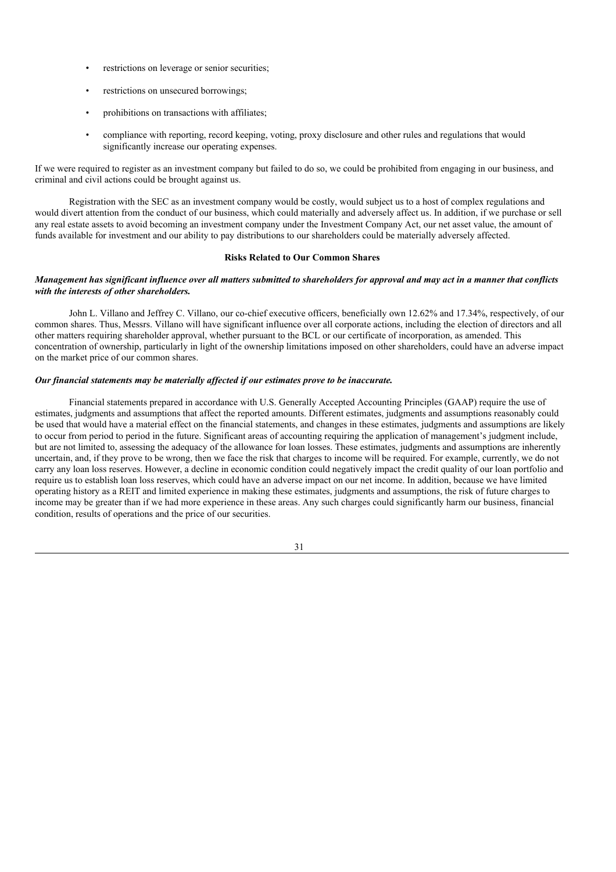- restrictions on leverage or senior securities;
- restrictions on unsecured borrowings;
- prohibitions on transactions with affiliates;
- compliance with reporting, record keeping, voting, proxy disclosure and other rules and regulations that would significantly increase our operating expenses.

If we were required to register as an investment company but failed to do so, we could be prohibited from engaging in our business, and criminal and civil actions could be brought against us.

Registration with the SEC as an investment company would be costly, would subject us to a host of complex regulations and would divert attention from the conduct of our business, which could materially and adversely affect us. In addition, if we purchase or sell any real estate assets to avoid becoming an investment company under the Investment Company Act, our net asset value, the amount of funds available for investment and our ability to pay distributions to our shareholders could be materially adversely affected.

## **Risks Related to Our Common Shares**

## Management has significant influence over all matters submitted to shareholders for approval and may act in a manner that conflicts *with the interests of other shareholders.*

John L. Villano and Jeffrey C. Villano, our co-chief executive officers, beneficially own 12.62% and 17.34%, respectively, of our common shares. Thus, Messrs. Villano will have significant influence over all corporate actions, including the election of directors and all other matters requiring shareholder approval, whether pursuant to the BCL or our certificate of incorporation, as amended. This concentration of ownership, particularly in light of the ownership limitations imposed on other shareholders, could have an adverse impact on the market price of our common shares.

## *Our financial statements may be materially af ected if our estimates prove to be inaccurate.*

Financial statements prepared in accordance with U.S. Generally Accepted Accounting Principles (GAAP) require the use of estimates, judgments and assumptions that affect the reported amounts. Different estimates, judgments and assumptions reasonably could be used that would have a material effect on the financial statements, and changes in these estimates, judgments and assumptions are likely to occur from period to period in the future. Significant areas of accounting requiring the application of management's judgment include, but are not limited to, assessing the adequacy of the allowance for loan losses. These estimates, judgments and assumptions are inherently uncertain, and, if they prove to be wrong, then we face the risk that charges to income will be required. For example, currently, we do not carry any loan loss reserves. However, a decline in economic condition could negatively impact the credit quality of our loan portfolio and require us to establish loan loss reserves, which could have an adverse impact on our net income. In addition, because we have limited operating history as a REIT and limited experience in making these estimates, judgments and assumptions, the risk of future charges to income may be greater than if we had more experience in these areas. Any such charges could significantly harm our business, financial condition, results of operations and the price of our securities.

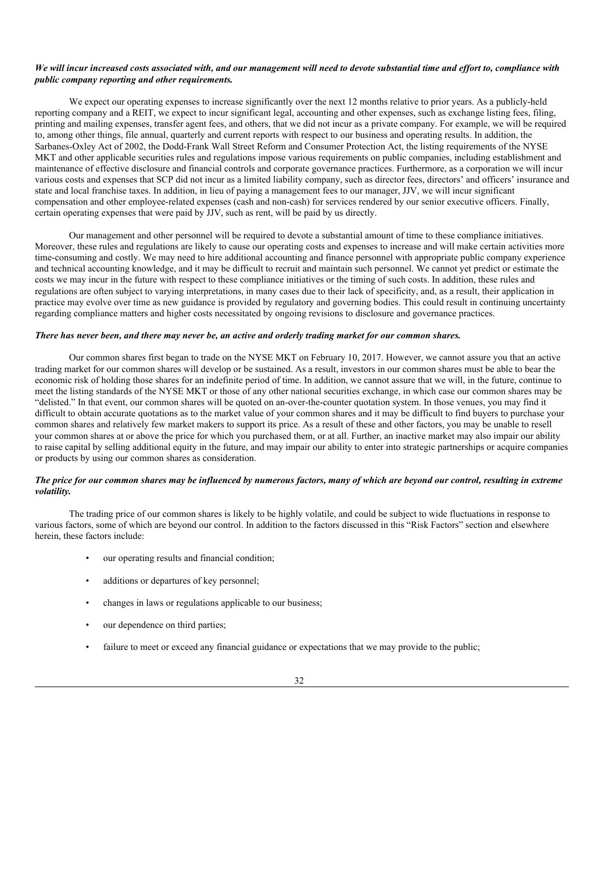## We will incur increased costs associated with, and our management will need to devote substantial time and effort to, compliance with *public company reporting and other requirements.*

We expect our operating expenses to increase significantly over the next 12 months relative to prior years. As a publicly-held reporting company and a REIT, we expect to incur significant legal, accounting and other expenses, such as exchange listing fees, filing, printing and mailing expenses, transfer agent fees, and others, that we did not incur as a private company. For example, we will be required to, among other things, file annual, quarterly and current reports with respect to our business and operating results. In addition, the Sarbanes-Oxley Act of 2002, the Dodd-Frank Wall Street Reform and Consumer Protection Act, the listing requirements of the NYSE MKT and other applicable securities rules and regulations impose various requirements on public companies, including establishment and maintenance of effective disclosure and financial controls and corporate governance practices. Furthermore, as a corporation we will incur various costs and expenses that SCP did not incur as a limited liability company, such as director fees, directors' and officers' insurance and state and local franchise taxes. In addition, in lieu of paying a management fees to our manager, JJV, we will incur significant compensation and other employee-related expenses (cash and non-cash) for services rendered by our senior executive officers. Finally, certain operating expenses that were paid by JJV, such as rent, will be paid by us directly.

Our management and other personnel will be required to devote a substantial amount of time to these compliance initiatives. Moreover, these rules and regulations are likely to cause our operating costs and expenses to increase and will make certain activities more time-consuming and costly. We may need to hire additional accounting and finance personnel with appropriate public company experience and technical accounting knowledge, and it may be difficult to recruit and maintain such personnel. We cannot yet predict or estimate the costs we may incur in the future with respect to these compliance initiatives or the timing of such costs. In addition, these rules and regulations are often subject to varying interpretations, in many cases due to their lack of specificity, and, as a result, their application in practice may evolve over time as new guidance is provided by regulatory and governing bodies. This could result in continuing uncertainty regarding compliance matters and higher costs necessitated by ongoing revisions to disclosure and governance practices.

## There has never been, and there may never be, an active and orderly trading market for our common shares.

Our common shares first began to trade on the NYSE MKT on February 10, 2017. However, we cannot assure you that an active trading market for our common shares will develop or be sustained. As a result, investors in our common shares must be able to bear the economic risk of holding those shares for an indefinite period of time. In addition, we cannot assure that we will, in the future, continue to meet the listing standards of the NYSE MKT or those of any other national securities exchange, in which case our common shares may be "delisted." In that event, our common shares will be quoted on an-over-the-counter quotation system. In those venues, you may find it difficult to obtain accurate quotations as to the market value of your common shares and it may be difficult to find buyers to purchase your common shares and relatively few market makers to support its price. As a result of these and other factors, you may be unable to resell your common shares at or above the price for which you purchased them, or at all. Further, an inactive market may also impair our ability to raise capital by selling additional equity in the future, and may impair our ability to enter into strategic partnerships or acquire companies or products by using our common shares as consideration.

## The price for our common shares may be influenced by numerous factors, many of which are beyond our control, resulting in extreme *volatility.*

The trading price of our common shares is likely to be highly volatile, and could be subject to wide fluctuations in response to various factors, some of which are beyond our control. In addition to the factors discussed in this "Risk Factors" section and elsewhere herein, these factors include:

- our operating results and financial condition;
- additions or departures of key personnel;
- changes in laws or regulations applicable to our business;
- our dependence on third parties;
- failure to meet or exceed any financial guidance or expectations that we may provide to the public;

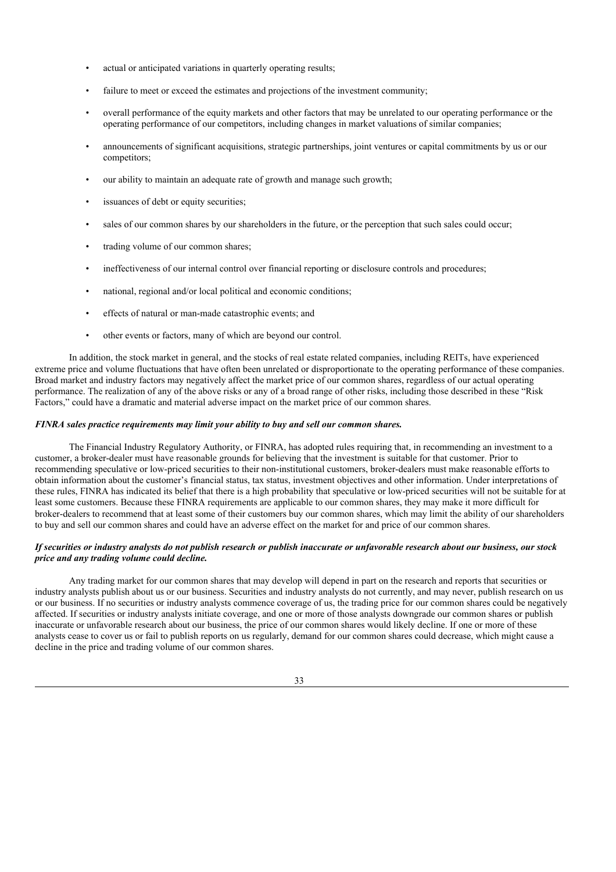- actual or anticipated variations in quarterly operating results;
- failure to meet or exceed the estimates and projections of the investment community;
- overall performance of the equity markets and other factors that may be unrelated to our operating performance or the operating performance of our competitors, including changes in market valuations of similar companies;
- announcements of significant acquisitions, strategic partnerships, joint ventures or capital commitments by us or our competitors;
- our ability to maintain an adequate rate of growth and manage such growth;
- issuances of debt or equity securities;
- sales of our common shares by our shareholders in the future, or the perception that such sales could occur;
- trading volume of our common shares;
- ineffectiveness of our internal control over financial reporting or disclosure controls and procedures;
- national, regional and/or local political and economic conditions;
- effects of natural or man-made catastrophic events; and
- other events or factors, many of which are beyond our control.

In addition, the stock market in general, and the stocks of real estate related companies, including REITs, have experienced extreme price and volume fluctuations that have often been unrelated or disproportionate to the operating performance of these companies. Broad market and industry factors may negatively affect the market price of our common shares, regardless of our actual operating performance. The realization of any of the above risks or any of a broad range of other risks, including those described in these "Risk Factors," could have a dramatic and material adverse impact on the market price of our common shares.

## *FINRA sales practice requirements may limit your ability to buy and sell our common shares.*

The Financial Industry Regulatory Authority, or FINRA, has adopted rules requiring that, in recommending an investment to a customer, a broker-dealer must have reasonable grounds for believing that the investment is suitable for that customer. Prior to recommending speculative or low-priced securities to their non-institutional customers, broker-dealers must make reasonable efforts to obtain information about the customer's financial status, tax status, investment objectives and other information. Under interpretations of these rules, FINRA has indicated its belief that there is a high probability that speculative or low-priced securities will not be suitable for at least some customers. Because these FINRA requirements are applicable to our common shares, they may make it more difficult for broker-dealers to recommend that at least some of their customers buy our common shares, which may limit the ability of our shareholders to buy and sell our common shares and could have an adverse effect on the market for and price of our common shares.

## If securities or industry analysts do not publish research or publish inaccurate or unfavorable research about our business, our stock *price and any trading volume could decline.*

Any trading market for our common shares that may develop will depend in part on the research and reports that securities or industry analysts publish about us or our business. Securities and industry analysts do not currently, and may never, publish research on us or our business. If no securities or industry analysts commence coverage of us, the trading price for our common shares could be negatively affected. If securities or industry analysts initiate coverage, and one or more of those analysts downgrade our common shares or publish inaccurate or unfavorable research about our business, the price of our common shares would likely decline. If one or more of these analysts cease to cover us or fail to publish reports on us regularly, demand for our common shares could decrease, which might cause a decline in the price and trading volume of our common shares.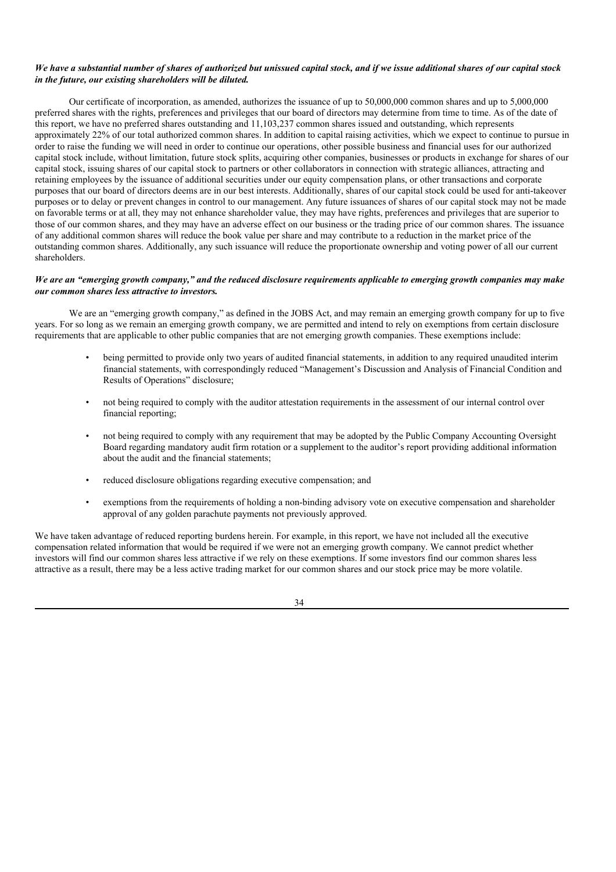## We have a substantial number of shares of authorized but unissued capital stock, and if we issue additional shares of our capital stock *in the future, our existing shareholders will be diluted.*

Our certificate of incorporation, as amended, authorizes the issuance of up to 50,000,000 common shares and up to 5,000,000 preferred shares with the rights, preferences and privileges that our board of directors may determine from time to time. As of the date of this report, we have no preferred shares outstanding and 11,103,237 common shares issued and outstanding, which represents approximately 22% of our total authorized common shares. In addition to capital raising activities, which we expect to continue to pursue in order to raise the funding we will need in order to continue our operations, other possible business and financial uses for our authorized capital stock include, without limitation, future stock splits, acquiring other companies, businesses or products in exchange for shares of our capital stock, issuing shares of our capital stock to partners or other collaborators in connection with strategic alliances, attracting and retaining employees by the issuance of additional securities under our equity compensation plans, or other transactions and corporate purposes that our board of directors deems are in our best interests. Additionally, shares of our capital stock could be used for anti-takeover purposes or to delay or prevent changes in control to our management. Any future issuances of shares of our capital stock may not be made on favorable terms or at all, they may not enhance shareholder value, they may have rights, preferences and privileges that are superior to those of our common shares, and they may have an adverse effect on our business or the trading price of our common shares. The issuance of any additional common shares will reduce the book value per share and may contribute to a reduction in the market price of the outstanding common shares. Additionally, any such issuance will reduce the proportionate ownership and voting power of all our current shareholders.

## We are an "emerging growth company," and the reduced disclosure requirements applicable to emerging growth companies may make *our common shares less attractive to investors.*

We are an "emerging growth company," as defined in the JOBS Act, and may remain an emerging growth company for up to five years. For so long as we remain an emerging growth company, we are permitted and intend to rely on exemptions from certain disclosure requirements that are applicable to other public companies that are not emerging growth companies. These exemptions include:

- being permitted to provide only two years of audited financial statements, in addition to any required unaudited interim financial statements, with correspondingly reduced "Management's Discussion and Analysis of Financial Condition and Results of Operations" disclosure;
- not being required to comply with the auditor attestation requirements in the assessment of our internal control over financial reporting;
- not being required to comply with any requirement that may be adopted by the Public Company Accounting Oversight Board regarding mandatory audit firm rotation or a supplement to the auditor's report providing additional information about the audit and the financial statements;
- reduced disclosure obligations regarding executive compensation; and
- exemptions from the requirements of holding a non-binding advisory vote on executive compensation and shareholder approval of any golden parachute payments not previously approved.

We have taken advantage of reduced reporting burdens herein. For example, in this report, we have not included all the executive compensation related information that would be required if we were not an emerging growth company. We cannot predict whether investors will find our common shares less attractive if we rely on these exemptions. If some investors find our common shares less attractive as a result, there may be a less active trading market for our common shares and our stock price may be more volatile.

34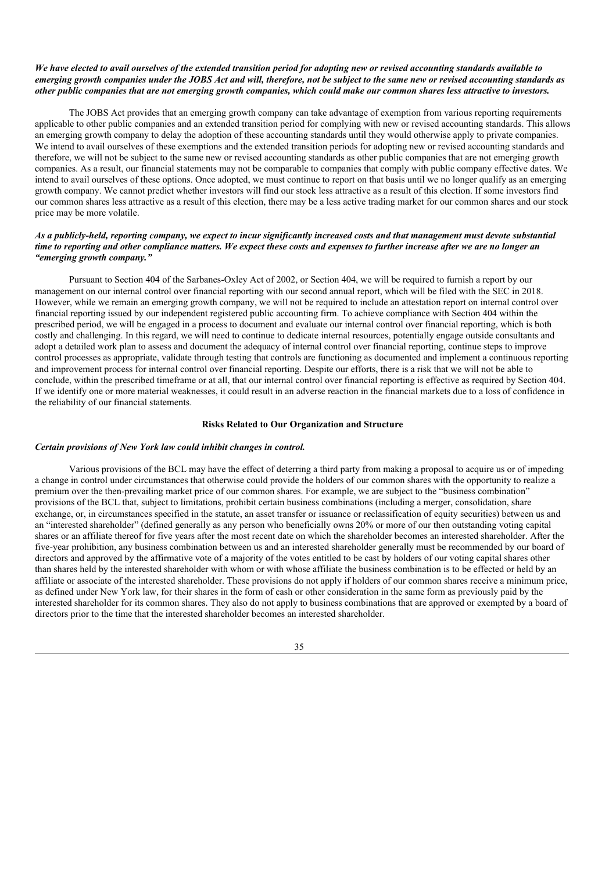## We have elected to avail ourselves of the extended transition period for adopting new or revised accounting standards available to emerging growth companies under the JOBS Act and will, therefore, not be subject to the same new or revised accounting standards as other public companies that are not emerging growth companies, which could make our common shares less attractive to investors.

The JOBS Act provides that an emerging growth company can take advantage of exemption from various reporting requirements applicable to other public companies and an extended transition period for complying with new or revised accounting standards. This allows an emerging growth company to delay the adoption of these accounting standards until they would otherwise apply to private companies. We intend to avail ourselves of these exemptions and the extended transition periods for adopting new or revised accounting standards and therefore, we will not be subject to the same new or revised accounting standards as other public companies that are not emerging growth companies. As a result, our financial statements may not be comparable to companies that comply with public company effective dates. We intend to avail ourselves of these options. Once adopted, we must continue to report on that basis until we no longer qualify as an emerging growth company. We cannot predict whether investors will find our stock less attractive as a result of this election. If some investors find our common shares less attractive as a result of this election, there may be a less active trading market for our common shares and our stock price may be more volatile.

## As a publicly-held, reporting company, we expect to incur significantly increased costs and that management must devote substantial time to reporting and other compliance matters. We expect these costs and expenses to further increase after we are no longer an *"emerging growth company."*

Pursuant to Section 404 of the Sarbanes-Oxley Act of 2002, or Section 404, we will be required to furnish a report by our management on our internal control over financial reporting with our second annual report, which will be filed with the SEC in 2018. However, while we remain an emerging growth company, we will not be required to include an attestation report on internal control over financial reporting issued by our independent registered public accounting firm. To achieve compliance with Section 404 within the prescribed period, we will be engaged in a process to document and evaluate our internal control over financial reporting, which is both costly and challenging. In this regard, we will need to continue to dedicate internal resources, potentially engage outside consultants and adopt a detailed work plan to assess and document the adequacy of internal control over financial reporting, continue steps to improve control processes as appropriate, validate through testing that controls are functioning as documented and implement a continuous reporting and improvement process for internal control over financial reporting. Despite our efforts, there is a risk that we will not be able to conclude, within the prescribed timeframe or at all, that our internal control over financial reporting is effective as required by Section 404. If we identify one or more material weaknesses, it could result in an adverse reaction in the financial markets due to a loss of confidence in the reliability of our financial statements.

## **Risks Related to Our Organization and Structure**

#### *Certain provisions of New York law could inhibit changes in control.*

Various provisions of the BCL may have the effect of deterring a third party from making a proposal to acquire us or of impeding a change in control under circumstances that otherwise could provide the holders of our common shares with the opportunity to realize a premium over the then-prevailing market price of our common shares. For example, we are subject to the "business combination" provisions of the BCL that, subject to limitations, prohibit certain business combinations (including a merger, consolidation, share exchange, or, in circumstances specified in the statute, an asset transfer or issuance or reclassification of equity securities) between us and an "interested shareholder" (defined generally as any person who beneficially owns 20% or more of our then outstanding voting capital shares or an affiliate thereof for five years after the most recent date on which the shareholder becomes an interested shareholder. After the five-year prohibition, any business combination between us and an interested shareholder generally must be recommended by our board of directors and approved by the affirmative vote of a majority of the votes entitled to be cast by holders of our voting capital shares other than shares held by the interested shareholder with whom or with whose affiliate the business combination is to be effected or held by an affiliate or associate of the interested shareholder. These provisions do not apply if holders of our common shares receive a minimum price, as defined under New York law, for their shares in the form of cash or other consideration in the same form as previously paid by the interested shareholder for its common shares. They also do not apply to business combinations that are approved or exempted by a board of directors prior to the time that the interested shareholder becomes an interested shareholder.

#### 35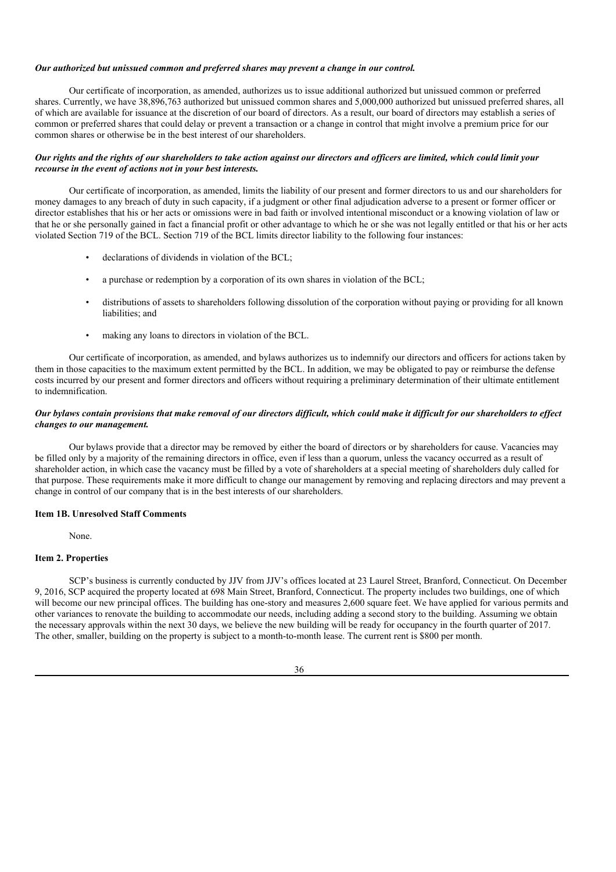#### *Our authorized but unissued common and preferred shares may prevent a change in our control.*

Our certificate of incorporation, as amended, authorizes us to issue additional authorized but unissued common or preferred shares. Currently, we have 38,896,763 authorized but unissued common shares and 5,000,000 authorized but unissued preferred shares, all of which are available for issuance at the discretion of our board of directors. As a result, our board of directors may establish a series of common or preferred shares that could delay or prevent a transaction or a change in control that might involve a premium price for our common shares or otherwise be in the best interest of our shareholders.

### Our rights and the rights of our shareholders to take action against our directors and officers are limited, which could limit your *recourse in the event of actions not in your best interests.*

Our certificate of incorporation, as amended, limits the liability of our present and former directors to us and our shareholders for money damages to any breach of duty in such capacity, if a judgment or other final adjudication adverse to a present or former officer or director establishes that his or her acts or omissions were in bad faith or involved intentional misconduct or a knowing violation of law or that he or she personally gained in fact a financial profit or other advantage to which he or she was not legally entitled or that his or her acts violated Section 719 of the BCL. Section 719 of the BCL limits director liability to the following four instances:

- declarations of dividends in violation of the BCL;
- a purchase or redemption by a corporation of its own shares in violation of the BCL;
- distributions of assets to shareholders following dissolution of the corporation without paying or providing for all known liabilities; and
- making any loans to directors in violation of the BCL.

Our certificate of incorporation, as amended, and bylaws authorizes us to indemnify our directors and officers for actions taken by them in those capacities to the maximum extent permitted by the BCL. In addition, we may be obligated to pay or reimburse the defense costs incurred by our present and former directors and officers without requiring a preliminary determination of their ultimate entitlement to indemnification.

# Our bylaws contain provisions that make removal of our directors difficult, which could make it difficult for our shareholders to effect *changes to our management.*

Our bylaws provide that a director may be removed by either the board of directors or by shareholders for cause. Vacancies may be filled only by a majority of the remaining directors in office, even if less than a quorum, unless the vacancy occurred as a result of shareholder action, in which case the vacancy must be filled by a vote of shareholders at a special meeting of shareholders duly called for that purpose. These requirements make it more difficult to change our management by removing and replacing directors and may prevent a change in control of our company that is in the best interests of our shareholders.

#### **Item 1B. Unresolved Staff Comments**

None.

#### **Item 2. Properties**

SCP's business is currently conducted by JJV from JJV's offices located at 23 Laurel Street, Branford, Connecticut. On December 9, 2016, SCP acquired the property located at 698 Main Street, Branford, Connecticut. The property includes two buildings, one of which will become our new principal offices. The building has one-story and measures 2,600 square feet. We have applied for various permits and other variances to renovate the building to accommodate our needs, including adding a second story to the building. Assuming we obtain the necessary approvals within the next 30 days, we believe the new building will be ready for occupancy in the fourth quarter of 2017. The other, smaller, building on the property is subject to a month-to-month lease. The current rent is \$800 per month.

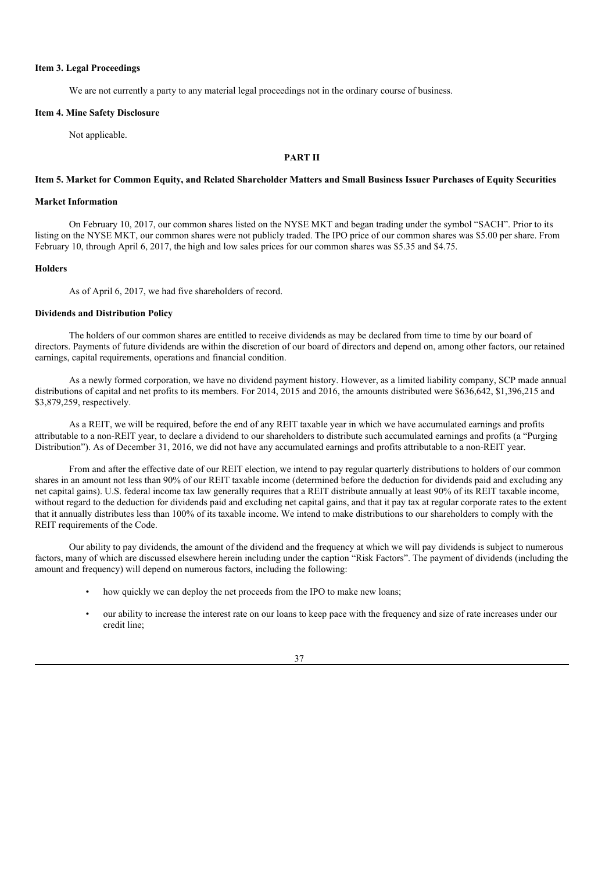#### **Item 3. Legal Proceedings**

We are not currently a party to any material legal proceedings not in the ordinary course of business.

#### **Item 4. Mine Safety Disclosure**

Not applicable.

# **PART II**

### Item 5. Market for Common Equity, and Related Shareholder Matters and Small Business Issuer Purchases of Equity Securities

# **Market Information**

On February 10, 2017, our common shares listed on the NYSE MKT and began trading under the symbol "SACH". Prior to its listing on the NYSE MKT, our common shares were not publicly traded. The IPO price of our common shares was \$5.00 per share. From February 10, through April 6, 2017, the high and low sales prices for our common shares was \$5.35 and \$4.75.

# **Holders**

As of April 6, 2017, we had five shareholders of record.

# **Dividends and Distribution Policy**

The holders of our common shares are entitled to receive dividends as may be declared from time to time by our board of directors. Payments of future dividends are within the discretion of our board of directors and depend on, among other factors, our retained earnings, capital requirements, operations and financial condition.

As a newly formed corporation, we have no dividend payment history. However, as a limited liability company, SCP made annual distributions of capital and net profits to its members. For 2014, 2015 and 2016, the amounts distributed were \$636,642, \$1,396,215 and \$3,879,259, respectively.

As a REIT, we will be required, before the end of any REIT taxable year in which we have accumulated earnings and profits attributable to a non-REIT year, to declare a dividend to our shareholders to distribute such accumulated earnings and profits (a "Purging Distribution"). As of December 31, 2016, we did not have any accumulated earnings and profits attributable to a non-REIT year.

From and after the effective date of our REIT election, we intend to pay regular quarterly distributions to holders of our common shares in an amount not less than 90% of our REIT taxable income (determined before the deduction for dividends paid and excluding any net capital gains). U.S. federal income tax law generally requires that a REIT distribute annually at least 90% of its REIT taxable income, without regard to the deduction for dividends paid and excluding net capital gains, and that it pay tax at regular corporate rates to the extent that it annually distributes less than 100% of its taxable income. We intend to make distributions to our shareholders to comply with the REIT requirements of the Code.

Our ability to pay dividends, the amount of the dividend and the frequency at which we will pay dividends is subject to numerous factors, many of which are discussed elsewhere herein including under the caption "Risk Factors". The payment of dividends (including the amount and frequency) will depend on numerous factors, including the following:

- how quickly we can deploy the net proceeds from the IPO to make new loans;
- our ability to increase the interest rate on our loans to keep pace with the frequency and size of rate increases under our credit line;

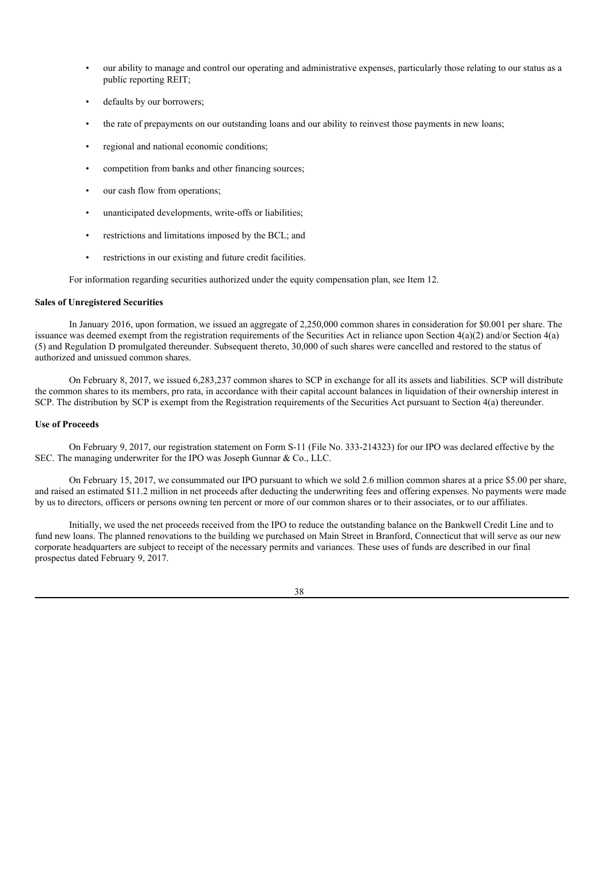- our ability to manage and control our operating and administrative expenses, particularly those relating to our status as a public reporting REIT;
- defaults by our borrowers;
- the rate of prepayments on our outstanding loans and our ability to reinvest those payments in new loans;
- regional and national economic conditions;
- competition from banks and other financing sources;
- our cash flow from operations;
- unanticipated developments, write-offs or liabilities;
- restrictions and limitations imposed by the BCL; and
- restrictions in our existing and future credit facilities.

For information regarding securities authorized under the equity compensation plan, see Item 12.

#### **Sales of Unregistered Securities**

In January 2016, upon formation, we issued an aggregate of 2,250,000 common shares in consideration for \$0.001 per share. The issuance was deemed exempt from the registration requirements of the Securities Act in reliance upon Section 4(a)(2) and/or Section 4(a) (5) and Regulation D promulgated thereunder. Subsequent thereto, 30,000 of such shares were cancelled and restored to the status of authorized and unissued common shares.

On February 8, 2017, we issued 6,283,237 common shares to SCP in exchange for all its assets and liabilities. SCP will distribute the common shares to its members, pro rata, in accordance with their capital account balances in liquidation of their ownership interest in SCP. The distribution by SCP is exempt from the Registration requirements of the Securities Act pursuant to Section 4(a) thereunder.

# **Use of Proceeds**

On February 9, 2017, our registration statement on Form S-11 (File No. 333-214323) for our IPO was declared effective by the SEC. The managing underwriter for the IPO was Joseph Gunnar & Co., LLC.

On February 15, 2017, we consummated our IPO pursuant to which we sold 2.6 million common shares at a price \$5.00 per share, and raised an estimated \$11.2 million in net proceeds after deducting the underwriting fees and offering expenses. No payments were made by us to directors, officers or persons owning ten percent or more of our common shares or to their associates, or to our affiliates.

Initially, we used the net proceeds received from the IPO to reduce the outstanding balance on the Bankwell Credit Line and to fund new loans. The planned renovations to the building we purchased on Main Street in Branford, Connecticut that will serve as our new corporate headquarters are subject to receipt of the necessary permits and variances. These uses of funds are described in our final prospectus dated February 9, 2017.

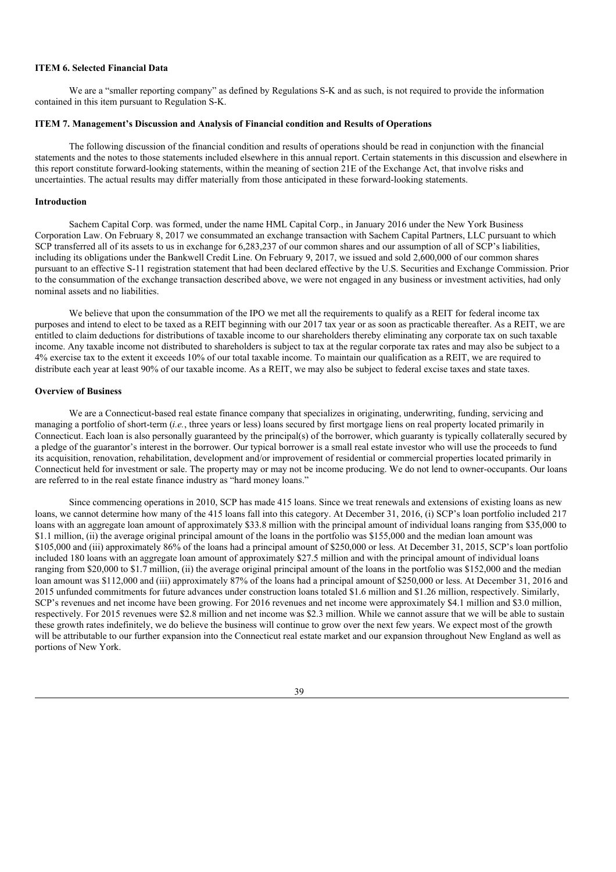#### **ITEM 6. Selected Financial Data**

We are a "smaller reporting company" as defined by Regulations S-K and as such, is not required to provide the information contained in this item pursuant to Regulation S-K.

#### **ITEM 7. Management's Discussion and Analysis of Financial condition and Results of Operations**

The following discussion of the financial condition and results of operations should be read in conjunction with the financial statements and the notes to those statements included elsewhere in this annual report. Certain statements in this discussion and elsewhere in this report constitute forward-looking statements, within the meaning of section 21E of the Exchange Act, that involve risks and uncertainties. The actual results may differ materially from those anticipated in these forward-looking statements.

#### **Introduction**

Sachem Capital Corp. was formed, under the name HML Capital Corp., in January 2016 under the New York Business Corporation Law. On February 8, 2017 we consummated an exchange transaction with Sachem Capital Partners, LLC pursuant to which SCP transferred all of its assets to us in exchange for 6,283,237 of our common shares and our assumption of all of SCP's liabilities, including its obligations under the Bankwell Credit Line. On February 9, 2017, we issued and sold 2,600,000 of our common shares pursuant to an effective S-11 registration statement that had been declared effective by the U.S. Securities and Exchange Commission. Prior to the consummation of the exchange transaction described above, we were not engaged in any business or investment activities, had only nominal assets and no liabilities.

We believe that upon the consummation of the IPO we met all the requirements to qualify as a REIT for federal income tax purposes and intend to elect to be taxed as a REIT beginning with our 2017 tax year or as soon as practicable thereafter. As a REIT, we are entitled to claim deductions for distributions of taxable income to our shareholders thereby eliminating any corporate tax on such taxable income. Any taxable income not distributed to shareholders is subject to tax at the regular corporate tax rates and may also be subject to a 4% exercise tax to the extent it exceeds 10% of our total taxable income. To maintain our qualification as a REIT, we are required to distribute each year at least 90% of our taxable income. As a REIT, we may also be subject to federal excise taxes and state taxes.

#### **Overview of Business**

We are a Connecticut-based real estate finance company that specializes in originating, underwriting, funding, servicing and managing a portfolio of short-term (*i.e.*, three years or less) loans secured by first mortgage liens on real property located primarily in Connecticut. Each loan is also personally guaranteed by the principal(s) of the borrower, which guaranty is typically collaterally secured by a pledge of the guarantor's interest in the borrower. Our typical borrower is a small real estate investor who will use the proceeds to fund its acquisition, renovation, rehabilitation, development and/or improvement of residential or commercial properties located primarily in Connecticut held for investment or sale. The property may or may not be income producing. We do not lend to owner-occupants. Our loans are referred to in the real estate finance industry as "hard money loans."

Since commencing operations in 2010, SCP has made 415 loans. Since we treat renewals and extensions of existing loans as new loans, we cannot determine how many of the 415 loans fall into this category. At December 31, 2016, (i) SCP's loan portfolio included 217 loans with an aggregate loan amount of approximately \$33.8 million with the principal amount of individual loans ranging from \$35,000 to \$1.1 million, (ii) the average original principal amount of the loans in the portfolio was \$155,000 and the median loan amount was \$105,000 and (iii) approximately 86% of the loans had a principal amount of \$250,000 or less. At December 31, 2015, SCP's loan portfolio included 180 loans with an aggregate loan amount of approximately \$27.5 million and with the principal amount of individual loans ranging from \$20,000 to \$1.7 million, (ii) the average original principal amount of the loans in the portfolio was \$152,000 and the median loan amount was \$112,000 and (iii) approximately 87% of the loans had a principal amount of \$250,000 or less. At December 31, 2016 and 2015 unfunded commitments for future advances under construction loans totaled \$1.6 million and \$1.26 million, respectively. Similarly, SCP's revenues and net income have been growing. For 2016 revenues and net income were approximately \$4.1 million and \$3.0 million, respectively. For 2015 revenues were \$2.8 million and net income was \$2.3 million. While we cannot assure that we will be able to sustain these growth rates indefinitely, we do believe the business will continue to grow over the next few years. We expect most of the growth will be attributable to our further expansion into the Connecticut real estate market and our expansion throughout New England as well as portions of New York.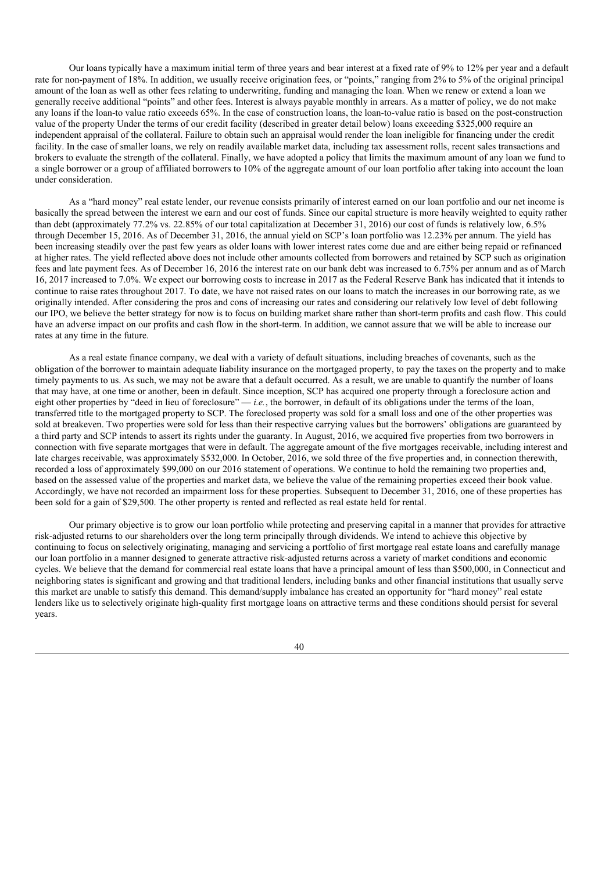Our loans typically have a maximum initial term of three years and bear interest at a fixed rate of 9% to 12% per year and a default rate for non-payment of 18%. In addition, we usually receive origination fees, or "points," ranging from 2% to 5% of the original principal amount of the loan as well as other fees relating to underwriting, funding and managing the loan. When we renew or extend a loan we generally receive additional "points" and other fees. Interest is always payable monthly in arrears. As a matter of policy, we do not make any loans if the loan-to value ratio exceeds 65%. In the case of construction loans, the loan-to-value ratio is based on the post-construction value of the property Under the terms of our credit facility (described in greater detail below) loans exceeding \$325,000 require an independent appraisal of the collateral. Failure to obtain such an appraisal would render the loan ineligible for financing under the credit facility. In the case of smaller loans, we rely on readily available market data, including tax assessment rolls, recent sales transactions and brokers to evaluate the strength of the collateral. Finally, we have adopted a policy that limits the maximum amount of any loan we fund to a single borrower or a group of affiliated borrowers to 10% of the aggregate amount of our loan portfolio after taking into account the loan under consideration.

As a "hard money" real estate lender, our revenue consists primarily of interest earned on our loan portfolio and our net income is basically the spread between the interest we earn and our cost of funds. Since our capital structure is more heavily weighted to equity rather than debt (approximately 77.2% vs. 22.85% of our total capitalization at December 31, 2016) our cost of funds is relatively low, 6.5% through December 15, 2016. As of December 31, 2016, the annual yield on SCP's loan portfolio was 12.23% per annum. The yield has been increasing steadily over the past few years as older loans with lower interest rates come due and are either being repaid or refinanced at higher rates. The yield reflected above does not include other amounts collected from borrowers and retained by SCP such as origination fees and late payment fees. As of December 16, 2016 the interest rate on our bank debt was increased to 6.75% per annum and as of March 16, 2017 increased to 7.0%. We expect our borrowing costs to increase in 2017 as the Federal Reserve Bank has indicated that it intends to continue to raise rates throughout 2017. To date, we have not raised rates on our loans to match the increases in our borrowing rate, as we originally intended. After considering the pros and cons of increasing our rates and considering our relatively low level of debt following our IPO, we believe the better strategy for now is to focus on building market share rather than short-term profits and cash flow. This could have an adverse impact on our profits and cash flow in the short-term. In addition, we cannot assure that we will be able to increase our rates at any time in the future.

As a real estate finance company, we deal with a variety of default situations, including breaches of covenants, such as the obligation of the borrower to maintain adequate liability insurance on the mortgaged property, to pay the taxes on the property and to make timely payments to us. As such, we may not be aware that a default occurred. As a result, we are unable to quantify the number of loans that may have, at one time or another, been in default. Since inception, SCP has acquired one property through a foreclosure action and eight other properties by "deed in lieu of foreclosure" — *i.e.*, the borrower, in default of its obligations under the terms of the loan, transferred title to the mortgaged property to SCP. The foreclosed property was sold for a small loss and one of the other properties was sold at breakeven. Two properties were sold for less than their respective carrying values but the borrowers' obligations are guaranteed by a third party and SCP intends to assert its rights under the guaranty. In August, 2016, we acquired five properties from two borrowers in connection with five separate mortgages that were in default. The aggregate amount of the five mortgages receivable, including interest and late charges receivable, was approximately \$532,000. In October, 2016, we sold three of the five properties and, in connection therewith, recorded a loss of approximately \$99,000 on our 2016 statement of operations. We continue to hold the remaining two properties and, based on the assessed value of the properties and market data, we believe the value of the remaining properties exceed their book value. Accordingly, we have not recorded an impairment loss for these properties. Subsequent to December 31, 2016, one of these properties has been sold for a gain of \$29,500. The other property is rented and reflected as real estate held for rental.

Our primary objective is to grow our loan portfolio while protecting and preserving capital in a manner that provides for attractive risk-adjusted returns to our shareholders over the long term principally through dividends. We intend to achieve this objective by continuing to focus on selectively originating, managing and servicing a portfolio of first mortgage real estate loans and carefully manage our loan portfolio in a manner designed to generate attractive risk-adjusted returns across a variety of market conditions and economic cycles. We believe that the demand for commercial real estate loans that have a principal amount of less than \$500,000, in Connecticut and neighboring states is significant and growing and that traditional lenders, including banks and other financial institutions that usually serve this market are unable to satisfy this demand. This demand/supply imbalance has created an opportunity for "hard money" real estate lenders like us to selectively originate high-quality first mortgage loans on attractive terms and these conditions should persist for several years.

40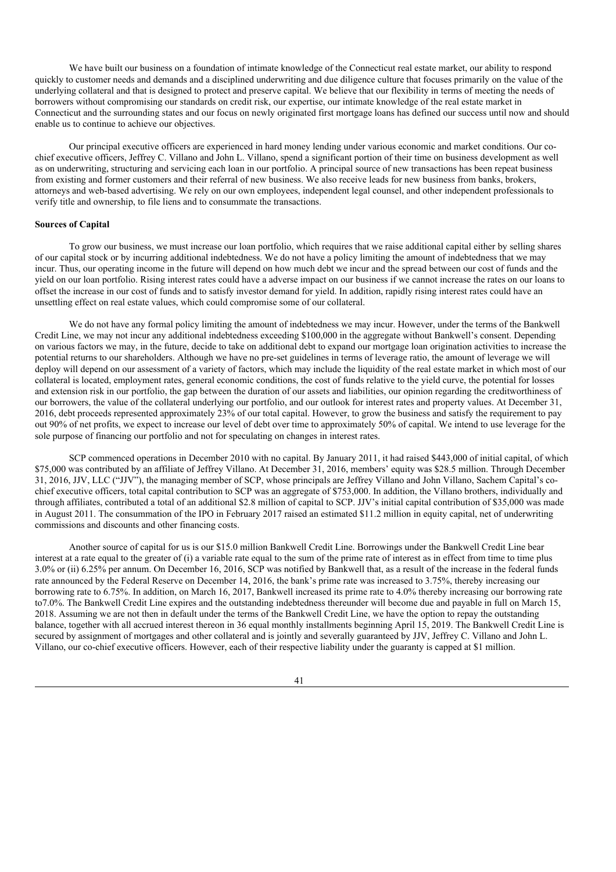We have built our business on a foundation of intimate knowledge of the Connecticut real estate market, our ability to respond quickly to customer needs and demands and a disciplined underwriting and due diligence culture that focuses primarily on the value of the underlying collateral and that is designed to protect and preserve capital. We believe that our flexibility in terms of meeting the needs of borrowers without compromising our standards on credit risk, our expertise, our intimate knowledge of the real estate market in Connecticut and the surrounding states and our focus on newly originated first mortgage loans has defined our success until now and should enable us to continue to achieve our objectives.

Our principal executive officers are experienced in hard money lending under various economic and market conditions. Our cochief executive officers, Jeffrey C. Villano and John L. Villano, spend a significant portion of their time on business development as well as on underwriting, structuring and servicing each loan in our portfolio. A principal source of new transactions has been repeat business from existing and former customers and their referral of new business. We also receive leads for new business from banks, brokers, attorneys and web-based advertising. We rely on our own employees, independent legal counsel, and other independent professionals to verify title and ownership, to file liens and to consummate the transactions.

#### **Sources of Capital**

To grow our business, we must increase our loan portfolio, which requires that we raise additional capital either by selling shares of our capital stock or by incurring additional indebtedness. We do not have a policy limiting the amount of indebtedness that we may incur. Thus, our operating income in the future will depend on how much debt we incur and the spread between our cost of funds and the yield on our loan portfolio. Rising interest rates could have a adverse impact on our business if we cannot increase the rates on our loans to offset the increase in our cost of funds and to satisfy investor demand for yield. In addition, rapidly rising interest rates could have an unsettling effect on real estate values, which could compromise some of our collateral.

We do not have any formal policy limiting the amount of indebtedness we may incur. However, under the terms of the Bankwell Credit Line, we may not incur any additional indebtedness exceeding \$100,000 in the aggregate without Bankwell's consent. Depending on various factors we may, in the future, decide to take on additional debt to expand our mortgage loan origination activities to increase the potential returns to our shareholders. Although we have no pre-set guidelines in terms of leverage ratio, the amount of leverage we will deploy will depend on our assessment of a variety of factors, which may include the liquidity of the real estate market in which most of our collateral is located, employment rates, general economic conditions, the cost of funds relative to the yield curve, the potential for losses and extension risk in our portfolio, the gap between the duration of our assets and liabilities, our opinion regarding the creditworthiness of our borrowers, the value of the collateral underlying our portfolio, and our outlook for interest rates and property values. At December 31, 2016, debt proceeds represented approximately 23% of our total capital. However, to grow the business and satisfy the requirement to pay out 90% of net profits, we expect to increase our level of debt over time to approximately 50% of capital. We intend to use leverage for the sole purpose of financing our portfolio and not for speculating on changes in interest rates.

SCP commenced operations in December 2010 with no capital. By January 2011, it had raised \$443,000 of initial capital, of which \$75,000 was contributed by an affiliate of Jeffrey Villano. At December 31, 2016, members' equity was \$28.5 million. Through December 31, 2016, JJV, LLC ("JJV"), the managing member of SCP, whose principals are Jeffrey Villano and John Villano, Sachem Capital's cochief executive officers, total capital contribution to SCP was an aggregate of \$753,000. In addition, the Villano brothers, individually and through affiliates, contributed a total of an additional \$2.8 million of capital to SCP. JJV's initial capital contribution of \$35,000 was made in August 2011. The consummation of the IPO in February 2017 raised an estimated \$11.2 million in equity capital, net of underwriting commissions and discounts and other financing costs.

Another source of capital for us is our \$15.0 million Bankwell Credit Line. Borrowings under the Bankwell Credit Line bear interest at a rate equal to the greater of (i) a variable rate equal to the sum of the prime rate of interest as in effect from time to time plus 3.0% or (ii) 6.25% per annum. On December 16, 2016, SCP was notified by Bankwell that, as a result of the increase in the federal funds rate announced by the Federal Reserve on December 14, 2016, the bank's prime rate was increased to 3.75%, thereby increasing our borrowing rate to 6.75%. In addition, on March 16, 2017, Bankwell increased its prime rate to 4.0% thereby increasing our borrowing rate to7.0%. The Bankwell Credit Line expires and the outstanding indebtedness thereunder will become due and payable in full on March 15, 2018. Assuming we are not then in default under the terms of the Bankwell Credit Line, we have the option to repay the outstanding balance, together with all accrued interest thereon in 36 equal monthly installments beginning April 15, 2019. The Bankwell Credit Line is secured by assignment of mortgages and other collateral and is jointly and severally guaranteed by JJV, Jeffrey C. Villano and John L. Villano, our co-chief executive officers. However, each of their respective liability under the guaranty is capped at \$1 million.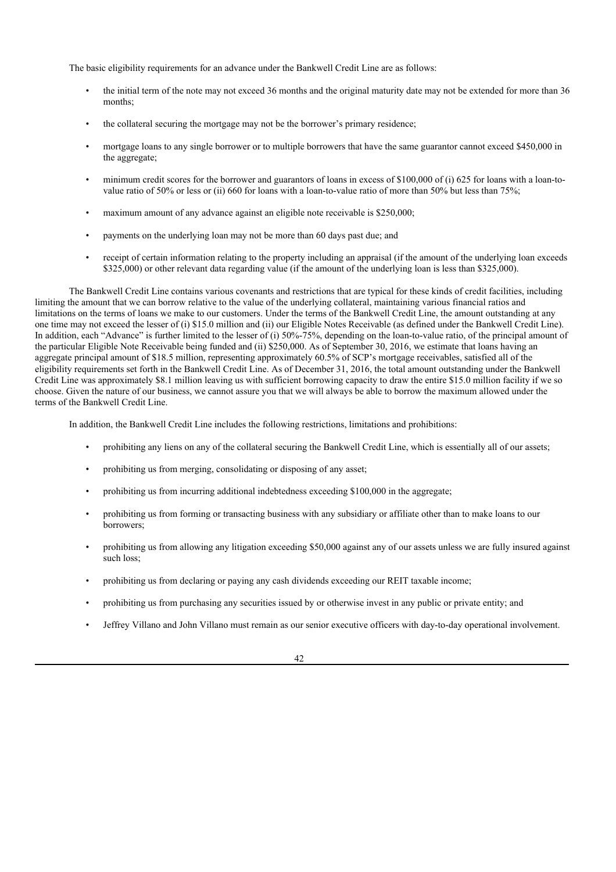The basic eligibility requirements for an advance under the Bankwell Credit Line are as follows:

- the initial term of the note may not exceed 36 months and the original maturity date may not be extended for more than 36 months;
- the collateral securing the mortgage may not be the borrower's primary residence;
- mortgage loans to any single borrower or to multiple borrowers that have the same guarantor cannot exceed \$450,000 in the aggregate;
- minimum credit scores for the borrower and guarantors of loans in excess of \$100,000 of (i) 625 for loans with a loan-tovalue ratio of 50% or less or (ii) 660 for loans with a loan-to-value ratio of more than 50% but less than 75%;
- maximum amount of any advance against an eligible note receivable is \$250,000;
- payments on the underlying loan may not be more than 60 days past due; and
- receipt of certain information relating to the property including an appraisal (if the amount of the underlying loan exceeds \$325,000) or other relevant data regarding value (if the amount of the underlying loan is less than \$325,000).

The Bankwell Credit Line contains various covenants and restrictions that are typical for these kinds of credit facilities, including limiting the amount that we can borrow relative to the value of the underlying collateral, maintaining various financial ratios and limitations on the terms of loans we make to our customers. Under the terms of the Bankwell Credit Line, the amount outstanding at any one time may not exceed the lesser of (i) \$15.0 million and (ii) our Eligible Notes Receivable (as defined under the Bankwell Credit Line). In addition, each "Advance" is further limited to the lesser of (i) 50%-75%, depending on the loan-to-value ratio, of the principal amount of the particular Eligible Note Receivable being funded and (ii) \$250,000. As of September 30, 2016, we estimate that loans having an aggregate principal amount of \$18.5 million, representing approximately 60.5% of SCP's mortgage receivables, satisfied all of the eligibility requirements set forth in the Bankwell Credit Line. As of December 31, 2016, the total amount outstanding under the Bankwell Credit Line was approximately \$8.1 million leaving us with sufficient borrowing capacity to draw the entire \$15.0 million facility if we so choose. Given the nature of our business, we cannot assure you that we will always be able to borrow the maximum allowed under the terms of the Bankwell Credit Line.

In addition, the Bankwell Credit Line includes the following restrictions, limitations and prohibitions:

- prohibiting any liens on any of the collateral securing the Bankwell Credit Line, which is essentially all of our assets;
- prohibiting us from merging, consolidating or disposing of any asset;
- prohibiting us from incurring additional indebtedness exceeding \$100,000 in the aggregate;
- prohibiting us from forming or transacting business with any subsidiary or affiliate other than to make loans to our borrowers;
- prohibiting us from allowing any litigation exceeding \$50,000 against any of our assets unless we are fully insured against such loss;
- prohibiting us from declaring or paying any cash dividends exceeding our REIT taxable income;
- prohibiting us from purchasing any securities issued by or otherwise invest in any public or private entity; and
- Jeffrey Villano and John Villano must remain as our senior executive officers with day-to-day operational involvement.

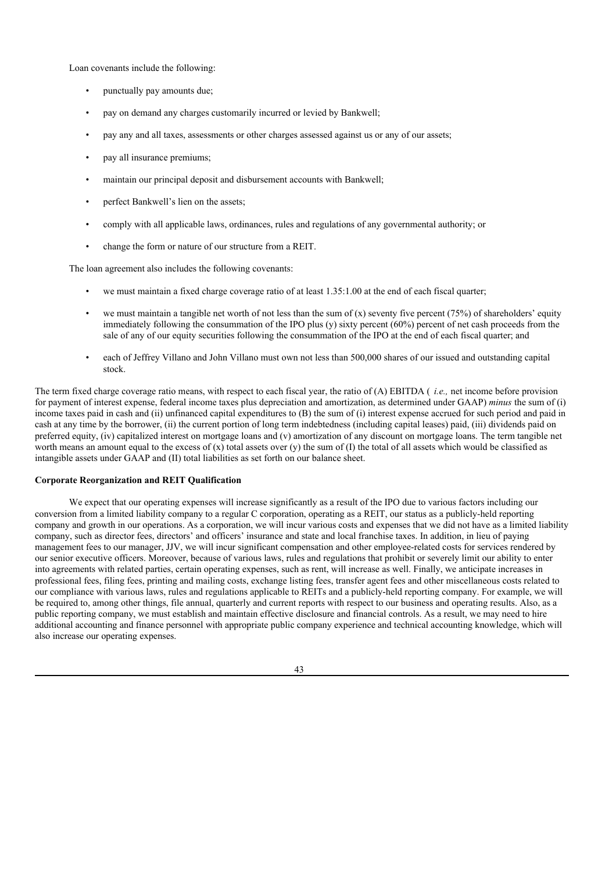Loan covenants include the following:

- punctually pay amounts due;
- pay on demand any charges customarily incurred or levied by Bankwell;
- pay any and all taxes, assessments or other charges assessed against us or any of our assets;
- pay all insurance premiums;
- maintain our principal deposit and disbursement accounts with Bankwell;
- perfect Bankwell's lien on the assets;
- comply with all applicable laws, ordinances, rules and regulations of any governmental authority; or
- change the form or nature of our structure from a REIT.

The loan agreement also includes the following covenants:

- we must maintain a fixed charge coverage ratio of at least 1.35:1.00 at the end of each fiscal quarter;
- we must maintain a tangible net worth of not less than the sum of  $(x)$  seventy five percent (75%) of shareholders' equity immediately following the consummation of the IPO plus  $(v)$  sixty percent  $(60\%)$  percent of net cash proceeds from the sale of any of our equity securities following the consummation of the IPO at the end of each fiscal quarter; and
- each of Jeffrey Villano and John Villano must own not less than 500,000 shares of our issued and outstanding capital stock.

The term fixed charge coverage ratio means, with respect to each fiscal year, the ratio of (A) EBITDA ( *i.e.,* net income before provision for payment of interest expense, federal income taxes plus depreciation and amortization, as determined under GAAP) *minus* the sum of (i) income taxes paid in cash and (ii) unfinanced capital expenditures to (B) the sum of (i) interest expense accrued for such period and paid in cash at any time by the borrower, (ii) the current portion of long term indebtedness (including capital leases) paid, (iii) dividends paid on preferred equity, (iv) capitalized interest on mortgage loans and (v) amortization of any discount on mortgage loans. The term tangible net worth means an amount equal to the excess of  $(x)$  total assets over  $(y)$  the sum of  $(I)$  the total of all assets which would be classified as intangible assets under GAAP and (II) total liabilities as set forth on our balance sheet.

# **Corporate Reorganization and REIT Qualification**

We expect that our operating expenses will increase significantly as a result of the IPO due to various factors including our conversion from a limited liability company to a regular C corporation, operating as a REIT, our status as a publicly-held reporting company and growth in our operations. As a corporation, we will incur various costs and expenses that we did not have as a limited liability company, such as director fees, directors' and officers' insurance and state and local franchise taxes. In addition, in lieu of paying management fees to our manager, JJV, we will incur significant compensation and other employee-related costs for services rendered by our senior executive officers. Moreover, because of various laws, rules and regulations that prohibit or severely limit our ability to enter into agreements with related parties, certain operating expenses, such as rent, will increase as well. Finally, we anticipate increases in professional fees, filing fees, printing and mailing costs, exchange listing fees, transfer agent fees and other miscellaneous costs related to our compliance with various laws, rules and regulations applicable to REITs and a publicly-held reporting company. For example, we will be required to, among other things, file annual, quarterly and current reports with respect to our business and operating results. Also, as a public reporting company, we must establish and maintain effective disclosure and financial controls. As a result, we may need to hire additional accounting and finance personnel with appropriate public company experience and technical accounting knowledge, which will also increase our operating expenses.

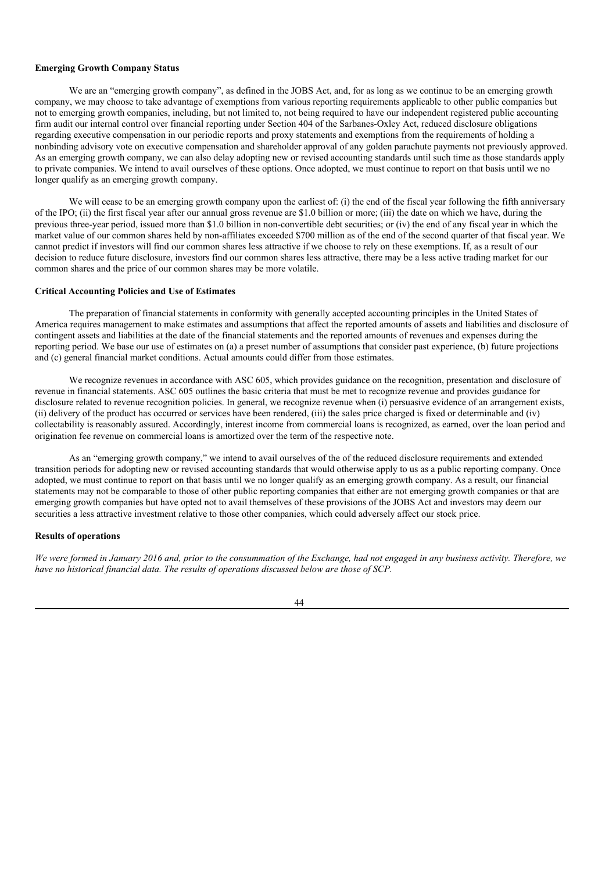### **Emerging Growth Company Status**

We are an "emerging growth company", as defined in the JOBS Act, and, for as long as we continue to be an emerging growth company, we may choose to take advantage of exemptions from various reporting requirements applicable to other public companies but not to emerging growth companies, including, but not limited to, not being required to have our independent registered public accounting firm audit our internal control over financial reporting under Section 404 of the Sarbanes-Oxley Act, reduced disclosure obligations regarding executive compensation in our periodic reports and proxy statements and exemptions from the requirements of holding a nonbinding advisory vote on executive compensation and shareholder approval of any golden parachute payments not previously approved. As an emerging growth company, we can also delay adopting new or revised accounting standards until such time as those standards apply to private companies. We intend to avail ourselves of these options. Once adopted, we must continue to report on that basis until we no longer qualify as an emerging growth company.

We will cease to be an emerging growth company upon the earliest of: (i) the end of the fiscal year following the fifth anniversary of the IPO; (ii) the first fiscal year after our annual gross revenue are \$1.0 billion or more; (iii) the date on which we have, during the previous three-year period, issued more than \$1.0 billion in non-convertible debt securities; or (iv) the end of any fiscal year in which the market value of our common shares held by non-affiliates exceeded \$700 million as of the end of the second quarter of that fiscal year. We cannot predict if investors will find our common shares less attractive if we choose to rely on these exemptions. If, as a result of our decision to reduce future disclosure, investors find our common shares less attractive, there may be a less active trading market for our common shares and the price of our common shares may be more volatile.

# **Critical Accounting Policies and Use of Estimates**

The preparation of financial statements in conformity with generally accepted accounting principles in the United States of America requires management to make estimates and assumptions that affect the reported amounts of assets and liabilities and disclosure of contingent assets and liabilities at the date of the financial statements and the reported amounts of revenues and expenses during the reporting period. We base our use of estimates on (a) a preset number of assumptions that consider past experience, (b) future projections and (c) general financial market conditions. Actual amounts could differ from those estimates.

We recognize revenues in accordance with ASC 605, which provides guidance on the recognition, presentation and disclosure of revenue in financial statements. ASC 605 outlines the basic criteria that must be met to recognize revenue and provides guidance for disclosure related to revenue recognition policies. In general, we recognize revenue when (i) persuasive evidence of an arrangement exists, (ii) delivery of the product has occurred or services have been rendered, (iii) the sales price charged is fixed or determinable and (iv) collectability is reasonably assured. Accordingly, interest income from commercial loans is recognized, as earned, over the loan period and origination fee revenue on commercial loans is amortized over the term of the respective note.

As an "emerging growth company," we intend to avail ourselves of the of the reduced disclosure requirements and extended transition periods for adopting new or revised accounting standards that would otherwise apply to us as a public reporting company. Once adopted, we must continue to report on that basis until we no longer qualify as an emerging growth company. As a result, our financial statements may not be comparable to those of other public reporting companies that either are not emerging growth companies or that are emerging growth companies but have opted not to avail themselves of these provisions of the JOBS Act and investors may deem our securities a less attractive investment relative to those other companies, which could adversely affect our stock price.

### **Results of operations**

We were formed in January 2016 and, prior to the consummation of the Exchange, had not engaged in any business activity. Therefore, we *have no historical financial data. The results of operations discussed below are those of SCP.*

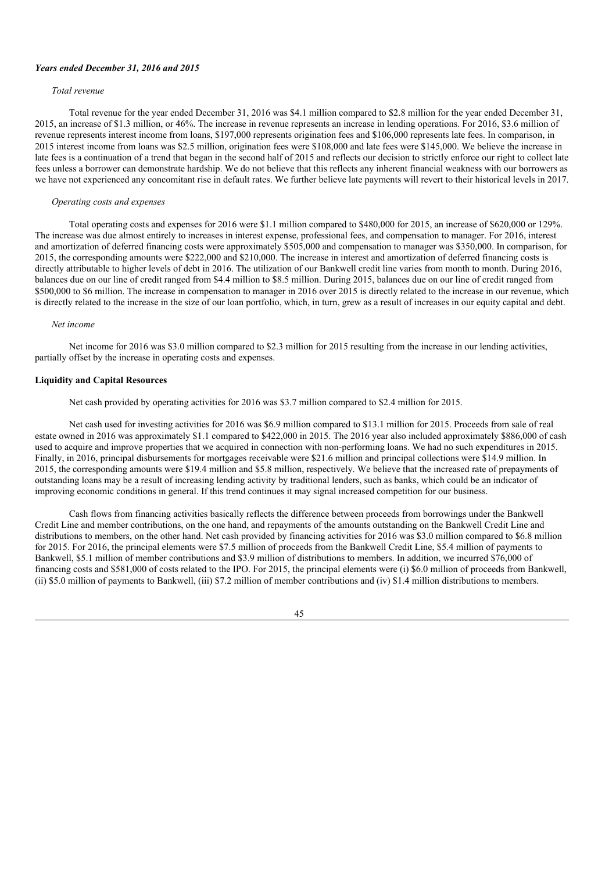#### *Years ended December 31, 2016 and 2015*

### *Total revenue*

Total revenue for the year ended December 31, 2016 was \$4.1 million compared to \$2.8 million for the year ended December 31, 2015, an increase of \$1.3 million, or 46%. The increase in revenue represents an increase in lending operations. For 2016, \$3.6 million of revenue represents interest income from loans, \$197,000 represents origination fees and \$106,000 represents late fees. In comparison, in 2015 interest income from loans was \$2.5 million, origination fees were \$108,000 and late fees were \$145,000. We believe the increase in late fees is a continuation of a trend that began in the second half of 2015 and reflects our decision to strictly enforce our right to collect late fees unless a borrower can demonstrate hardship. We do not believe that this reflects any inherent financial weakness with our borrowers as we have not experienced any concomitant rise in default rates. We further believe late payments will revert to their historical levels in 2017.

### *Operating costs and expenses*

Total operating costs and expenses for 2016 were \$1.1 million compared to \$480,000 for 2015, an increase of \$620,000 or 129%. The increase was due almost entirely to increases in interest expense, professional fees, and compensation to manager. For 2016, interest and amortization of deferred financing costs were approximately \$505,000 and compensation to manager was \$350,000. In comparison, for 2015, the corresponding amounts were \$222,000 and \$210,000. The increase in interest and amortization of deferred financing costs is directly attributable to higher levels of debt in 2016. The utilization of our Bankwell credit line varies from month to month. During 2016, balances due on our line of credit ranged from \$4.4 million to \$8.5 million. During 2015, balances due on our line of credit ranged from \$500,000 to \$6 million. The increase in compensation to manager in 2016 over 2015 is directly related to the increase in our revenue, which is directly related to the increase in the size of our loan portfolio, which, in turn, grew as a result of increases in our equity capital and debt.

#### *Net income*

Net income for 2016 was \$3.0 million compared to \$2.3 million for 2015 resulting from the increase in our lending activities, partially offset by the increase in operating costs and expenses.

# **Liquidity and Capital Resources**

Net cash provided by operating activities for 2016 was \$3.7 million compared to \$2.4 million for 2015.

Net cash used for investing activities for 2016 was \$6.9 million compared to \$13.1 million for 2015. Proceeds from sale of real estate owned in 2016 was approximately \$1.1 compared to \$422,000 in 2015. The 2016 year also included approximately \$886,000 of cash used to acquire and improve properties that we acquired in connection with non-performing loans. We had no such expenditures in 2015. Finally, in 2016, principal disbursements for mortgages receivable were \$21.6 million and principal collections were \$14.9 million. In 2015, the corresponding amounts were \$19.4 million and \$5.8 million, respectively. We believe that the increased rate of prepayments of outstanding loans may be a result of increasing lending activity by traditional lenders, such as banks, which could be an indicator of improving economic conditions in general. If this trend continues it may signal increased competition for our business.

Cash flows from financing activities basically reflects the difference between proceeds from borrowings under the Bankwell Credit Line and member contributions, on the one hand, and repayments of the amounts outstanding on the Bankwell Credit Line and distributions to members, on the other hand. Net cash provided by financing activities for 2016 was \$3.0 million compared to \$6.8 million for 2015. For 2016, the principal elements were \$7.5 million of proceeds from the Bankwell Credit Line, \$5.4 million of payments to Bankwell, \$5.1 million of member contributions and \$3.9 million of distributions to members. In addition, we incurred \$76,000 of financing costs and \$581,000 of costs related to the IPO. For 2015, the principal elements were (i) \$6.0 million of proceeds from Bankwell, (ii) \$5.0 million of payments to Bankwell, (iii) \$7.2 million of member contributions and (iv) \$1.4 million distributions to members.

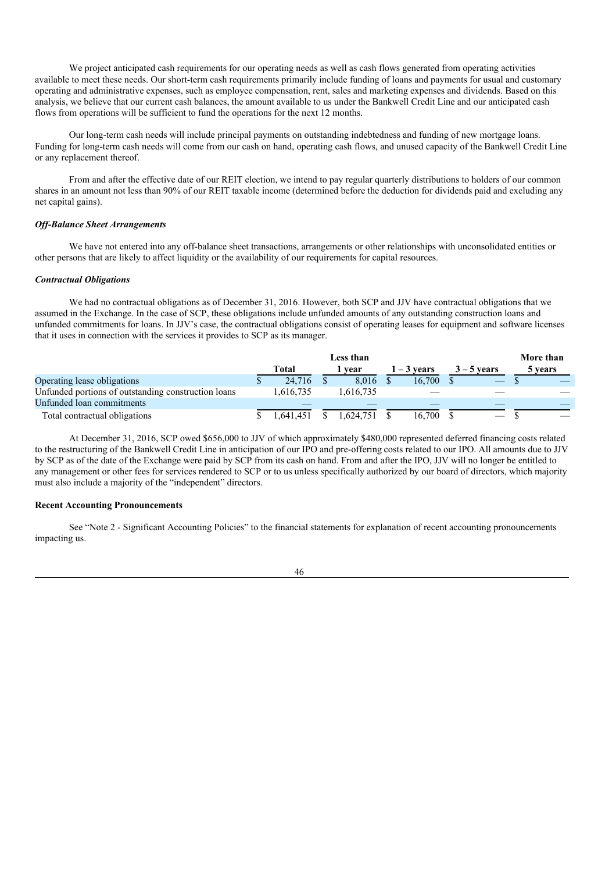We project anticipated cash requirements for our operating needs as well as cash flows generated from operating activities available to meet these needs. Our short-term cash requirements primarily include funding of loans and payments for usual and customary operating and administrative expenses, such as employee compensation, rent, sales and marketing expenses and dividends. Based on this analysis, we believe that our current cash balances, the amount available to us under the Bankwell Credit Line and our anticipated cash flows from operations will be sufficient to fund the operations for the next 12 months.

Our long-term cash needs will include principal payments on outstanding indebtedness and funding of new mortgage loans. Funding for long-term cash needs will come from our cash on hand, operating cash flows, and unused capacity of the Bankwell Credit Line or any replacement thereof.

From and after the effective date of our REIT election, we intend to pay regular quarterly distributions to holders of our common shares in an amount not less than 90% of our REIT taxable income (determined before the deduction for dividends paid and excluding any net capital gains).

#### *Of -Balance Sheet Arrangements*

We have not entered into any off-balance sheet transactions, arrangements or other relationships with unconsolidated entities or other persons that are likely to affect liquidity or the availability of our requirements for capital resources.

#### *Contractual Obligations*

We had no contractual obligations as of December 31, 2016. However, both SCP and JJV have contractual obligations that we assumed in the Exchange. In the case of SCP, these obligations include unfunded amounts of any outstanding construction loans and unfunded commitments for loans. In JJV's case, the contractual obligations consist of operating leases for equipment and software licenses that it uses in connection with the services it provides to SCP as its manager.

|                                                     |           | Less than |             |               | More than |
|-----------------------------------------------------|-----------|-----------|-------------|---------------|-----------|
|                                                     | Total     | vear      | 1 – 3 vears | $3 - 5$ vears | 5 years   |
| Operating lease obligations                         | 24.716    | 8.016     | 16.700      |               |           |
| Unfunded portions of outstanding construction loans | 1.616.735 | .616.735  |             |               |           |
| Unfunded loan commitments                           |           |           |             |               |           |
| Total contractual obligations                       | .641.451  | .624.751  | 16.700      |               |           |

At December 31, 2016, SCP owed \$656,000 to JJV of which approximately \$480,000 represented deferred financing costs related to the restructuring of the Bankwell Credit Line in anticipation of our IPO and pre-offering costs related to our IPO. All amounts due to JJV by SCP as of the date of the Exchange were paid by SCP from its cash on hand. From and after the IPO, JJV will no longer be entitled to any management or other fees for services rendered to SCP or to us unless specifically authorized by our board of directors, which majority must also include a majority of the "independent" directors.

### **Recent Accounting Pronouncements**

See "Note 2 - Significant Accounting Policies" to the financial statements for explanation of recent accounting pronouncements impacting us.

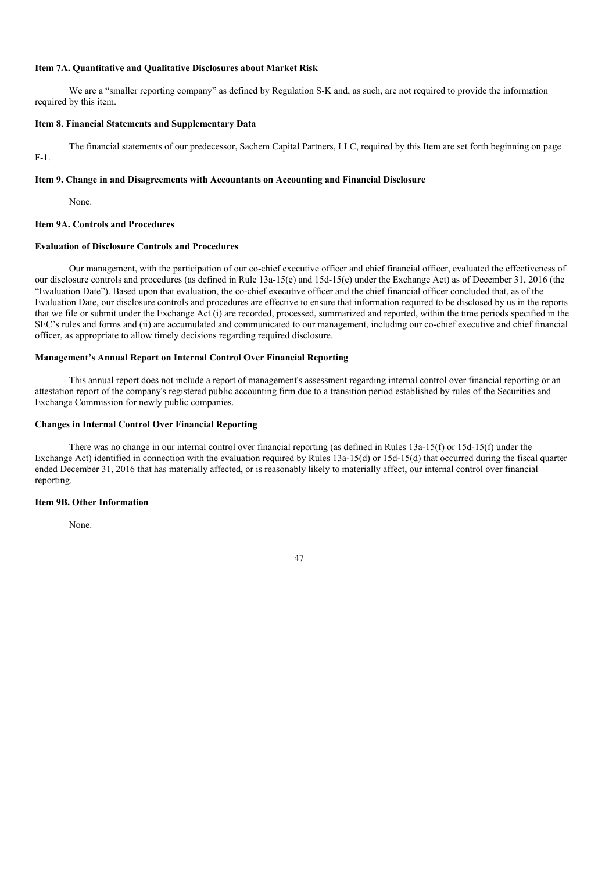### **Item 7A. Quantitative and Qualitative Disclosures about Market Risk**

We are a "smaller reporting company" as defined by Regulation S-K and, as such, are not required to provide the information required by this item.

#### **Item 8. Financial Statements and Supplementary Data**

The financial statements of our predecessor, Sachem Capital Partners, LLC, required by this Item are set forth beginning on page F-1.

#### **Item 9. Change in and Disagreements with Accountants on Accounting and Financial Disclosure**

None.

#### **Item 9A. Controls and Procedures**

### **Evaluation of Disclosure Controls and Procedures**

Our management, with the participation of our co-chief executive officer and chief financial officer, evaluated the effectiveness of our disclosure controls and procedures (as defined in Rule 13a-15(e) and 15d-15(e) under the Exchange Act) as of December 31, 2016 (the "Evaluation Date"). Based upon that evaluation, the co-chief executive officer and the chief financial officer concluded that, as of the Evaluation Date, our disclosure controls and procedures are effective to ensure that information required to be disclosed by us in the reports that we file or submit under the Exchange Act (i) are recorded, processed, summarized and reported, within the time periods specified in the SEC's rules and forms and (ii) are accumulated and communicated to our management, including our co-chief executive and chief financial officer, as appropriate to allow timely decisions regarding required disclosure.

# **Management's Annual Report on Internal Control Over Financial Reporting**

This annual report does not include a report of management's assessment regarding internal control over financial reporting or an attestation report of the company's registered public accounting firm due to a transition period established by rules of the Securities and Exchange Commission for newly public companies.

# **Changes in Internal Control Over Financial Reporting**

There was no change in our internal control over financial reporting (as defined in Rules 13a-15(f) or 15d-15(f) under the Exchange Act) identified in connection with the evaluation required by Rules 13a-15(d) or 15d-15(d) that occurred during the fiscal quarter ended December 31, 2016 that has materially affected, or is reasonably likely to materially affect, our internal control over financial reporting.

#### **Item 9B. Other Information**

None.

47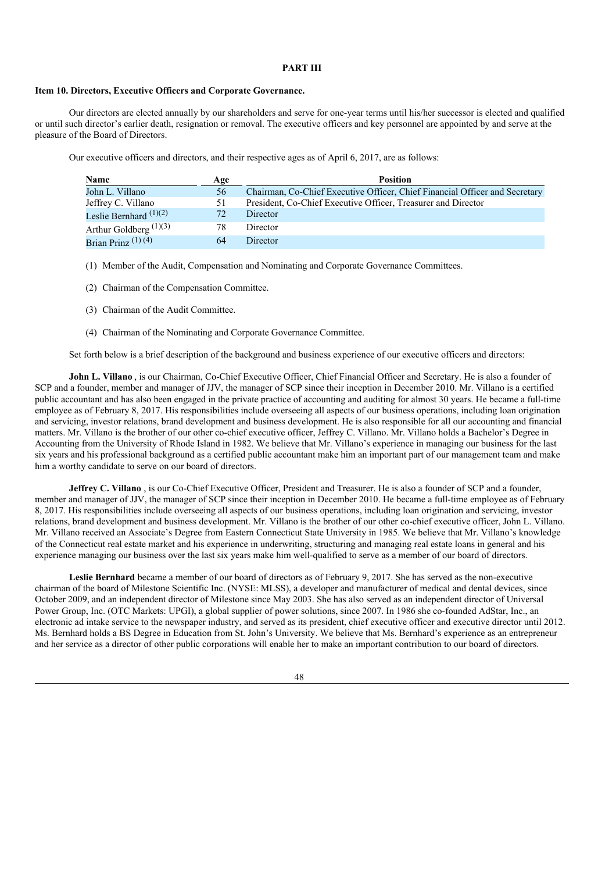# **PART III**

#### **Item 10. Directors, Executive Officers and Corporate Governance.**

Our directors are elected annually by our shareholders and serve for one-year terms until his/her successor is elected and qualified or until such director's earlier death, resignation or removal. The executive officers and key personnel are appointed by and serve at the pleasure of the Board of Directors.

Our executive officers and directors, and their respective ages as of April 6, 2017, are as follows:

| Name                     | Age | <b>Position</b>                                                             |
|--------------------------|-----|-----------------------------------------------------------------------------|
| John L. Villano          | 56  | Chairman, Co-Chief Executive Officer, Chief Financial Officer and Secretary |
| Jeffrey C. Villano       | 51  | President, Co-Chief Executive Officer, Treasurer and Director               |
| Leslie Bernhard $(1)(2)$ | 72  | Director                                                                    |
| Arthur Goldberg $(1)(3)$ | 78  | Director                                                                    |
| Brian Prinz $(1)$ (4)    | 64  | <b>Director</b>                                                             |

- (1) Member of the Audit, Compensation and Nominating and Corporate Governance Committees.
- (2) Chairman of the Compensation Committee.
- (3) Chairman of the Audit Committee.
- (4) Chairman of the Nominating and Corporate Governance Committee.

Set forth below is a brief description of the background and business experience of our executive officers and directors:

**John L. Villano** , is our Chairman, Co-Chief Executive Officer, Chief Financial Officer and Secretary. He is also a founder of SCP and a founder, member and manager of JJV, the manager of SCP since their inception in December 2010. Mr. Villano is a certified public accountant and has also been engaged in the private practice of accounting and auditing for almost 30 years. He became a full-time employee as of February 8, 2017. His responsibilities include overseeing all aspects of our business operations, including loan origination and servicing, investor relations, brand development and business development. He is also responsible for all our accounting and financial matters. Mr. Villano is the brother of our other co-chief executive officer, Jeffrey C. Villano. Mr. Villano holds a Bachelor's Degree in Accounting from the University of Rhode Island in 1982. We believe that Mr. Villano's experience in managing our business for the last six years and his professional background as a certified public accountant make him an important part of our management team and make him a worthy candidate to serve on our board of directors.

**Jeffrey C. Villano** , is our Co-Chief Executive Officer, President and Treasurer. He is also a founder of SCP and a founder, member and manager of JJV, the manager of SCP since their inception in December 2010. He became a full-time employee as of February 8, 2017. His responsibilities include overseeing all aspects of our business operations, including loan origination and servicing, investor relations, brand development and business development. Mr. Villano is the brother of our other co-chief executive officer, John L. Villano. Mr. Villano received an Associate's Degree from Eastern Connecticut State University in 1985. We believe that Mr. Villano's knowledge of the Connecticut real estate market and his experience in underwriting, structuring and managing real estate loans in general and his experience managing our business over the last six years make him well-qualified to serve as a member of our board of directors.

**Leslie Bernhard** became a member of our board of directors as of February 9, 2017. She has served as the non-executive chairman of the board of Milestone Scientific Inc. (NYSE: MLSS), a developer and manufacturer of medical and dental devices, since October 2009, and an independent director of Milestone since May 2003. She has also served as an independent director of Universal Power Group, Inc. (OTC Markets: UPGI), a global supplier of power solutions, since 2007. In 1986 she co-founded AdStar, Inc., an electronic ad intake service to the newspaper industry, and served as its president, chief executive officer and executive director until 2012. Ms. Bernhard holds a BS Degree in Education from St. John's University. We believe that Ms. Bernhard's experience as an entrepreneur and her service as a director of other public corporations will enable her to make an important contribution to our board of directors.

48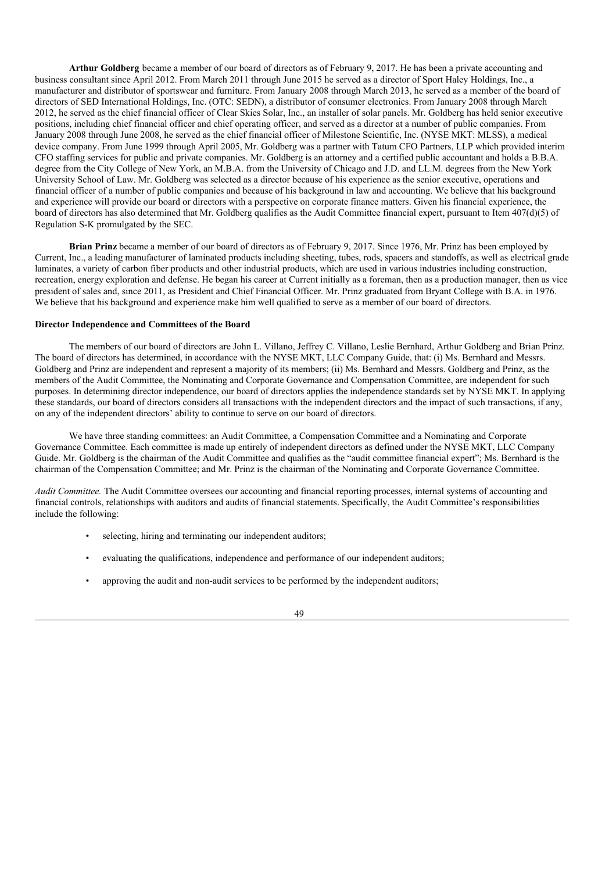**Arthur Goldberg** became a member of our board of directors as of February 9, 2017. He has been a private accounting and business consultant since April 2012. From March 2011 through June 2015 he served as a director of Sport Haley Holdings, Inc., a manufacturer and distributor of sportswear and furniture. From January 2008 through March 2013, he served as a member of the board of directors of SED International Holdings, Inc. (OTC: SEDN), a distributor of consumer electronics. From January 2008 through March 2012, he served as the chief financial officer of Clear Skies Solar, Inc., an installer of solar panels. Mr. Goldberg has held senior executive positions, including chief financial officer and chief operating officer, and served as a director at a number of public companies. From January 2008 through June 2008, he served as the chief financial officer of Milestone Scientific, Inc. (NYSE MKT: MLSS), a medical device company. From June 1999 through April 2005, Mr. Goldberg was a partner with Tatum CFO Partners, LLP which provided interim CFO staffing services for public and private companies. Mr. Goldberg is an attorney and a certified public accountant and holds a B.B.A. degree from the City College of New York, an M.B.A. from the University of Chicago and J.D. and LL.M. degrees from the New York University School of Law. Mr. Goldberg was selected as a director because of his experience as the senior executive, operations and financial officer of a number of public companies and because of his background in law and accounting. We believe that his background and experience will provide our board or directors with a perspective on corporate finance matters. Given his financial experience, the board of directors has also determined that Mr. Goldberg qualifies as the Audit Committee financial expert, pursuant to Item 407(d)(5) of Regulation S-K promulgated by the SEC.

**Brian Prinz** became a member of our board of directors as of February 9, 2017. Since 1976, Mr. Prinz has been employed by Current, Inc., a leading manufacturer of laminated products including sheeting, tubes, rods, spacers and standoffs, as well as electrical grade laminates, a variety of carbon fiber products and other industrial products, which are used in various industries including construction, recreation, energy exploration and defense. He began his career at Current initially as a foreman, then as a production manager, then as vice president of sales and, since 2011, as President and Chief Financial Officer. Mr. Prinz graduated from Bryant College with B.A. in 1976. We believe that his background and experience make him well qualified to serve as a member of our board of directors.

### **Director Independence and Committees of the Board**

The members of our board of directors are John L. Villano, Jeffrey C. Villano, Leslie Bernhard, Arthur Goldberg and Brian Prinz. The board of directors has determined, in accordance with the NYSE MKT, LLC Company Guide, that: (i) Ms. Bernhard and Messrs. Goldberg and Prinz are independent and represent a majority of its members; (ii) Ms. Bernhard and Messrs. Goldberg and Prinz, as the members of the Audit Committee, the Nominating and Corporate Governance and Compensation Committee, are independent for such purposes. In determining director independence, our board of directors applies the independence standards set by NYSE MKT. In applying these standards, our board of directors considers all transactions with the independent directors and the impact of such transactions, if any, on any of the independent directors' ability to continue to serve on our board of directors.

We have three standing committees: an Audit Committee, a Compensation Committee and a Nominating and Corporate Governance Committee. Each committee is made up entirely of independent directors as defined under the NYSE MKT, LLC Company Guide. Mr. Goldberg is the chairman of the Audit Committee and qualifies as the "audit committee financial expert"; Ms. Bernhard is the chairman of the Compensation Committee; and Mr. Prinz is the chairman of the Nominating and Corporate Governance Committee.

*Audit Committee.* The Audit Committee oversees our accounting and financial reporting processes, internal systems of accounting and financial controls, relationships with auditors and audits of financial statements. Specifically, the Audit Committee's responsibilities include the following:

- selecting, hiring and terminating our independent auditors;
- evaluating the qualifications, independence and performance of our independent auditors;
- approving the audit and non-audit services to be performed by the independent auditors;

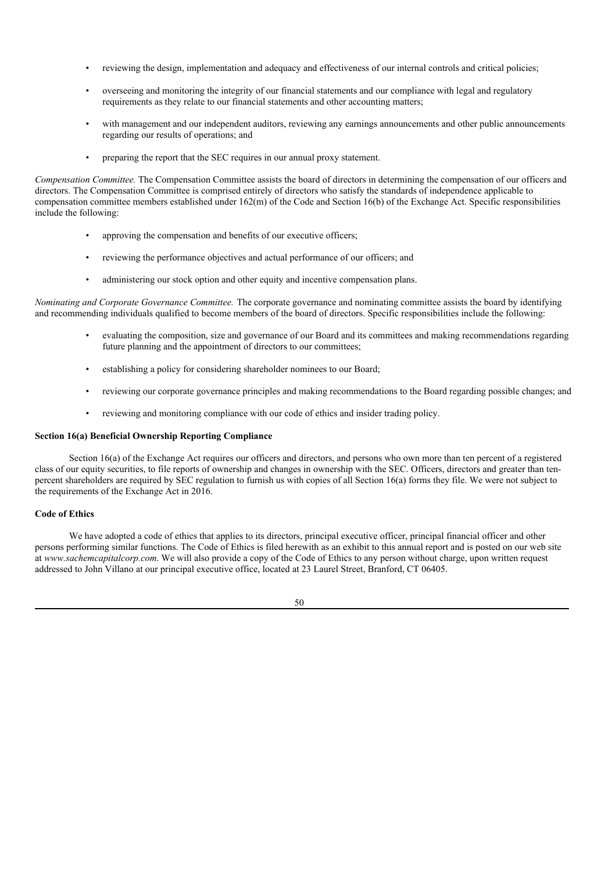- reviewing the design, implementation and adequacy and effectiveness of our internal controls and critical policies;
- overseeing and monitoring the integrity of our financial statements and our compliance with legal and regulatory requirements as they relate to our financial statements and other accounting matters;
- with management and our independent auditors, reviewing any earnings announcements and other public announcements regarding our results of operations; and
- preparing the report that the SEC requires in our annual proxy statement.

*Compensation Committee.* The Compensation Committee assists the board of directors in determining the compensation of our officers and directors. The Compensation Committee is comprised entirely of directors who satisfy the standards of independence applicable to compensation committee members established under 162(m) of the Code and Section 16(b) of the Exchange Act. Specific responsibilities include the following:

- approving the compensation and benefits of our executive officers;
- reviewing the performance objectives and actual performance of our officers; and
- administering our stock option and other equity and incentive compensation plans.

*Nominating and Corporate Governance Committee.* The corporate governance and nominating committee assists the board by identifying and recommending individuals qualified to become members of the board of directors. Specific responsibilities include the following:

- evaluating the composition, size and governance of our Board and its committees and making recommendations regarding future planning and the appointment of directors to our committees;
- establishing a policy for considering shareholder nominees to our Board;
- reviewing our corporate governance principles and making recommendations to the Board regarding possible changes; and
- reviewing and monitoring compliance with our code of ethics and insider trading policy.

### **Section 16(a) Beneficial Ownership Reporting Compliance**

Section 16(a) of the Exchange Act requires our officers and directors, and persons who own more than ten percent of a registered class of our equity securities, to file reports of ownership and changes in ownership with the SEC. Officers, directors and greater than tenpercent shareholders are required by SEC regulation to furnish us with copies of all Section 16(a) forms they file. We were not subject to the requirements of the Exchange Act in 2016.

#### **Code of Ethics**

We have adopted a code of ethics that applies to its directors, principal executive officer, principal financial officer and other persons performing similar functions. The Code of Ethics is filed herewith as an exhibit to this annual report and is posted on our web site at *www.sachemcapitalcorp.com*. We will also provide a copy of the Code of Ethics to any person without charge, upon written request addressed to John Villano at our principal executive office, located at 23 Laurel Street, Branford, CT 06405.

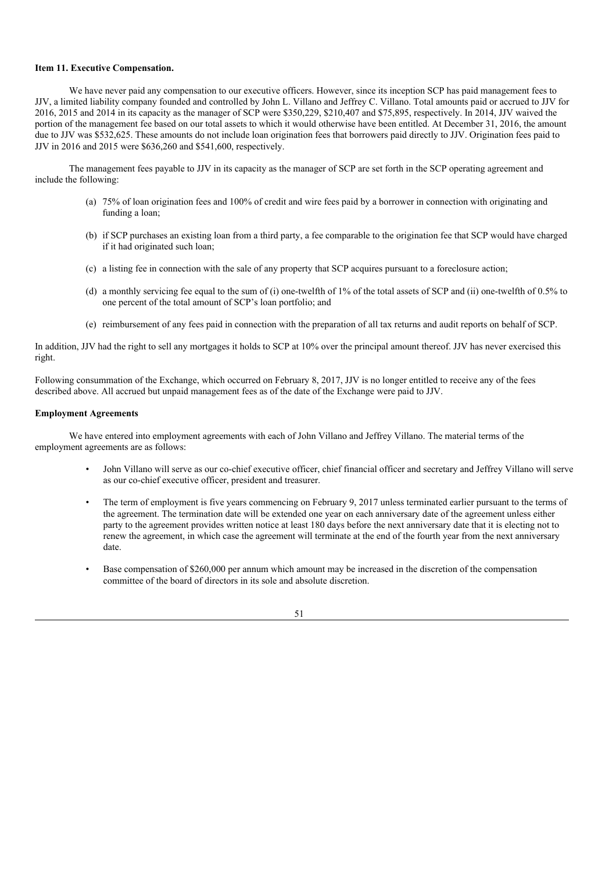# **Item 11. Executive Compensation.**

We have never paid any compensation to our executive officers. However, since its inception SCP has paid management fees to JJV, a limited liability company founded and controlled by John L. Villano and Jeffrey C. Villano. Total amounts paid or accrued to JJV for 2016, 2015 and 2014 in its capacity as the manager of SCP were \$350,229, \$210,407 and \$75,895, respectively. In 2014, JJV waived the portion of the management fee based on our total assets to which it would otherwise have been entitled. At December 31, 2016, the amount due to JJV was \$532,625. These amounts do not include loan origination fees that borrowers paid directly to JJV. Origination fees paid to JJV in 2016 and 2015 were \$636,260 and \$541,600, respectively.

The management fees payable to JJV in its capacity as the manager of SCP are set forth in the SCP operating agreement and include the following:

- (a) 75% of loan origination fees and 100% of credit and wire fees paid by a borrower in connection with originating and funding a loan;
- (b) if SCP purchases an existing loan from a third party, a fee comparable to the origination fee that SCP would have charged if it had originated such loan;
- (c) a listing fee in connection with the sale of any property that SCP acquires pursuant to a foreclosure action;
- (d) a monthly servicing fee equal to the sum of (i) one-twelfth of 1% of the total assets of SCP and (ii) one-twelfth of 0.5% to one percent of the total amount of SCP's loan portfolio; and
- (e) reimbursement of any fees paid in connection with the preparation of all tax returns and audit reports on behalf of SCP.

In addition, JJV had the right to sell any mortgages it holds to SCP at 10% over the principal amount thereof. JJV has never exercised this right.

Following consummation of the Exchange, which occurred on February 8, 2017, JJV is no longer entitled to receive any of the fees described above. All accrued but unpaid management fees as of the date of the Exchange were paid to JJV.

#### **Employment Agreements**

We have entered into employment agreements with each of John Villano and Jeffrey Villano. The material terms of the employment agreements are as follows:

- John Villano will serve as our co-chief executive officer, chief financial officer and secretary and Jeffrey Villano will serve as our co-chief executive officer, president and treasurer.
- The term of employment is five years commencing on February 9, 2017 unless terminated earlier pursuant to the terms of the agreement. The termination date will be extended one year on each anniversary date of the agreement unless either party to the agreement provides written notice at least 180 days before the next anniversary date that it is electing not to renew the agreement, in which case the agreement will terminate at the end of the fourth year from the next anniversary date.
- Base compensation of \$260,000 per annum which amount may be increased in the discretion of the compensation committee of the board of directors in its sole and absolute discretion.

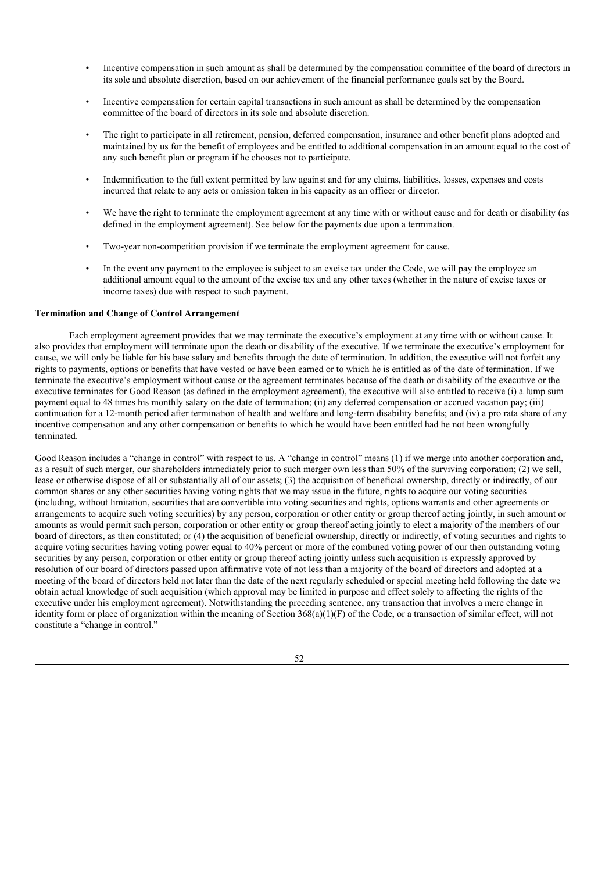- Incentive compensation in such amount as shall be determined by the compensation committee of the board of directors in its sole and absolute discretion, based on our achievement of the financial performance goals set by the Board.
- Incentive compensation for certain capital transactions in such amount as shall be determined by the compensation committee of the board of directors in its sole and absolute discretion.
- The right to participate in all retirement, pension, deferred compensation, insurance and other benefit plans adopted and maintained by us for the benefit of employees and be entitled to additional compensation in an amount equal to the cost of any such benefit plan or program if he chooses not to participate.
- Indemnification to the full extent permitted by law against and for any claims, liabilities, losses, expenses and costs incurred that relate to any acts or omission taken in his capacity as an officer or director.
- We have the right to terminate the employment agreement at any time with or without cause and for death or disability (as defined in the employment agreement). See below for the payments due upon a termination.
- Two-year non-competition provision if we terminate the employment agreement for cause.
- In the event any payment to the employee is subject to an excise tax under the Code, we will pay the employee an additional amount equal to the amount of the excise tax and any other taxes (whether in the nature of excise taxes or income taxes) due with respect to such payment.

### **Termination and Change of Control Arrangement**

Each employment agreement provides that we may terminate the executive's employment at any time with or without cause. It also provides that employment will terminate upon the death or disability of the executive. If we terminate the executive's employment for cause, we will only be liable for his base salary and benefits through the date of termination. In addition, the executive will not forfeit any rights to payments, options or benefits that have vested or have been earned or to which he is entitled as of the date of termination. If we terminate the executive's employment without cause or the agreement terminates because of the death or disability of the executive or the executive terminates for Good Reason (as defined in the employment agreement), the executive will also entitled to receive (i) a lump sum payment equal to 48 times his monthly salary on the date of termination; (ii) any deferred compensation or accrued vacation pay; (iii) continuation for a 12-month period after termination of health and welfare and long-term disability benefits; and (iv) a pro rata share of any incentive compensation and any other compensation or benefits to which he would have been entitled had he not been wrongfully terminated.

Good Reason includes a "change in control" with respect to us. A "change in control" means (1) if we merge into another corporation and, as a result of such merger, our shareholders immediately prior to such merger own less than 50% of the surviving corporation; (2) we sell, lease or otherwise dispose of all or substantially all of our assets; (3) the acquisition of beneficial ownership, directly or indirectly, of our common shares or any other securities having voting rights that we may issue in the future, rights to acquire our voting securities (including, without limitation, securities that are convertible into voting securities and rights, options warrants and other agreements or arrangements to acquire such voting securities) by any person, corporation or other entity or group thereof acting jointly, in such amount or amounts as would permit such person, corporation or other entity or group thereof acting jointly to elect a majority of the members of our board of directors, as then constituted; or (4) the acquisition of beneficial ownership, directly or indirectly, of voting securities and rights to acquire voting securities having voting power equal to 40% percent or more of the combined voting power of our then outstanding voting securities by any person, corporation or other entity or group thereof acting jointly unless such acquisition is expressly approved by resolution of our board of directors passed upon affirmative vote of not less than a majority of the board of directors and adopted at a meeting of the board of directors held not later than the date of the next regularly scheduled or special meeting held following the date we obtain actual knowledge of such acquisition (which approval may be limited in purpose and effect solely to affecting the rights of the executive under his employment agreement). Notwithstanding the preceding sentence, any transaction that involves a mere change in identity form or place of organization within the meaning of Section 368(a)(1)(F) of the Code, or a transaction of similar effect, will not constitute a "change in control."

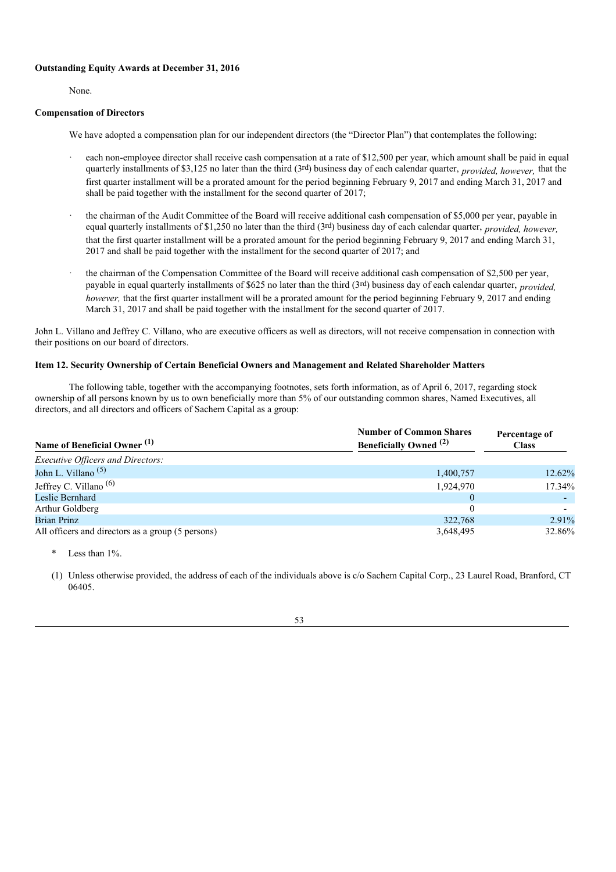# **Outstanding Equity Awards at December 31, 2016**

None.

## **Compensation of Directors**

We have adopted a compensation plan for our independent directors (the "Director Plan") that contemplates the following:

- each non-employee director shall receive cash compensation at a rate of \$12,500 per year, which amount shall be paid in equal quarterly installments of \$3,125 no later than the third (3rd) business day of each calendar quarter, *provided, however,* that the first quarter installment will be a prorated amount for the period beginning February 9, 2017 and ending March 31, 2017 and shall be paid together with the installment for the second quarter of 2017;
- the chairman of the Audit Committee of the Board will receive additional cash compensation of \$5,000 per year, payable in equal quarterly installments of \$1,250 no later than the third (3rd) business day of each calendar quarter, *provided, however,* that the first quarter installment will be a prorated amount for the period beginning February 9, 2017 and ending March 31, 2017 and shall be paid together with the installment for the second quarter of 2017; and
- the chairman of the Compensation Committee of the Board will receive additional cash compensation of \$2,500 per year, payable in equal quarterly installments of \$625 no later than the third (3rd) business day of each calendar quarter, *provided, however,* that the first quarter installment will be a prorated amount for the period beginning February 9, 2017 and ending March 31, 2017 and shall be paid together with the installment for the second quarter of 2017.

John L. Villano and Jeffrey C. Villano, who are executive officers as well as directors, will not receive compensation in connection with their positions on our board of directors.

# **Item 12. Security Ownership of Certain Beneficial Owners and Management and Related Shareholder Matters**

The following table, together with the accompanying footnotes, sets forth information, as of April 6, 2017, regarding stock ownership of all persons known by us to own beneficially more than 5% of our outstanding common shares, Named Executives, all directors, and all directors and officers of Sachem Capital as a group:

| Name of Beneficial Owner <sup>(1)</sup>           | <b>Number of Common Shares</b><br><b>Beneficially Owned</b> <sup>(2)</sup> | Percentage of<br><b>Class</b> |
|---------------------------------------------------|----------------------------------------------------------------------------|-------------------------------|
| <b>Executive Officers and Directors:</b>          |                                                                            |                               |
| John L. Villano <sup><math>(5)</math></sup>       | 1,400,757                                                                  | 12.62%                        |
| Jeffrey C. Villano <sup>(6)</sup>                 | 1,924,970                                                                  | 17.34%                        |
| Leslie Bernhard                                   | $\theta$                                                                   |                               |
| Arthur Goldberg                                   |                                                                            |                               |
| <b>Brian Prinz</b>                                | 322,768                                                                    | 2.91%                         |
| All officers and directors as a group (5 persons) | 3,648,495                                                                  | 32.86%                        |

Less than  $1\%$ .

(1) Unless otherwise provided, the address of each of the individuals above is c/o Sachem Capital Corp., 23 Laurel Road, Branford, CT 06405.

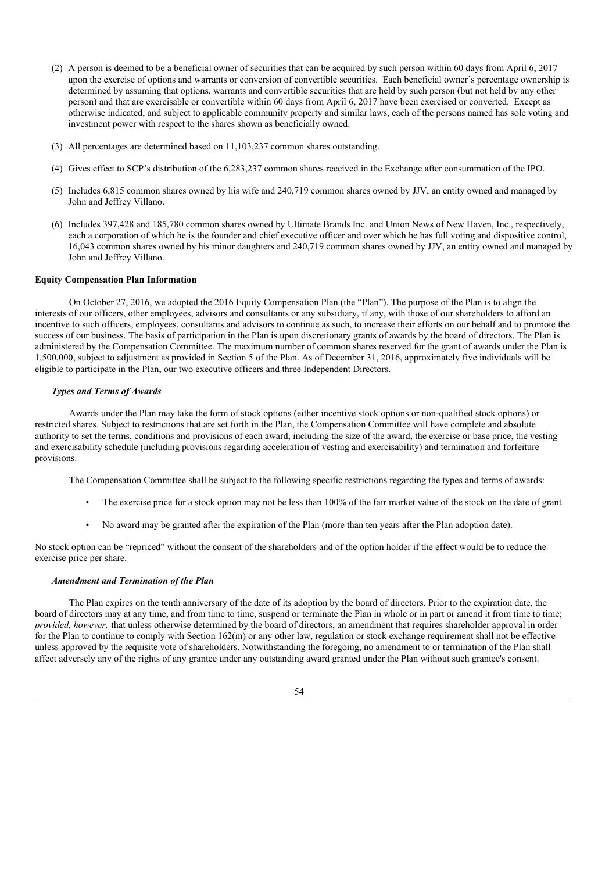- (2) A person is deemed to be a beneficial owner of securities that can be acquired by such person within 60 days from April 6, 2017 upon the exercise of options and warrants or conversion of convertible securities. Each beneficial owner's percentage ownership is determined by assuming that options, warrants and convertible securities that are held by such person (but not held by any other person) and that are exercisable or convertible within 60 days from April 6, 2017 have been exercised or converted. Except as otherwise indicated, and subject to applicable community property and similar laws, each of the persons named has sole voting and investment power with respect to the shares shown as beneficially owned.
- (3) All percentages are determined based on 11,103,237 common shares outstanding.
- (4) Gives effect to SCP's distribution of the 6,283,237 common shares received in the Exchange after consummation of the IPO.
- (5) Includes 6,815 common shares owned by his wife and 240,719 common shares owned by JJV, an entity owned and managed by John and Jeffrey Villano.
- (6) Includes 397,428 and 185,780 common shares owned by Ultimate Brands Inc. and Union News of New Haven, Inc., respectively, each a corporation of which he is the founder and chief executive officer and over which he has full voting and dispositive control, 16,043 common shares owned by his minor daughters and 240,719 common shares owned by JJV, an entity owned and managed by John and Jeffrey Villano.

### **Equity Compensation Plan Information**

On October 27, 2016, we adopted the 2016 Equity Compensation Plan (the "Plan"). The purpose of the Plan is to align the interests of our officers, other employees, advisors and consultants or any subsidiary, if any, with those of our shareholders to afford an incentive to such officers, employees, consultants and advisors to continue as such, to increase their efforts on our behalf and to promote the success of our business. The basis of participation in the Plan is upon discretionary grants of awards by the board of directors. The Plan is administered by the Compensation Committee. The maximum number of common shares reserved for the grant of awards under the Plan is 1,500,000, subject to adjustment as provided in Section 5 of the Plan. As of December 31, 2016, approximately five individuals will be eligible to participate in the Plan, our two executive officers and three Independent Directors.

#### *Types and Terms of Awards*

Awards under the Plan may take the form of stock options (either incentive stock options or non-qualified stock options) or restricted shares. Subject to restrictions that are set forth in the Plan, the Compensation Committee will have complete and absolute authority to set the terms, conditions and provisions of each award, including the size of the award, the exercise or base price, the vesting and exercisability schedule (including provisions regarding acceleration of vesting and exercisability) and termination and forfeiture provisions.

The Compensation Committee shall be subject to the following specific restrictions regarding the types and terms of awards:

- The exercise price for a stock option may not be less than 100% of the fair market value of the stock on the date of grant.
- No award may be granted after the expiration of the Plan (more than ten years after the Plan adoption date).

No stock option can be "repriced" without the consent of the shareholders and of the option holder if the effect would be to reduce the exercise price per share.

#### *Amendment and Termination of the Plan*

The Plan expires on the tenth anniversary of the date of its adoption by the board of directors. Prior to the expiration date, the board of directors may at any time, and from time to time, suspend or terminate the Plan in whole or in part or amend it from time to time; *provided, however,* that unless otherwise determined by the board of directors, an amendment that requires shareholder approval in order for the Plan to continue to comply with Section 162(m) or any other law, regulation or stock exchange requirement shall not be effective unless approved by the requisite vote of shareholders. Notwithstanding the foregoing, no amendment to or termination of the Plan shall affect adversely any of the rights of any grantee under any outstanding award granted under the Plan without such grantee's consent.

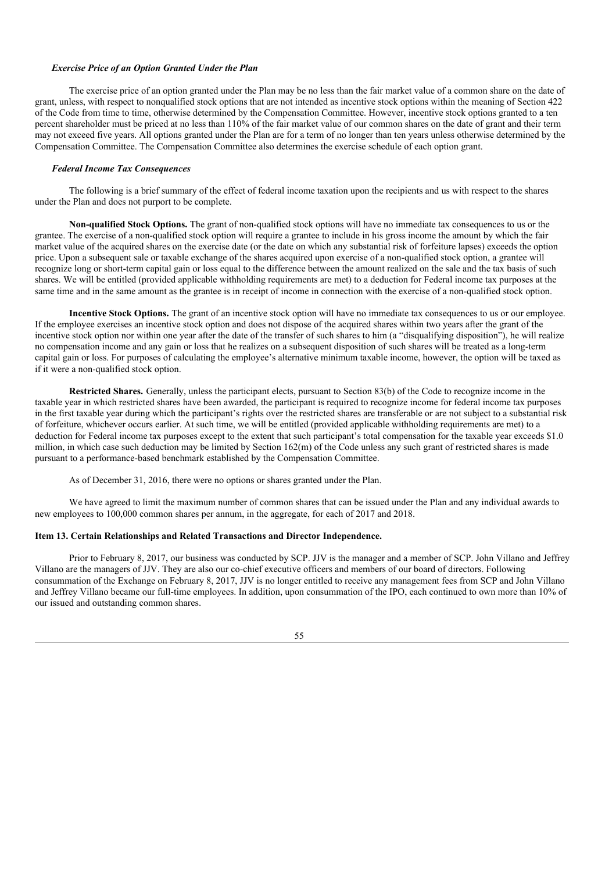#### *Exercise Price of an Option Granted Under the Plan*

The exercise price of an option granted under the Plan may be no less than the fair market value of a common share on the date of grant, unless, with respect to nonqualified stock options that are not intended as incentive stock options within the meaning of Section 422 of the Code from time to time, otherwise determined by the Compensation Committee. However, incentive stock options granted to a ten percent shareholder must be priced at no less than 110% of the fair market value of our common shares on the date of grant and their term may not exceed five years. All options granted under the Plan are for a term of no longer than ten years unless otherwise determined by the Compensation Committee. The Compensation Committee also determines the exercise schedule of each option grant.

### *Federal Income Tax Consequences*

The following is a brief summary of the effect of federal income taxation upon the recipients and us with respect to the shares under the Plan and does not purport to be complete.

**Non-qualified Stock Options.** The grant of non-qualified stock options will have no immediate tax consequences to us or the grantee. The exercise of a non-qualified stock option will require a grantee to include in his gross income the amount by which the fair market value of the acquired shares on the exercise date (or the date on which any substantial risk of forfeiture lapses) exceeds the option price. Upon a subsequent sale or taxable exchange of the shares acquired upon exercise of a non-qualified stock option, a grantee will recognize long or short-term capital gain or loss equal to the difference between the amount realized on the sale and the tax basis of such shares. We will be entitled (provided applicable withholding requirements are met) to a deduction for Federal income tax purposes at the same time and in the same amount as the grantee is in receipt of income in connection with the exercise of a non-qualified stock option.

**Incentive Stock Options.** The grant of an incentive stock option will have no immediate tax consequences to us or our employee. If the employee exercises an incentive stock option and does not dispose of the acquired shares within two years after the grant of the incentive stock option nor within one year after the date of the transfer of such shares to him (a "disqualifying disposition"), he will realize no compensation income and any gain or loss that he realizes on a subsequent disposition of such shares will be treated as a long-term capital gain or loss. For purposes of calculating the employee's alternative minimum taxable income, however, the option will be taxed as if it were a non-qualified stock option.

**Restricted Shares.** Generally, unless the participant elects, pursuant to Section 83(b) of the Code to recognize income in the taxable year in which restricted shares have been awarded, the participant is required to recognize income for federal income tax purposes in the first taxable year during which the participant's rights over the restricted shares are transferable or are not subject to a substantial risk of forfeiture, whichever occurs earlier. At such time, we will be entitled (provided applicable withholding requirements are met) to a deduction for Federal income tax purposes except to the extent that such participant's total compensation for the taxable year exceeds \$1.0 million, in which case such deduction may be limited by Section 162(m) of the Code unless any such grant of restricted shares is made pursuant to a performance-based benchmark established by the Compensation Committee.

As of December 31, 2016, there were no options or shares granted under the Plan.

We have agreed to limit the maximum number of common shares that can be issued under the Plan and any individual awards to new employees to 100,000 common shares per annum, in the aggregate, for each of 2017 and 2018.

# **Item 13. Certain Relationships and Related Transactions and Director Independence.**

Prior to February 8, 2017, our business was conducted by SCP. JJV is the manager and a member of SCP. John Villano and Jeffrey Villano are the managers of JJV. They are also our co-chief executive officers and members of our board of directors. Following consummation of the Exchange on February 8, 2017, JJV is no longer entitled to receive any management fees from SCP and John Villano and Jeffrey Villano became our full-time employees. In addition, upon consummation of the IPO, each continued to own more than 10% of our issued and outstanding common shares.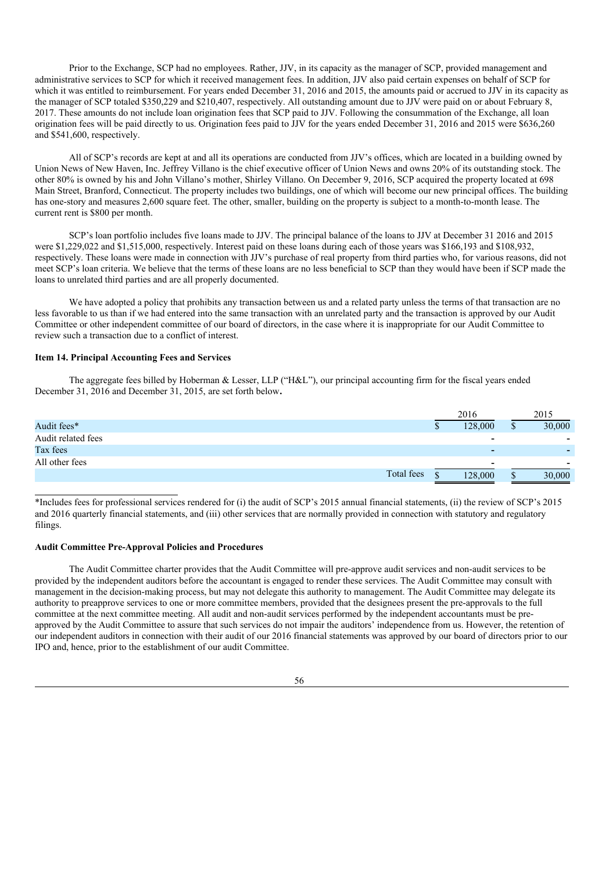Prior to the Exchange, SCP had no employees. Rather, JJV, in its capacity as the manager of SCP, provided management and administrative services to SCP for which it received management fees. In addition, JJV also paid certain expenses on behalf of SCP for which it was entitled to reimbursement. For years ended December 31, 2016 and 2015, the amounts paid or accrued to JJV in its capacity as the manager of SCP totaled \$350,229 and \$210,407, respectively. All outstanding amount due to JJV were paid on or about February 8, 2017. These amounts do not include loan origination fees that SCP paid to JJV. Following the consummation of the Exchange, all loan origination fees will be paid directly to us. Origination fees paid to JJV for the years ended December 31, 2016 and 2015 were \$636,260 and \$541,600, respectively.

All of SCP's records are kept at and all its operations are conducted from JJV's offices, which are located in a building owned by Union News of New Haven, Inc. Jeffrey Villano is the chief executive officer of Union News and owns 20% of its outstanding stock. The other 80% is owned by his and John Villano's mother, Shirley Villano. On December 9, 2016, SCP acquired the property located at 698 Main Street, Branford, Connecticut. The property includes two buildings, one of which will become our new principal offices. The building has one-story and measures 2,600 square feet. The other, smaller, building on the property is subject to a month-to-month lease. The current rent is \$800 per month.

SCP's loan portfolio includes five loans made to JJV. The principal balance of the loans to JJV at December 31 2016 and 2015 were \$1,229,022 and \$1,515,000, respectively. Interest paid on these loans during each of those years was \$166,193 and \$108,932, respectively. These loans were made in connection with JJV's purchase of real property from third parties who, for various reasons, did not meet SCP's loan criteria. We believe that the terms of these loans are no less beneficial to SCP than they would have been if SCP made the loans to unrelated third parties and are all properly documented.

We have adopted a policy that prohibits any transaction between us and a related party unless the terms of that transaction are no less favorable to us than if we had entered into the same transaction with an unrelated party and the transaction is approved by our Audit Committee or other independent committee of our board of directors, in the case where it is inappropriate for our Audit Committee to review such a transaction due to a conflict of interest.

# **Item 14. Principal Accounting Fees and Services**

The aggregate fees billed by Hoberman & Lesser, LLP ("H&L"), our principal accounting firm for the fiscal years ended December 31, 2016 and December 31, 2015, are set forth below**.**

|                    |            |   | 2016                     | 2015   |
|--------------------|------------|---|--------------------------|--------|
| Audit fees*        |            |   | 128,000                  | 30,000 |
| Audit related fees |            |   | $\blacksquare$           | -      |
| Tax fees           |            |   | $\overline{\phantom{a}}$ |        |
| All other fees     |            |   |                          | -      |
|                    | Total fees | ሖ | 128,000                  | 30,000 |

\*Includes fees for professional services rendered for (i) the audit of SCP's 2015 annual financial statements, (ii) the review of SCP's 2015 and 2016 quarterly financial statements, and (iii) other services that are normally provided in connection with statutory and regulatory filings.

# **Audit Committee Pre-Approval Policies and Procedures**

The Audit Committee charter provides that the Audit Committee will pre-approve audit services and non-audit services to be provided by the independent auditors before the accountant is engaged to render these services. The Audit Committee may consult with management in the decision-making process, but may not delegate this authority to management. The Audit Committee may delegate its authority to preapprove services to one or more committee members, provided that the designees present the pre-approvals to the full committee at the next committee meeting. All audit and non-audit services performed by the independent accountants must be preapproved by the Audit Committee to assure that such services do not impair the auditors' independence from us. However, the retention of our independent auditors in connection with their audit of our 2016 financial statements was approved by our board of directors prior to our IPO and, hence, prior to the establishment of our audit Committee.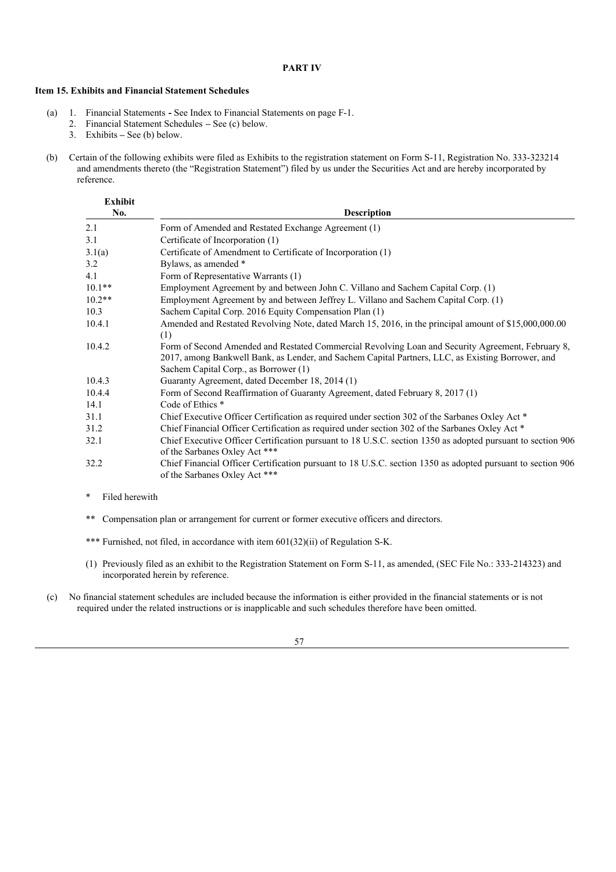# **PART IV**

# **Item 15. Exhibits and Financial Statement Schedules**

- (a) 1. Financial Statements **-** See Index to Financial Statements on page F-1.
	- 2. Financial Statement Schedules **–** See (c) below.
	- 3. Exhibits **–** See (b) below.
- (b) Certain of the following exhibits were filed as Exhibits to the registration statement on Form S-11, Registration No. 333-323214 and amendments thereto (the "Registration Statement") filed by us under the Securities Act and are hereby incorporated by reference.

| <b>Exhibit</b><br>No. | <b>Description</b>                                                                                                                                                                                                                              |
|-----------------------|-------------------------------------------------------------------------------------------------------------------------------------------------------------------------------------------------------------------------------------------------|
| 2.1                   | Form of Amended and Restated Exchange Agreement (1)                                                                                                                                                                                             |
| 3.1                   | Certificate of Incorporation (1)                                                                                                                                                                                                                |
| 3.1(a)                | Certificate of Amendment to Certificate of Incorporation (1)                                                                                                                                                                                    |
| 3.2                   | Bylaws, as amended *                                                                                                                                                                                                                            |
| 4.1                   | Form of Representative Warrants (1)                                                                                                                                                                                                             |
| $10.1**$              | Employment Agreement by and between John C. Villano and Sachem Capital Corp. (1)                                                                                                                                                                |
| $10.2**$              | Employment Agreement by and between Jeffrey L. Villano and Sachem Capital Corp. (1)                                                                                                                                                             |
| 10.3                  | Sachem Capital Corp. 2016 Equity Compensation Plan (1)                                                                                                                                                                                          |
| 10.4.1                | Amended and Restated Revolving Note, dated March 15, 2016, in the principal amount of \$15,000,000.00<br>(1)                                                                                                                                    |
| 10.4.2                | Form of Second Amended and Restated Commercial Revolving Loan and Security Agreement, February 8,<br>2017, among Bankwell Bank, as Lender, and Sachem Capital Partners, LLC, as Existing Borrower, and<br>Sachem Capital Corp., as Borrower (1) |
| 10.4.3                | Guaranty Agreement, dated December 18, 2014 (1)                                                                                                                                                                                                 |
| 10.4.4                | Form of Second Reaffirmation of Guaranty Agreement, dated February 8, 2017 (1)                                                                                                                                                                  |
| 14.1                  | Code of Ethics <sup>*</sup>                                                                                                                                                                                                                     |
| 31.1                  | Chief Executive Officer Certification as required under section 302 of the Sarbanes Oxley Act *                                                                                                                                                 |
| 31.2                  | Chief Financial Officer Certification as required under section 302 of the Sarbanes Oxley Act *                                                                                                                                                 |
| 32.1                  | Chief Executive Officer Certification pursuant to 18 U.S.C. section 1350 as adopted pursuant to section 906<br>of the Sarbanes Oxley Act ***                                                                                                    |
| 32.2                  | Chief Financial Officer Certification pursuant to 18 U.S.C. section 1350 as adopted pursuant to section 906<br>of the Sarbanes Oxley Act ***                                                                                                    |

- \* Filed herewith
- \*\* Compensation plan or arrangement for current or former executive officers and directors.
- \*\*\* Furnished, not filed, in accordance with item 601(32)(ii) of Regulation S-K.
- (1) Previously filed as an exhibit to the Registration Statement on Form S-11, as amended, (SEC File No.: 333-214323) and incorporated herein by reference.
- (c) No financial statement schedules are included because the information is either provided in the financial statements or is not required under the related instructions or is inapplicable and such schedules therefore have been omitted.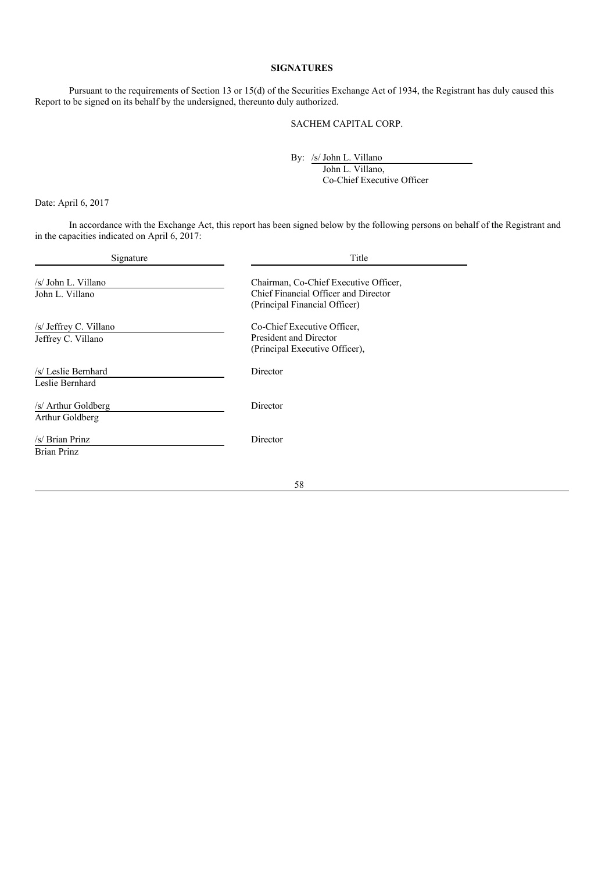# **SIGNATURES**

Pursuant to the requirements of Section 13 or 15(d) of the Securities Exchange Act of 1934, the Registrant has duly caused this Report to be signed on its behalf by the undersigned, thereunto duly authorized.

### SACHEM CAPITAL CORP.

By: /s/ John L. Villano

John L. Villano, Co-Chief Executive Officer

Date: April 6, 2017

In accordance with the Exchange Act, this report has been signed below by the following persons on behalf of the Registrant and in the capacities indicated on April 6, 2017:

| Signature              | Title                                 |  |
|------------------------|---------------------------------------|--|
| /s/ John L. Villano    | Chairman, Co-Chief Executive Officer, |  |
| John L. Villano        | Chief Financial Officer and Director  |  |
|                        | (Principal Financial Officer)         |  |
| /s/ Jeffrey C. Villano | Co-Chief Executive Officer,           |  |
| Jeffrey C. Villano     | President and Director                |  |
|                        | (Principal Executive Officer),        |  |
| /s/ Leslie Bernhard    | Director                              |  |
| Leslie Bernhard        |                                       |  |
| /s/ Arthur Goldberg    | Director                              |  |
| Arthur Goldberg        |                                       |  |
| /s/ Brian Prinz        | Director                              |  |
| <b>Brian Prinz</b>     |                                       |  |
|                        |                                       |  |
|                        | 58                                    |  |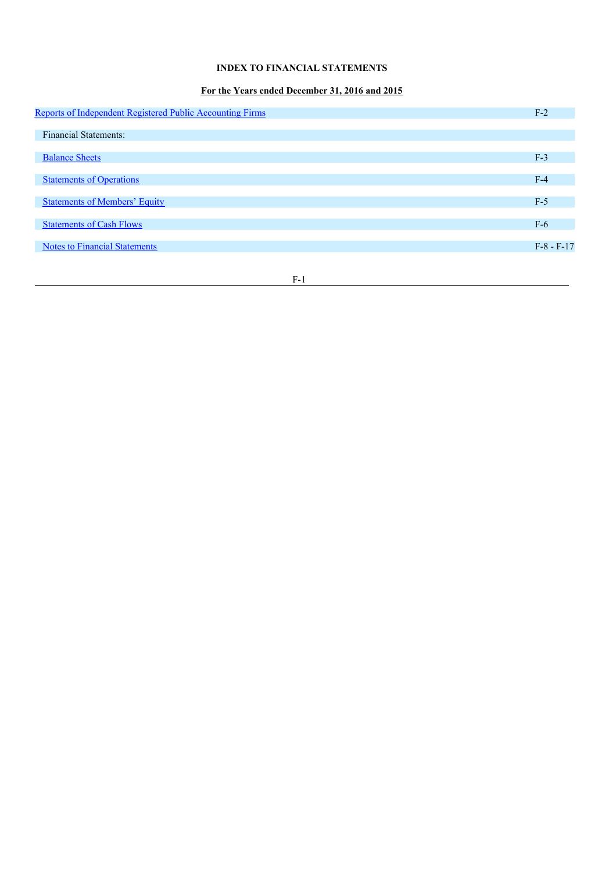# **INDEX TO FINANCIAL STATEMENTS**

# **For the Years ended December 31, 2016 and 2015**

| Reports of Independent Registered Public Accounting Firms | $F-2$        |
|-----------------------------------------------------------|--------------|
|                                                           |              |
| <b>Financial Statements:</b>                              |              |
| <b>Balance Sheets</b>                                     | $F-3$        |
| <b>Statements of Operations</b>                           | $F-4$        |
|                                                           |              |
| <b>Statements of Members' Equity</b>                      | $F-5$        |
| <b>Statements of Cash Flows</b>                           | $F-6$        |
|                                                           |              |
| <b>Notes to Financial Statements</b>                      | $F-8 - F-17$ |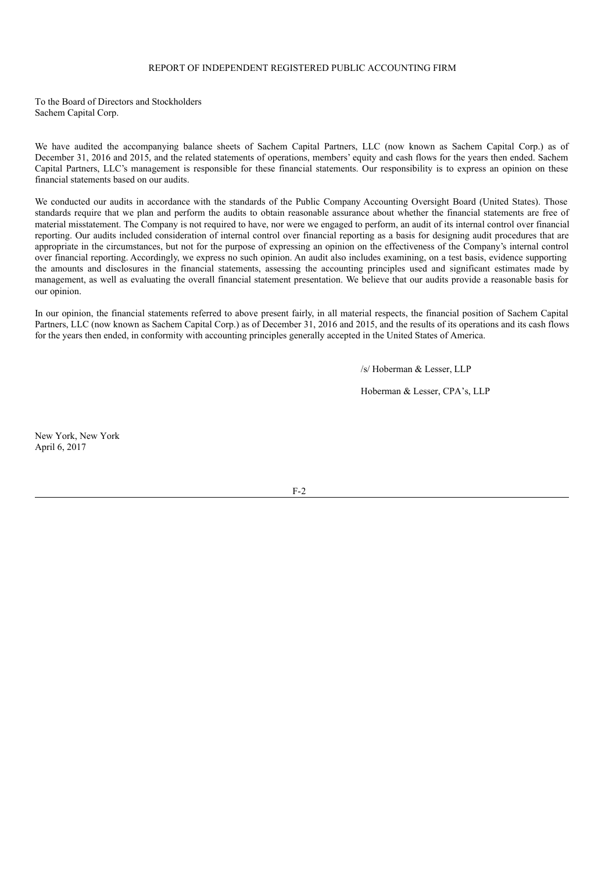# REPORT OF INDEPENDENT REGISTERED PUBLIC ACCOUNTING FIRM

To the Board of Directors and Stockholders Sachem Capital Corp.

We have audited the accompanying balance sheets of Sachem Capital Partners, LLC (now known as Sachem Capital Corp.) as of December 31, 2016 and 2015, and the related statements of operations, members' equity and cash flows for the years then ended. Sachem Capital Partners, LLC's management is responsible for these financial statements. Our responsibility is to express an opinion on these financial statements based on our audits.

We conducted our audits in accordance with the standards of the Public Company Accounting Oversight Board (United States). Those standards require that we plan and perform the audits to obtain reasonable assurance about whether the financial statements are free of material misstatement. The Company is not required to have, nor were we engaged to perform, an audit of its internal control over financial reporting. Our audits included consideration of internal control over financial reporting as a basis for designing audit procedures that are appropriate in the circumstances, but not for the purpose of expressing an opinion on the effectiveness of the Company's internal control over financial reporting. Accordingly, we express no such opinion. An audit also includes examining, on a test basis, evidence supporting the amounts and disclosures in the financial statements, assessing the accounting principles used and significant estimates made by management, as well as evaluating the overall financial statement presentation. We believe that our audits provide a reasonable basis for our opinion.

In our opinion, the financial statements referred to above present fairly, in all material respects, the financial position of Sachem Capital Partners, LLC (now known as Sachem Capital Corp.) as of December 31, 2016 and 2015, and the results of its operations and its cash flows for the years then ended, in conformity with accounting principles generally accepted in the United States of America.

/s/ Hoberman & Lesser, LLP

Hoberman & Lesser, CPA's, LLP

New York, New York April 6, 2017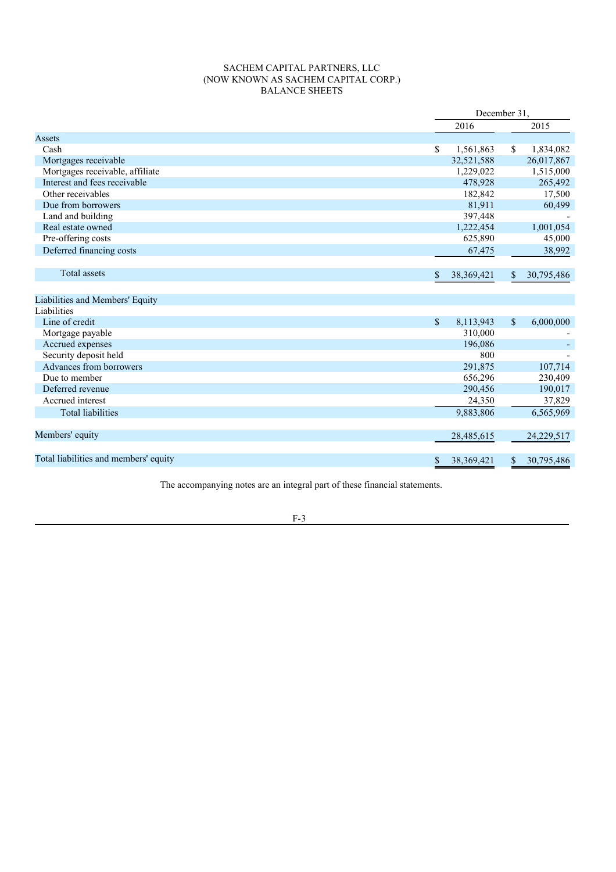# SACHEM CAPITAL PARTNERS, LLC (NOW KNOWN AS SACHEM CAPITAL CORP.) BALANCE SHEETS

|                                       | December 31.       |              |            |  |
|---------------------------------------|--------------------|--------------|------------|--|
|                                       | 2016               |              | 2015       |  |
| Assets                                |                    |              |            |  |
| Cash                                  | \$<br>1,561,863    | \$           | 1,834,082  |  |
| Mortgages receivable                  | 32,521,588         |              | 26,017,867 |  |
| Mortgages receivable, affiliate       | 1,229,022          |              | 1,515,000  |  |
| Interest and fees receivable          | 478,928            |              | 265,492    |  |
| Other receivables                     | 182,842            |              | 17,500     |  |
| Due from borrowers                    | 81,911             |              | 60,499     |  |
| Land and building                     | 397,448            |              |            |  |
| Real estate owned                     | 1,222,454          |              | 1,001,054  |  |
| Pre-offering costs                    | 625,890            |              | 45,000     |  |
| Deferred financing costs              | 67,475             |              | 38,992     |  |
|                                       |                    |              |            |  |
| <b>Total assets</b>                   | \$<br>38, 369, 421 | \$           | 30,795,486 |  |
|                                       |                    |              |            |  |
| Liabilities and Members' Equity       |                    |              |            |  |
| Liabilities                           |                    |              |            |  |
| Line of credit                        | \$<br>8,113,943    | $\mathbb{S}$ | 6,000,000  |  |
| Mortgage payable                      | 310,000            |              |            |  |
| Accrued expenses                      | 196,086            |              |            |  |
| Security deposit held                 | 800                |              |            |  |
| Advances from borrowers               | 291,875            |              | 107,714    |  |
| Due to member                         | 656,296            |              | 230,409    |  |
| Deferred revenue                      | 290,456            |              | 190,017    |  |
| Accrued interest                      | 24,350             |              | 37,829     |  |
| <b>Total liabilities</b>              | 9,883,806          |              | 6,565,969  |  |
|                                       |                    |              |            |  |
| Members' equity                       | 28,485,615         |              | 24,229,517 |  |
|                                       |                    |              |            |  |
| Total liabilities and members' equity | \$<br>38, 369, 421 | S.           | 30,795,486 |  |
|                                       |                    |              |            |  |

The accompanying notes are an integral part of these financial statements.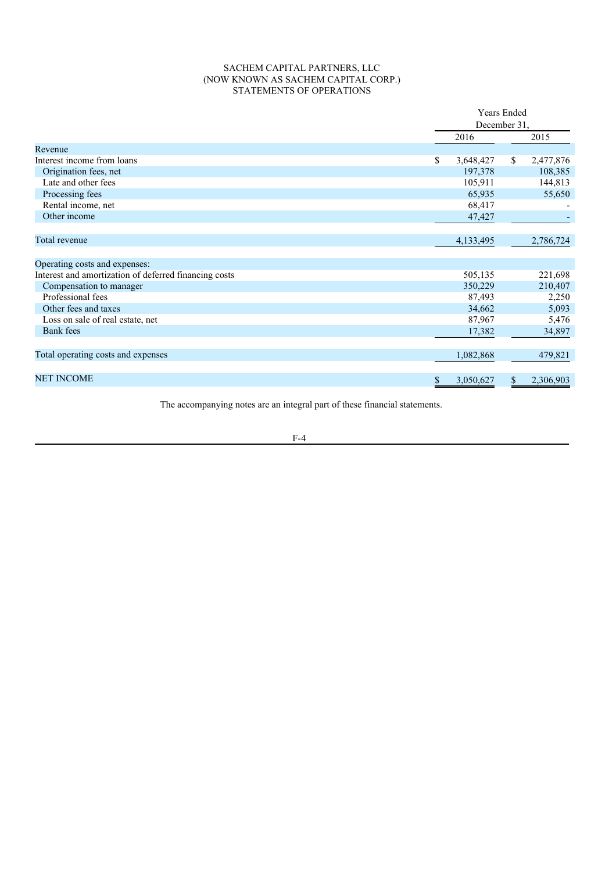# SACHEM CAPITAL PARTNERS, LLC (NOW KNOWN AS SACHEM CAPITAL CORP.) STATEMENTS OF OPERATIONS

| <b>Years Ended</b> |           |           |  |
|--------------------|-----------|-----------|--|
| December 31,       |           |           |  |
| 2016               |           | 2015      |  |
|                    |           |           |  |
| \$<br>3,648,427    | \$        | 2,477,876 |  |
| 197,378            |           | 108,385   |  |
| 105,911            |           | 144,813   |  |
| 65,935             |           | 55,650    |  |
| 68,417             |           |           |  |
| 47,427             |           |           |  |
|                    |           |           |  |
| 4,133,495          |           | 2,786,724 |  |
|                    |           |           |  |
|                    |           |           |  |
| 505,135            |           | 221,698   |  |
| 350,229            |           | 210,407   |  |
| 87,493             |           | 2,250     |  |
| 34,662             |           | 5,093     |  |
| 87,967             |           | 5,476     |  |
| 17,382             |           | 34,897    |  |
|                    |           |           |  |
| 1,082,868          |           | 479,821   |  |
|                    |           | 2,306,903 |  |
| \$                 | 3,050,627 | \$        |  |

The accompanying notes are an integral part of these financial statements.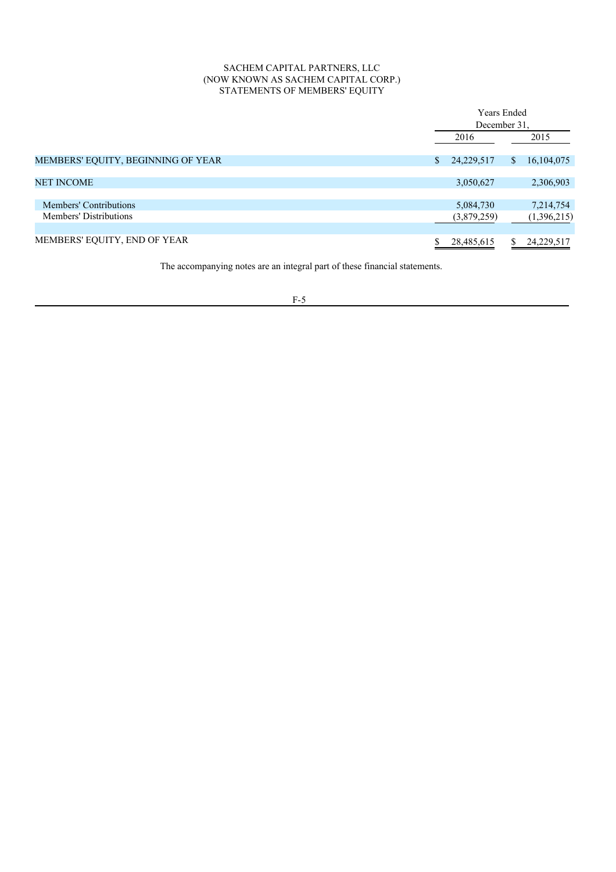# SACHEM CAPITAL PARTNERS, LLC (NOW KNOWN AS SACHEM CAPITAL CORP.) STATEMENTS OF MEMBERS' EQUITY

|                                                  | <b>Years Ended</b><br>December 31. |    |                          |
|--------------------------------------------------|------------------------------------|----|--------------------------|
|                                                  | 2016                               |    | 2015                     |
| MEMBERS' EQUITY, BEGINNING OF YEAR               | \$<br>24,229,517                   | \$ | 16, 104, 075             |
| <b>NET INCOME</b>                                | 3,050,627                          |    | 2,306,903                |
| Members' Contributions<br>Members' Distributions | 5,084,730<br>(3,879,259)           |    | 7,214,754<br>(1,396,215) |
| MEMBERS' EQUITY, END OF YEAR                     | 28,485,615                         | \$ | 24,229,517               |

The accompanying notes are an integral part of these financial statements.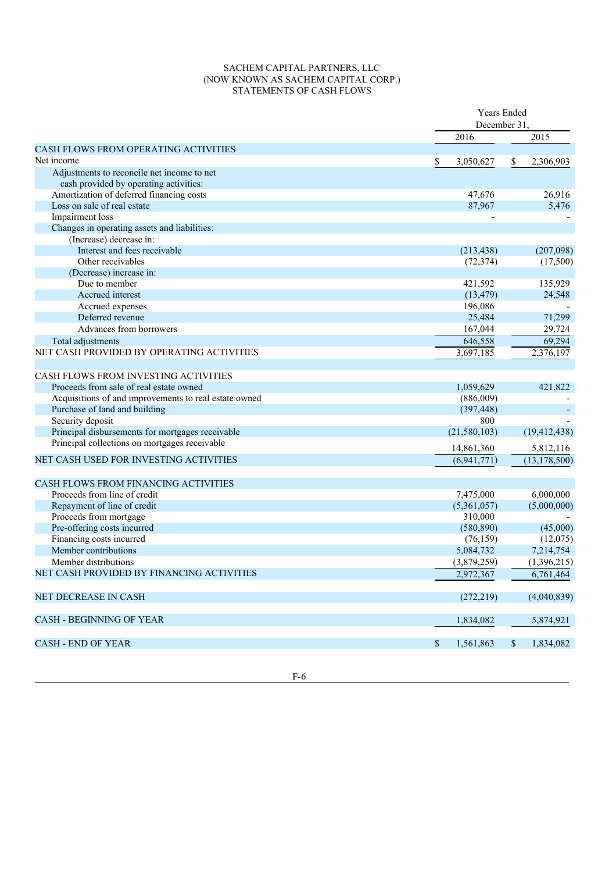# SACHEM CAPITAL PARTNERS, LLC (NOW KNOWN AS SACHEM CAPITAL CORP.) STATEMENTS OF CASH FLOWS

|                                                       |             | Years Ended<br>December 31 |    |                |
|-------------------------------------------------------|-------------|----------------------------|----|----------------|
|                                                       |             | 2016                       |    | 2015           |
| <b>CASH FLOWS FROM OPERATING ACTIVITIES</b>           |             |                            |    |                |
| Net income                                            |             | 3,050,627                  | \$ | 2,306,903      |
| Adjustments to reconcile net income to net            |             |                            |    |                |
| cash provided by operating activities:                |             |                            |    |                |
| Amortization of deferred financing costs              |             | 47,676                     |    | 26,916         |
| Loss on sale of real estate                           |             | 87,967                     |    | 5,476          |
| Impairment loss                                       |             |                            |    |                |
| Changes in operating assets and liabilities:          |             |                            |    |                |
| (Increase) decrease in:                               |             |                            |    |                |
| Interest and fees receivable                          |             | (213, 438)                 |    | (207,098)      |
| Other receivables                                     |             | (72, 374)                  |    | (17,500)       |
| (Decrease) increase in:                               |             |                            |    |                |
| Due to member                                         |             | 421,592                    |    | 135,929        |
| Accrued interest                                      |             | (13, 479)                  |    | 24,548         |
| Accrued expenses                                      |             | 196,086                    |    |                |
| Deferred revenue                                      |             | 25,484                     |    | 71,299         |
|                                                       |             |                            |    |                |
| Advances from borrowers                               |             | 167,044                    |    | 29,724         |
| Total adjustments                                     |             | 646,558                    |    | 69,294         |
| NET CASH PROVIDED BY OPERATING ACTIVITIES             |             | 3,697,185                  |    | 2,376,197      |
|                                                       |             |                            |    |                |
| CASH FLOWS FROM INVESTING ACTIVITIES                  |             |                            |    |                |
| Proceeds from sale of real estate owned               |             | 1,059,629                  |    | 421,822        |
| Acquisitions of and improvements to real estate owned |             | (886,009)                  |    |                |
| Purchase of land and building                         |             | (397, 448)                 |    |                |
| Security deposit                                      |             | 800                        |    |                |
| Principal disbursements for mortgages receivable      |             | (21, 580, 103)             |    | (19, 412, 438) |
| Principal collections on mortgages receivable         |             | 14,861,360                 |    | 5,812,116      |
| NET CASH USED FOR INVESTING ACTIVITIES                |             | (6,941,771)                |    | (13, 178, 500) |
|                                                       |             |                            |    |                |
| CASH FLOWS FROM FINANCING ACTIVITIES                  |             |                            |    |                |
| Proceeds from line of credit                          |             | 7,475,000                  |    | 6,000,000      |
| Repayment of line of credit                           |             | (5,361,057)                |    | (5,000,000)    |
|                                                       |             |                            |    |                |
| Proceeds from mortgage                                |             | 310,000                    |    | (45,000)       |
| Pre-offering costs incurred                           |             | (580, 890)                 |    |                |
| Financing costs incurred                              |             | (76, 159)                  |    | (12,075)       |
| Member contributions                                  |             | 5,084,732                  |    | 7,214,754      |
| Member distributions                                  |             | (3,879,259)                |    | (1,396,215)    |
| NET CASH PROVIDED BY FINANCING ACTIVITIES             |             | 2,972,367                  |    | 6,761,464      |
| <b>NET DECREASE IN CASH</b>                           |             | (272, 219)                 |    | (4,040,839)    |
|                                                       |             |                            |    |                |
| <b>CASH - BEGINNING OF YEAR</b>                       |             | 1,834,082                  |    | 5,874,921      |
| <b>CASH - END OF YEAR</b>                             | $\mathbb S$ | 1,561,863                  | \$ | 1,834,082      |
|                                                       |             |                            |    |                |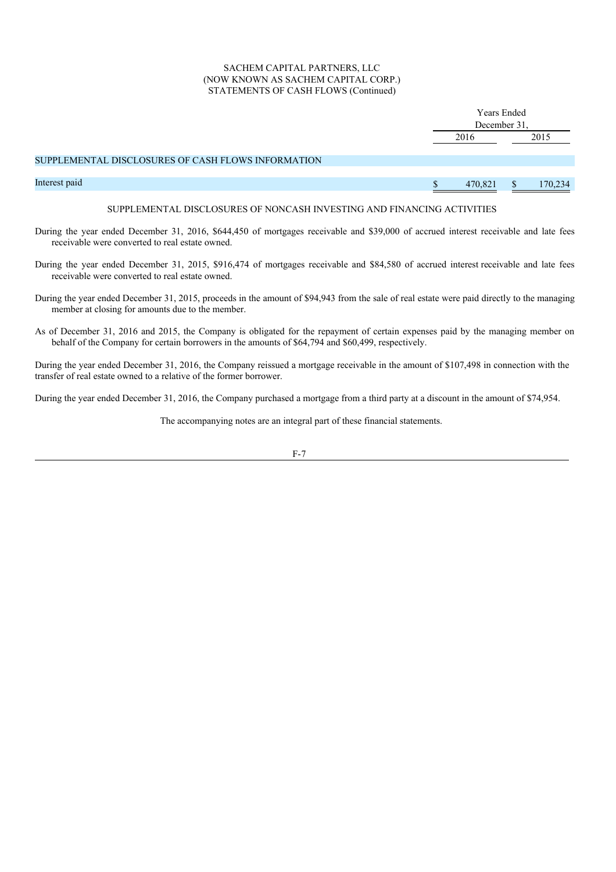# SACHEM CAPITAL PARTNERS, LLC (NOW KNOWN AS SACHEM CAPITAL CORP.) STATEMENTS OF CASH FLOWS (Continued)

|                                                    |  | <b>Years Ended</b><br>December 31, |  |         |  |
|----------------------------------------------------|--|------------------------------------|--|---------|--|
|                                                    |  |                                    |  |         |  |
|                                                    |  | 2016<br>2015                       |  |         |  |
|                                                    |  |                                    |  |         |  |
| SUPPLEMENTAL DISCLOSURES OF CASH FLOWS INFORMATION |  |                                    |  |         |  |
|                                                    |  |                                    |  |         |  |
| Interest paid                                      |  | 470,821                            |  | 170,234 |  |
|                                                    |  |                                    |  |         |  |

# SUPPLEMENTAL DISCLOSURES OF NONCASH INVESTING AND FINANCING ACTIVITIES

- During the year ended December 31, 2016, \$644,450 of mortgages receivable and \$39,000 of accrued interest receivable and late fees receivable were converted to real estate owned.
- During the year ended December 31, 2015, \$916,474 of mortgages receivable and \$84,580 of accrued interest receivable and late fees receivable were converted to real estate owned.
- During the year ended December 31, 2015, proceeds in the amount of \$94,943 from the sale of real estate were paid directly to the managing member at closing for amounts due to the member.
- As of December 31, 2016 and 2015, the Company is obligated for the repayment of certain expenses paid by the managing member on behalf of the Company for certain borrowers in the amounts of \$64,794 and \$60,499, respectively.

During the year ended December 31, 2016, the Company reissued a mortgage receivable in the amount of \$107,498 in connection with the transfer of real estate owned to a relative of the former borrower.

During the year ended December 31, 2016, the Company purchased a mortgage from a third party at a discount in the amount of \$74,954.

The accompanying notes are an integral part of these financial statements.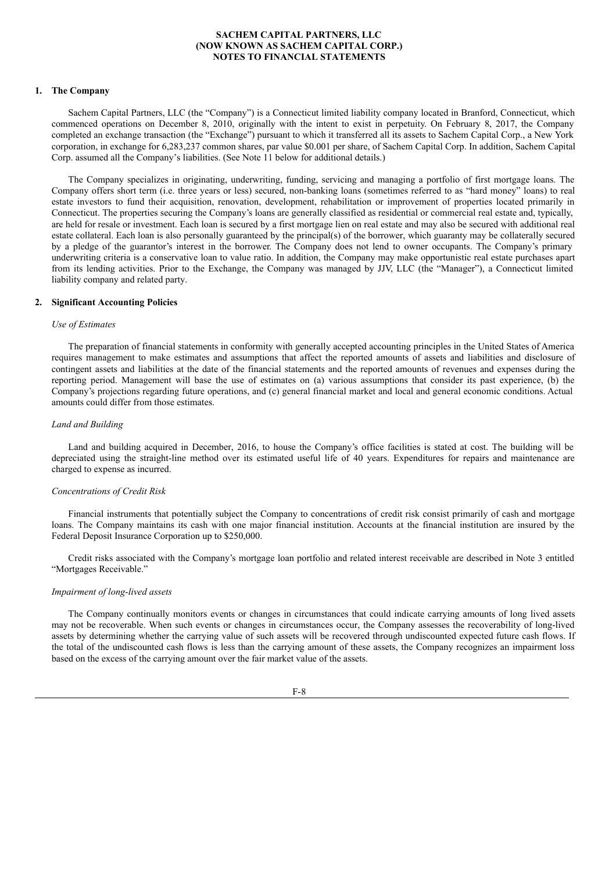#### **1. The Company**

Sachem Capital Partners, LLC (the "Company") is a Connecticut limited liability company located in Branford, Connecticut, which commenced operations on December 8, 2010, originally with the intent to exist in perpetuity. On February 8, 2017, the Company completed an exchange transaction (the "Exchange") pursuant to which it transferred all its assets to Sachem Capital Corp., a New York corporation, in exchange for 6,283,237 common shares, par value \$0.001 per share, of Sachem Capital Corp. In addition, Sachem Capital Corp. assumed all the Company's liabilities. (See Note 11 below for additional details.)

The Company specializes in originating, underwriting, funding, servicing and managing a portfolio of first mortgage loans. The Company offers short term (i.e. three years or less) secured, non-banking loans (sometimes referred to as "hard money" loans) to real estate investors to fund their acquisition, renovation, development, rehabilitation or improvement of properties located primarily in Connecticut. The properties securing the Company's loans are generally classified as residential or commercial real estate and, typically, are held for resale or investment. Each loan is secured by a first mortgage lien on real estate and may also be secured with additional real estate collateral. Each loan is also personally guaranteed by the principal(s) of the borrower, which guaranty may be collaterally secured by a pledge of the guarantor's interest in the borrower. The Company does not lend to owner occupants. The Company's primary underwriting criteria is a conservative loan to value ratio. In addition, the Company may make opportunistic real estate purchases apart from its lending activities. Prior to the Exchange, the Company was managed by JJV, LLC (the "Manager"), a Connecticut limited liability company and related party.

#### **2. Significant Accounting Policies**

#### *Use of Estimates*

The preparation of financial statements in conformity with generally accepted accounting principles in the United States of America requires management to make estimates and assumptions that affect the reported amounts of assets and liabilities and disclosure of contingent assets and liabilities at the date of the financial statements and the reported amounts of revenues and expenses during the reporting period. Management will base the use of estimates on (a) various assumptions that consider its past experience, (b) the Company's projections regarding future operations, and (c) general financial market and local and general economic conditions. Actual amounts could differ from those estimates.

#### *Land and Building*

Land and building acquired in December, 2016, to house the Company's office facilities is stated at cost. The building will be depreciated using the straight-line method over its estimated useful life of 40 years. Expenditures for repairs and maintenance are charged to expense as incurred.

#### *Concentrations of Credit Risk*

Financial instruments that potentially subject the Company to concentrations of credit risk consist primarily of cash and mortgage loans. The Company maintains its cash with one major financial institution. Accounts at the financial institution are insured by the Federal Deposit Insurance Corporation up to \$250,000.

Credit risks associated with the Company's mortgage loan portfolio and related interest receivable are described in Note 3 entitled "Mortgages Receivable."

#### *Impairment of long-lived assets*

The Company continually monitors events or changes in circumstances that could indicate carrying amounts of long lived assets may not be recoverable. When such events or changes in circumstances occur, the Company assesses the recoverability of long-lived assets by determining whether the carrying value of such assets will be recovered through undiscounted expected future cash flows. If the total of the undiscounted cash flows is less than the carrying amount of these assets, the Company recognizes an impairment loss based on the excess of the carrying amount over the fair market value of the assets.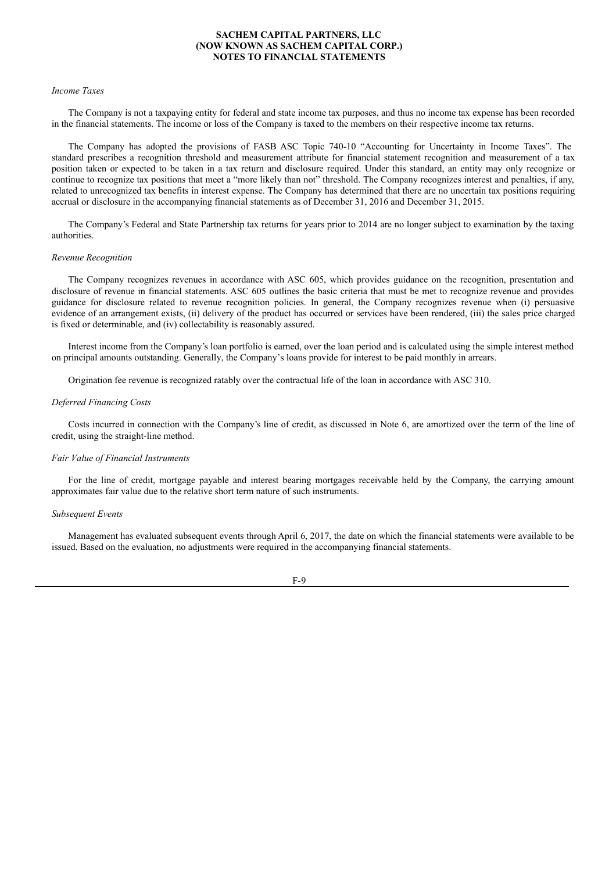#### *Income Taxes*

The Company is not a taxpaying entity for federal and state income tax purposes, and thus no income tax expense has been recorded in the financial statements. The income or loss of the Company is taxed to the members on their respective income tax returns.

The Company has adopted the provisions of FASB ASC Topic 740-10 "Accounting for Uncertainty in Income Taxes". The standard prescribes a recognition threshold and measurement attribute for financial statement recognition and measurement of a tax position taken or expected to be taken in a tax return and disclosure required. Under this standard, an entity may only recognize or continue to recognize tax positions that meet a "more likely than not" threshold. The Company recognizes interest and penalties, if any, related to unrecognized tax benefits in interest expense. The Company has determined that there are no uncertain tax positions requiring accrual or disclosure in the accompanying financial statements as of December 31, 2016 and December 31, 2015.

The Company's Federal and State Partnership tax returns for years prior to 2014 are no longer subject to examination by the taxing authorities.

#### *Revenue Recognition*

The Company recognizes revenues in accordance with ASC 605, which provides guidance on the recognition, presentation and disclosure of revenue in financial statements. ASC 605 outlines the basic criteria that must be met to recognize revenue and provides guidance for disclosure related to revenue recognition policies. In general, the Company recognizes revenue when (i) persuasive evidence of an arrangement exists, (ii) delivery of the product has occurred or services have been rendered, (iii) the sales price charged is fixed or determinable, and (iv) collectability is reasonably assured.

Interest income from the Company's loan portfolio is earned, over the loan period and is calculated using the simple interest method on principal amounts outstanding. Generally, the Company's loans provide for interest to be paid monthly in arrears.

Origination fee revenue is recognized ratably over the contractual life of the loan in accordance with ASC 310.

### *Deferred Financing Costs*

Costs incurred in connection with the Company's line of credit, as discussed in Note 6, are amortized over the term of the line of credit, using the straight-line method.

#### *Fair Value of Financial Instruments*

For the line of credit, mortgage payable and interest bearing mortgages receivable held by the Company, the carrying amount approximates fair value due to the relative short term nature of such instruments.

### *Subsequent Events*

Management has evaluated subsequent events through April 6, 2017, the date on which the financial statements were available to be issued. Based on the evaluation, no adjustments were required in the accompanying financial statements.

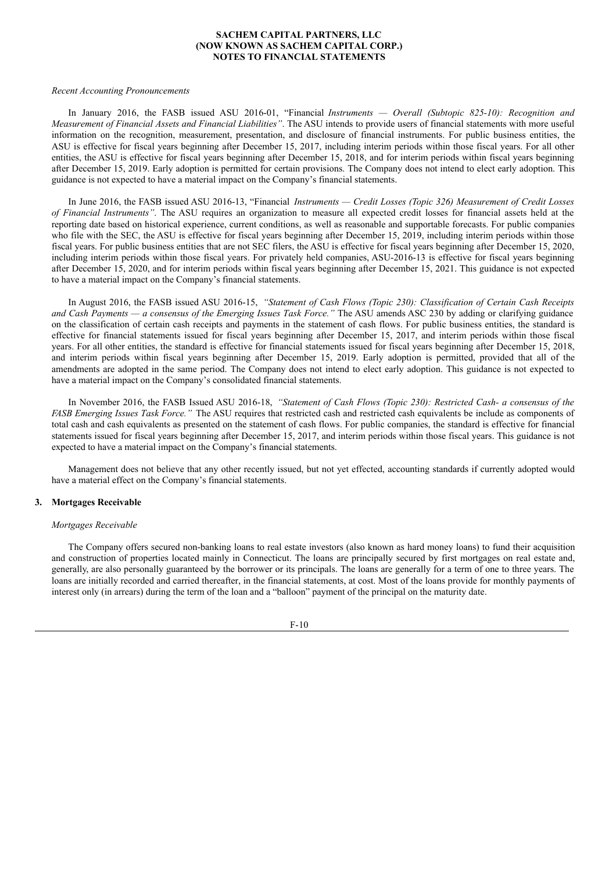#### *Recent Accounting Pronouncements*

In January 2016, the FASB issued ASU 2016-01, "Financial *Instruments — Overall (Subtopic 825-10): Recognition and Measurement of Financial Assets and Financial Liabilities"*. The ASU intends to provide users of financial statements with more useful information on the recognition, measurement, presentation, and disclosure of financial instruments. For public business entities, the ASU is effective for fiscal years beginning after December 15, 2017, including interim periods within those fiscal years. For all other entities, the ASU is effective for fiscal years beginning after December 15, 2018, and for interim periods within fiscal years beginning after December 15, 2019. Early adoption is permitted for certain provisions. The Company does not intend to elect early adoption. This guidance is not expected to have a material impact on the Company's financial statements.

In June 2016, the FASB issued ASU 2016-13, "Financial *Instruments — Credit Losses (Topic 326) Measurement of Credit Losses of Financial Instruments"*. The ASU requires an organization to measure all expected credit losses for financial assets held at the reporting date based on historical experience, current conditions, as well as reasonable and supportable forecasts. For public companies who file with the SEC, the ASU is effective for fiscal years beginning after December 15, 2019, including interim periods within those fiscal years. For public business entities that are not SEC filers, the ASU is effective for fiscal years beginning after December 15, 2020, including interim periods within those fiscal years. For privately held companies, ASU-2016-13 is effective for fiscal years beginning after December 15, 2020, and for interim periods within fiscal years beginning after December 15, 2021. This guidance is not expected to have a material impact on the Company's financial statements.

In August 2016, the FASB issued ASU 2016-15, *"Statement of Cash Flows (Topic 230): Classification of Certain Cash Receipts and Cash Payments — a consensus of the Emerging Issues Task Force."* The ASU amends ASC 230 by adding or clarifying guidance on the classification of certain cash receipts and payments in the statement of cash flows. For public business entities, the standard is effective for financial statements issued for fiscal years beginning after December 15, 2017, and interim periods within those fiscal years. For all other entities, the standard is effective for financial statements issued for fiscal years beginning after December 15, 2018, and interim periods within fiscal years beginning after December 15, 2019. Early adoption is permitted, provided that all of the amendments are adopted in the same period. The Company does not intend to elect early adoption. This guidance is not expected to have a material impact on the Company's consolidated financial statements.

In November 2016, the FASB Issued ASU 2016-18, *"Statement of Cash Flows (Topic 230): Restricted Cash- a consensus of the FASB Emerging Issues Task Force."* The ASU requires that restricted cash and restricted cash equivalents be include as components of total cash and cash equivalents as presented on the statement of cash flows. For public companies, the standard is effective for financial statements issued for fiscal years beginning after December 15, 2017, and interim periods within those fiscal years. This guidance is not expected to have a material impact on the Company's financial statements.

Management does not believe that any other recently issued, but not yet effected, accounting standards if currently adopted would have a material effect on the Company's financial statements.

#### **3. Mortgages Receivable**

#### *Mortgages Receivable*

The Company offers secured non-banking loans to real estate investors (also known as hard money loans) to fund their acquisition and construction of properties located mainly in Connecticut. The loans are principally secured by first mortgages on real estate and, generally, are also personally guaranteed by the borrower or its principals. The loans are generally for a term of one to three years. The loans are initially recorded and carried thereafter, in the financial statements, at cost. Most of the loans provide for monthly payments of interest only (in arrears) during the term of the loan and a "balloon" payment of the principal on the maturity date.

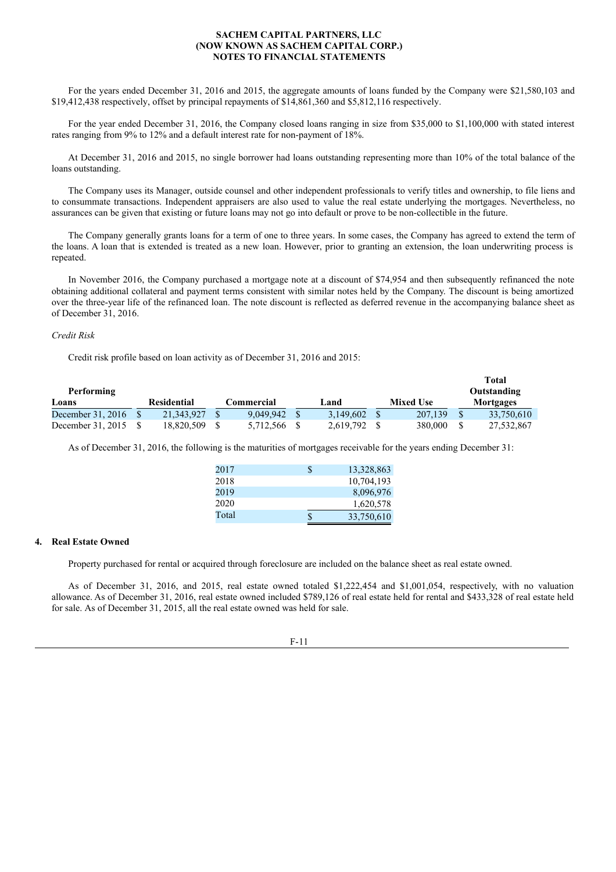For the years ended December 31, 2016 and 2015, the aggregate amounts of loans funded by the Company were \$21,580,103 and \$19,412,438 respectively, offset by principal repayments of \$14,861,360 and \$5,812,116 respectively.

For the year ended December 31, 2016, the Company closed loans ranging in size from \$35,000 to \$1,100,000 with stated interest rates ranging from 9% to 12% and a default interest rate for non-payment of 18%.

At December 31, 2016 and 2015, no single borrower had loans outstanding representing more than 10% of the total balance of the loans outstanding.

The Company uses its Manager, outside counsel and other independent professionals to verify titles and ownership, to file liens and to consummate transactions. Independent appraisers are also used to value the real estate underlying the mortgages. Nevertheless, no assurances can be given that existing or future loans may not go into default or prove to be non-collectible in the future.

The Company generally grants loans for a term of one to three years. In some cases, the Company has agreed to extend the term of the loans. A loan that is extended is treated as a new loan. However, prior to granting an extension, the loan underwriting process is repeated.

In November 2016, the Company purchased a mortgage note at a discount of \$74,954 and then subsequently refinanced the note obtaining additional collateral and payment terms consistent with similar notes held by the Company. The discount is being amortized over the three-year life of the refinanced loan. The note discount is reflected as deferred revenue in the accompanying balance sheet as of December 31, 2016.

# *Credit Risk*

Credit risk profile based on loan activity as of December 31, 2016 and 2015:

|                   |             |              |           |                  | Total       |
|-------------------|-------------|--------------|-----------|------------------|-------------|
| Performing        |             |              |           |                  | Outstanding |
| Loans             | Residential | Commercial   | Land      | <b>Mixed Use</b> | Mortgages   |
| December 31, 2016 | 21,343,927  | 9.049.942    | 3.149.602 | 207,139          | 33,750,610  |
| December 31, 2015 | 18.820.509  | 5.712.566 \$ | 2.619.792 | 380,000          | 27,532,867  |

As of December 31, 2016, the following is the maturities of mortgages receivable for the years ending December 31:

| 2017  | S  | 13,328,863 |
|-------|----|------------|
| 2018  |    | 10,704,193 |
| 2019  |    | 8,096,976  |
| 2020  |    | 1,620,578  |
| Total | \$ | 33,750,610 |

# **4. Real Estate Owned**

Property purchased for rental or acquired through foreclosure are included on the balance sheet as real estate owned.

As of December 31, 2016, and 2015, real estate owned totaled \$1,222,454 and \$1,001,054, respectively, with no valuation allowance. As of December 31, 2016, real estate owned included \$789,126 of real estate held for rental and \$433,328 of real estate held for sale. As of December 31, 2015, all the real estate owned was held for sale.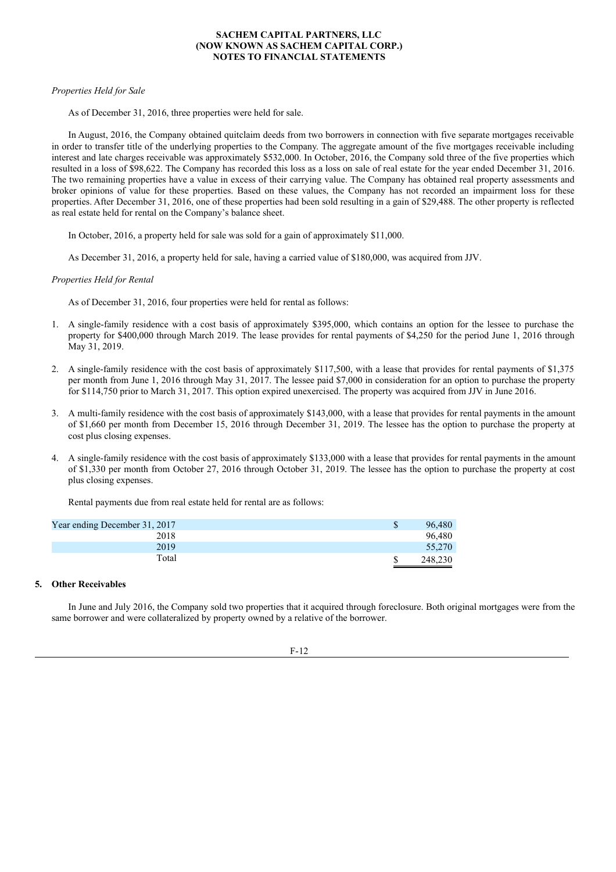# *Properties Held for Sale*

As of December 31, 2016, three properties were held for sale.

In August, 2016, the Company obtained quitclaim deeds from two borrowers in connection with five separate mortgages receivable in order to transfer title of the underlying properties to the Company. The aggregate amount of the five mortgages receivable including interest and late charges receivable was approximately \$532,000. In October, 2016, the Company sold three of the five properties which resulted in a loss of \$98,622. The Company has recorded this loss as a loss on sale of real estate for the year ended December 31, 2016. The two remaining properties have a value in excess of their carrying value. The Company has obtained real property assessments and broker opinions of value for these properties. Based on these values, the Company has not recorded an impairment loss for these properties. After December 31, 2016, one of these properties had been sold resulting in a gain of \$29,488. The other property is reflected as real estate held for rental on the Company's balance sheet.

In October, 2016, a property held for sale was sold for a gain of approximately \$11,000.

As December 31, 2016, a property held for sale, having a carried value of \$180,000, was acquired from JJV.

# *Properties Held for Rental*

As of December 31, 2016, four properties were held for rental as follows:

- 1. A single-family residence with a cost basis of approximately \$395,000, which contains an option for the lessee to purchase the property for \$400,000 through March 2019. The lease provides for rental payments of \$4,250 for the period June 1, 2016 through May 31, 2019.
- 2. A single-family residence with the cost basis of approximately \$117,500, with a lease that provides for rental payments of \$1,375 per month from June 1, 2016 through May 31, 2017. The lessee paid \$7,000 in consideration for an option to purchase the property for \$114,750 prior to March 31, 2017. This option expired unexercised. The property was acquired from JJV in June 2016.
- 3. A multi-family residence with the cost basis of approximately \$143,000, with a lease that provides for rental payments in the amount of \$1,660 per month from December 15, 2016 through December 31, 2019. The lessee has the option to purchase the property at cost plus closing expenses.
- 4. A single-family residence with the cost basis of approximately \$133,000 with a lease that provides for rental payments in the amount of \$1,330 per month from October 27, 2016 through October 31, 2019. The lessee has the option to purchase the property at cost plus closing expenses.

Rental payments due from real estate held for rental are as follows:

| Year ending December 31, 2017 | 96,480  |
|-------------------------------|---------|
| 2018                          | 96,480  |
| 2019                          | 55,270  |
| Total                         | 248,230 |

# **5. Other Receivables**

In June and July 2016, the Company sold two properties that it acquired through foreclosure. Both original mortgages were from the same borrower and were collateralized by property owned by a relative of the borrower.

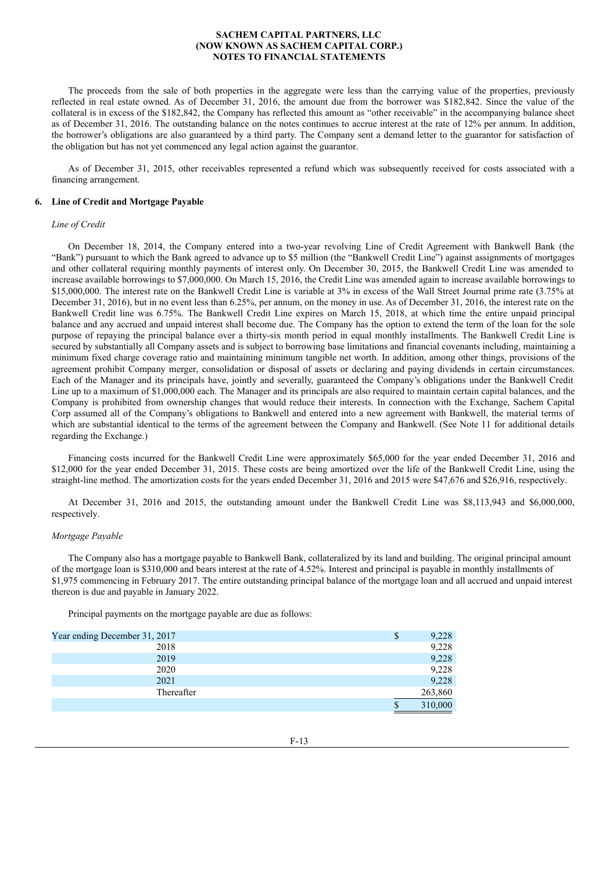The proceeds from the sale of both properties in the aggregate were less than the carrying value of the properties, previously reflected in real estate owned. As of December 31, 2016, the amount due from the borrower was \$182,842. Since the value of the collateral is in excess of the \$182,842, the Company has reflected this amount as "other receivable" in the accompanying balance sheet as of December 31, 2016. The outstanding balance on the notes continues to accrue interest at the rate of 12% per annum. In addition, the borrower's obligations are also guaranteed by a third party. The Company sent a demand letter to the guarantor for satisfaction of the obligation but has not yet commenced any legal action against the guarantor.

As of December 31, 2015, other receivables represented a refund which was subsequently received for costs associated with a financing arrangement.

#### **6. Line of Credit and Mortgage Payable**

### *Line of Credit*

On December 18, 2014, the Company entered into a two-year revolving Line of Credit Agreement with Bankwell Bank (the "Bank") pursuant to which the Bank agreed to advance up to \$5 million (the "Bankwell Credit Line") against assignments of mortgages and other collateral requiring monthly payments of interest only. On December 30, 2015, the Bankwell Credit Line was amended to increase available borrowings to \$7,000,000. On March 15, 2016, the Credit Line was amended again to increase available borrowings to \$15,000,000. The interest rate on the Bankwell Credit Line is variable at 3% in excess of the Wall Street Journal prime rate (3.75% at December 31, 2016), but in no event less than 6.25%, per annum, on the money in use. As of December 31, 2016, the interest rate on the Bankwell Credit line was 6.75%. The Bankwell Credit Line expires on March 15, 2018, at which time the entire unpaid principal balance and any accrued and unpaid interest shall become due. The Company has the option to extend the term of the loan for the sole purpose of repaying the principal balance over a thirty-six month period in equal monthly installments. The Bankwell Credit Line is secured by substantially all Company assets and is subject to borrowing base limitations and financial covenants including, maintaining a minimum fixed charge coverage ratio and maintaining minimum tangible net worth. In addition, among other things, provisions of the agreement prohibit Company merger, consolidation or disposal of assets or declaring and paying dividends in certain circumstances. Each of the Manager and its principals have, jointly and severally, guaranteed the Company's obligations under the Bankwell Credit Line up to a maximum of \$1,000,000 each. The Manager and its principals are also required to maintain certain capital balances, and the Company is prohibited from ownership changes that would reduce their interests. In connection with the Exchange, Sachem Capital Corp assumed all of the Company's obligations to Bankwell and entered into a new agreement with Bankwell, the material terms of which are substantial identical to the terms of the agreement between the Company and Bankwell. (See Note 11 for additional details regarding the Exchange.)

Financing costs incurred for the Bankwell Credit Line were approximately \$65,000 for the year ended December 31, 2016 and \$12,000 for the year ended December 31, 2015. These costs are being amortized over the life of the Bankwell Credit Line, using the straight-line method. The amortization costs for the years ended December 31, 2016 and 2015 were \$47,676 and \$26,916, respectively.

At December 31, 2016 and 2015, the outstanding amount under the Bankwell Credit Line was \$8,113,943 and \$6,000,000, respectively.

#### *Mortgage Payable*

The Company also has a mortgage payable to Bankwell Bank, collateralized by its land and building. The original principal amount of the mortgage loan is \$310,000 and bears interest at the rate of 4.52%. Interest and principal is payable in monthly installments of \$1,975 commencing in February 2017. The entire outstanding principal balance of the mortgage loan and all accrued and unpaid interest thereon is due and payable in January 2022.

Principal payments on the mortgage payable are due as follows:

| Year ending December 31, 2017 | \$ | 9,228   |
|-------------------------------|----|---------|
| 2018                          |    | 9,228   |
| 2019                          |    | 9,228   |
| 2020                          |    | 9,228   |
| 2021                          |    | 9,228   |
| Thereafter                    |    | 263,860 |
|                               | S  | 310,000 |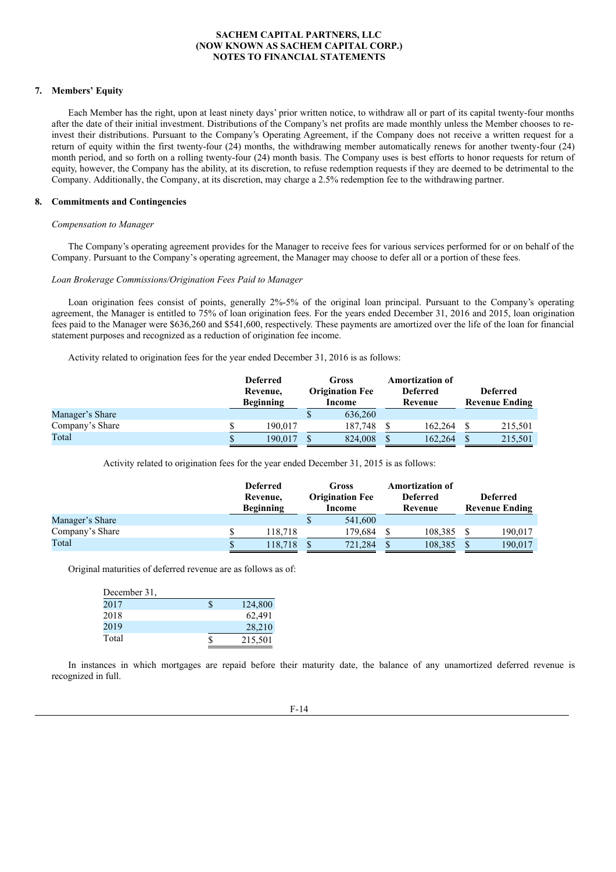# **7. Members' Equity**

Each Member has the right, upon at least ninety days' prior written notice, to withdraw all or part of its capital twenty-four months after the date of their initial investment. Distributions of the Company's net profits are made monthly unless the Member chooses to reinvest their distributions. Pursuant to the Company's Operating Agreement, if the Company does not receive a written request for a return of equity within the first twenty-four (24) months, the withdrawing member automatically renews for another twenty-four (24) month period, and so forth on a rolling twenty-four (24) month basis. The Company uses is best efforts to honor requests for return of equity, however, the Company has the ability, at its discretion, to refuse redemption requests if they are deemed to be detrimental to the Company. Additionally, the Company, at its discretion, may charge a 2.5% redemption fee to the withdrawing partner.

#### **8. Commitments and Contingencies**

### *Compensation to Manager*

The Company's operating agreement provides for the Manager to receive fees for various services performed for or on behalf of the Company. Pursuant to the Company's operating agreement, the Manager may choose to defer all or a portion of these fees.

## *Loan Brokerage Commissions/Origination Fees Paid to Manager*

Loan origination fees consist of points, generally 2%-5% of the original loan principal. Pursuant to the Company's operating agreement, the Manager is entitled to 75% of loan origination fees. For the years ended December 31, 2016 and 2015, loan origination fees paid to the Manager were \$636,260 and \$541,600, respectively. These payments are amortized over the life of the loan for financial statement purposes and recognized as a reduction of origination fee income.

Activity related to origination fees for the year ended December 31, 2016 is as follows:

|                 | <b>Deferred</b><br>Revenue,<br><b>Beginning</b> | Gross<br><b>Origination Fee</b><br>Income | <b>Amortization of</b><br><b>Deferred</b><br>Revenue | <b>Deferred</b><br><b>Revenue Ending</b> |
|-----------------|-------------------------------------------------|-------------------------------------------|------------------------------------------------------|------------------------------------------|
| Manager's Share |                                                 | 636,260                                   |                                                      |                                          |
| Company's Share | 190.017                                         | 187.748                                   | 162,264                                              | 215,501                                  |
| Total           | 190.017                                         | 824,008                                   | 162.264                                              | 215,501                                  |

Activity related to origination fees for the year ended December 31, 2015 is as follows:

|                 |   | <b>Deferred</b><br>Revenue,<br><b>Beginning</b> | Gross<br><b>Origination Fee</b><br>Income | <b>Amortization of</b><br><b>Deferred</b><br>Revenue | <b>Deferred</b><br><b>Revenue Ending</b> |
|-----------------|---|-------------------------------------------------|-------------------------------------------|------------------------------------------------------|------------------------------------------|
| Manager's Share |   |                                                 | 541,600                                   |                                                      |                                          |
| Company's Share |   | 118.718                                         | 179.684                                   | 108.385                                              | 190.017                                  |
| Total           | S | 118.718                                         | 721,284                                   | 108.385                                              | 190,017                                  |

Original maturities of deferred revenue are as follows as of:

| December 31, |         |
|--------------|---------|
| 2017         | 124,800 |
| 2018         | 62.491  |
| 2019         | 28,210  |
| Total        | 215,501 |

In instances in which mortgages are repaid before their maturity date, the balance of any unamortized deferred revenue is recognized in full.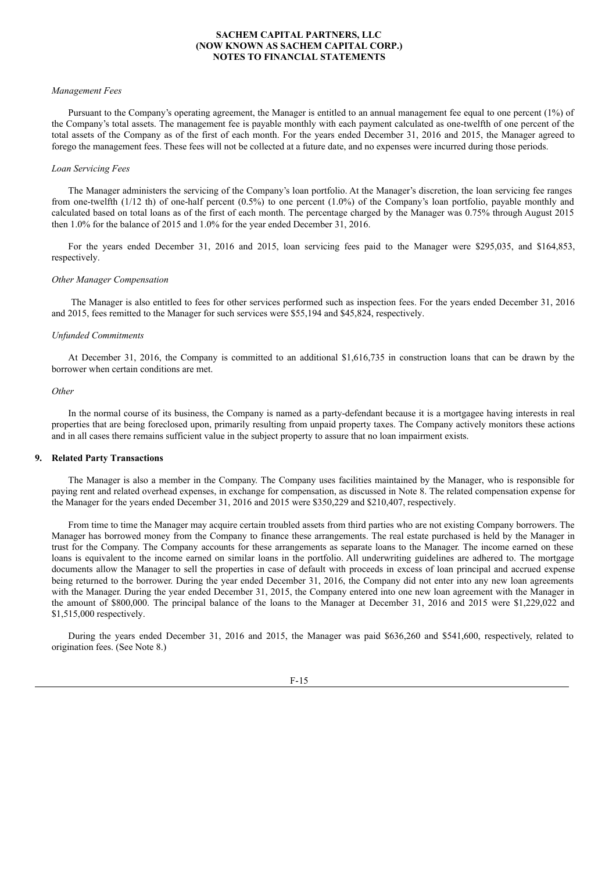#### *Management Fees*

Pursuant to the Company's operating agreement, the Manager is entitled to an annual management fee equal to one percent (1%) of the Company's total assets. The management fee is payable monthly with each payment calculated as one-twelfth of one percent of the total assets of the Company as of the first of each month. For the years ended December 31, 2016 and 2015, the Manager agreed to forego the management fees. These fees will not be collected at a future date, and no expenses were incurred during those periods.

#### *Loan Servicing Fees*

The Manager administers the servicing of the Company's loan portfolio. At the Manager's discretion, the loan servicing fee ranges from one-twelfth (1/12 th) of one-half percent (0.5%) to one percent (1.0%) of the Company's loan portfolio, payable monthly and calculated based on total loans as of the first of each month. The percentage charged by the Manager was 0.75% through August 2015 then 1.0% for the balance of 2015 and 1.0% for the year ended December 31, 2016.

For the years ended December 31, 2016 and 2015, loan servicing fees paid to the Manager were \$295,035, and \$164,853, respectively.

#### *Other Manager Compensation*

The Manager is also entitled to fees for other services performed such as inspection fees. For the years ended December 31, 2016 and 2015, fees remitted to the Manager for such services were \$55,194 and \$45,824, respectively.

#### *Unfunded Commitments*

At December 31, 2016, the Company is committed to an additional \$1,616,735 in construction loans that can be drawn by the borrower when certain conditions are met.

#### *Other*

In the normal course of its business, the Company is named as a party-defendant because it is a mortgagee having interests in real properties that are being foreclosed upon, primarily resulting from unpaid property taxes. The Company actively monitors these actions and in all cases there remains sufficient value in the subject property to assure that no loan impairment exists.

### **9. Related Party Transactions**

The Manager is also a member in the Company. The Company uses facilities maintained by the Manager, who is responsible for paying rent and related overhead expenses, in exchange for compensation, as discussed in Note 8. The related compensation expense for the Manager for the years ended December 31, 2016 and 2015 were \$350,229 and \$210,407, respectively.

From time to time the Manager may acquire certain troubled assets from third parties who are not existing Company borrowers. The Manager has borrowed money from the Company to finance these arrangements. The real estate purchased is held by the Manager in trust for the Company. The Company accounts for these arrangements as separate loans to the Manager. The income earned on these loans is equivalent to the income earned on similar loans in the portfolio. All underwriting guidelines are adhered to. The mortgage documents allow the Manager to sell the properties in case of default with proceeds in excess of loan principal and accrued expense being returned to the borrower. During the year ended December 31, 2016, the Company did not enter into any new loan agreements with the Manager. During the year ended December 31, 2015, the Company entered into one new loan agreement with the Manager in the amount of \$800,000. The principal balance of the loans to the Manager at December 31, 2016 and 2015 were \$1,229,022 and \$1,515,000 respectively.

During the years ended December 31, 2016 and 2015, the Manager was paid \$636,260 and \$541,600, respectively, related to origination fees. (See Note 8.)

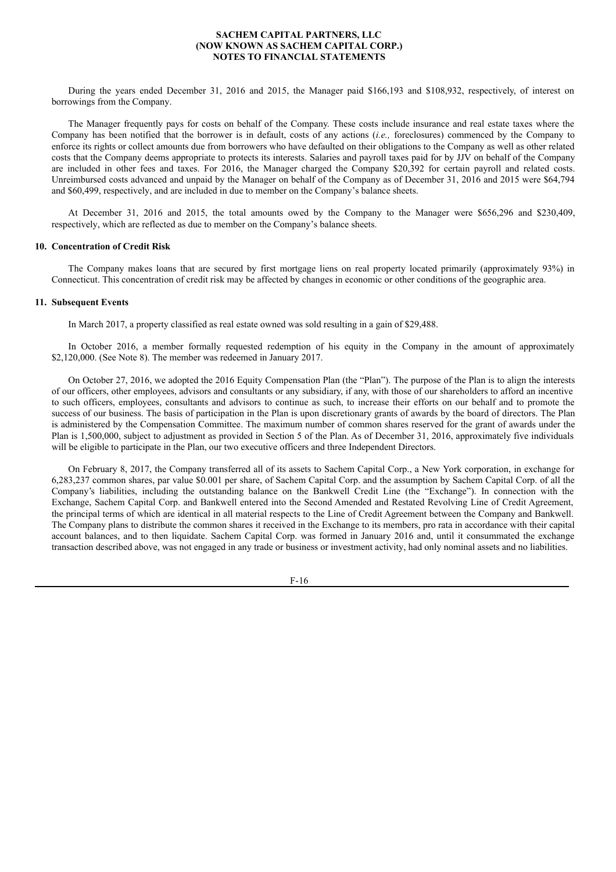During the years ended December 31, 2016 and 2015, the Manager paid \$166,193 and \$108,932, respectively, of interest on borrowings from the Company.

The Manager frequently pays for costs on behalf of the Company. These costs include insurance and real estate taxes where the Company has been notified that the borrower is in default, costs of any actions (*i.e.,* foreclosures) commenced by the Company to enforce its rights or collect amounts due from borrowers who have defaulted on their obligations to the Company as well as other related costs that the Company deems appropriate to protects its interests. Salaries and payroll taxes paid for by JJV on behalf of the Company are included in other fees and taxes. For 2016, the Manager charged the Company \$20,392 for certain payroll and related costs. Unreimbursed costs advanced and unpaid by the Manager on behalf of the Company as of December 31, 2016 and 2015 were \$64,794 and \$60,499, respectively, and are included in due to member on the Company's balance sheets.

At December 31, 2016 and 2015, the total amounts owed by the Company to the Manager were \$656,296 and \$230,409, respectively, which are reflected as due to member on the Company's balance sheets.

## **10. Concentration of Credit Risk**

The Company makes loans that are secured by first mortgage liens on real property located primarily (approximately 93%) in Connecticut. This concentration of credit risk may be affected by changes in economic or other conditions of the geographic area.

## **11. Subsequent Events**

In March 2017, a property classified as real estate owned was sold resulting in a gain of \$29,488.

In October 2016, a member formally requested redemption of his equity in the Company in the amount of approximately \$2,120,000. (See Note 8). The member was redeemed in January 2017.

On October 27, 2016, we adopted the 2016 Equity Compensation Plan (the "Plan"). The purpose of the Plan is to align the interests of our officers, other employees, advisors and consultants or any subsidiary, if any, with those of our shareholders to afford an incentive to such officers, employees, consultants and advisors to continue as such, to increase their efforts on our behalf and to promote the success of our business. The basis of participation in the Plan is upon discretionary grants of awards by the board of directors. The Plan is administered by the Compensation Committee. The maximum number of common shares reserved for the grant of awards under the Plan is 1,500,000, subject to adjustment as provided in Section 5 of the Plan. As of December 31, 2016, approximately five individuals will be eligible to participate in the Plan, our two executive officers and three Independent Directors.

On February 8, 2017, the Company transferred all of its assets to Sachem Capital Corp., a New York corporation, in exchange for 6,283,237 common shares, par value \$0.001 per share, of Sachem Capital Corp. and the assumption by Sachem Capital Corp. of all the Company's liabilities, including the outstanding balance on the Bankwell Credit Line (the "Exchange"). In connection with the Exchange, Sachem Capital Corp. and Bankwell entered into the Second Amended and Restated Revolving Line of Credit Agreement, the principal terms of which are identical in all material respects to the Line of Credit Agreement between the Company and Bankwell. The Company plans to distribute the common shares it received in the Exchange to its members, pro rata in accordance with their capital account balances, and to then liquidate. Sachem Capital Corp. was formed in January 2016 and, until it consummated the exchange transaction described above, was not engaged in any trade or business or investment activity, had only nominal assets and no liabilities.

F-16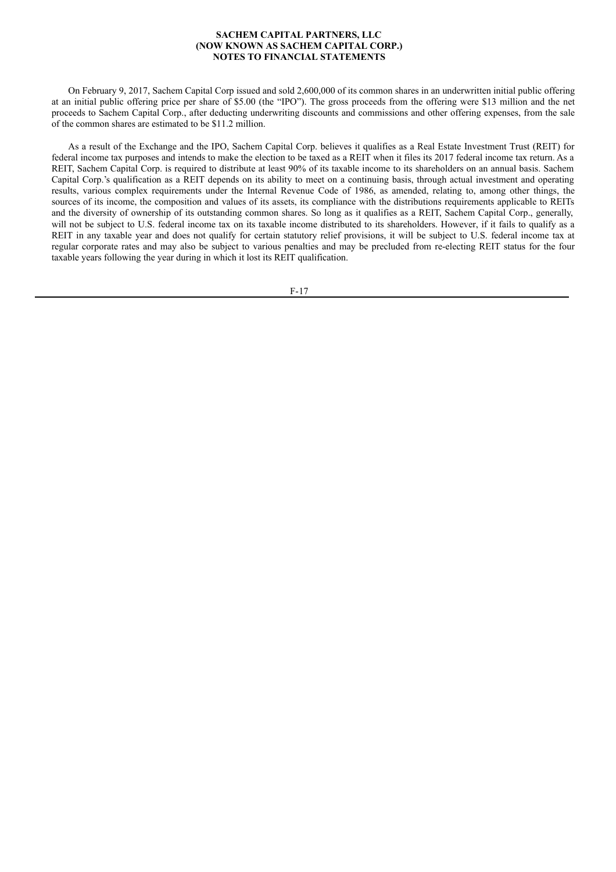On February 9, 2017, Sachem Capital Corp issued and sold 2,600,000 of its common shares in an underwritten initial public offering at an initial public offering price per share of \$5.00 (the "IPO"). The gross proceeds from the offering were \$13 million and the net proceeds to Sachem Capital Corp., after deducting underwriting discounts and commissions and other offering expenses, from the sale of the common shares are estimated to be \$11.2 million.

As a result of the Exchange and the IPO, Sachem Capital Corp. believes it qualifies as a Real Estate Investment Trust (REIT) for federal income tax purposes and intends to make the election to be taxed as a REIT when it files its 2017 federal income tax return. As a REIT, Sachem Capital Corp. is required to distribute at least 90% of its taxable income to its shareholders on an annual basis. Sachem Capital Corp.'s qualification as a REIT depends on its ability to meet on a continuing basis, through actual investment and operating results, various complex requirements under the Internal Revenue Code of 1986, as amended, relating to, among other things, the sources of its income, the composition and values of its assets, its compliance with the distributions requirements applicable to REITs and the diversity of ownership of its outstanding common shares. So long as it qualifies as a REIT, Sachem Capital Corp., generally, will not be subject to U.S. federal income tax on its taxable income distributed to its shareholders. However, if it fails to qualify as a REIT in any taxable year and does not qualify for certain statutory relief provisions, it will be subject to U.S. federal income tax at regular corporate rates and may also be subject to various penalties and may be precluded from re-electing REIT status for the four taxable years following the year during in which it lost its REIT qualification.

F-17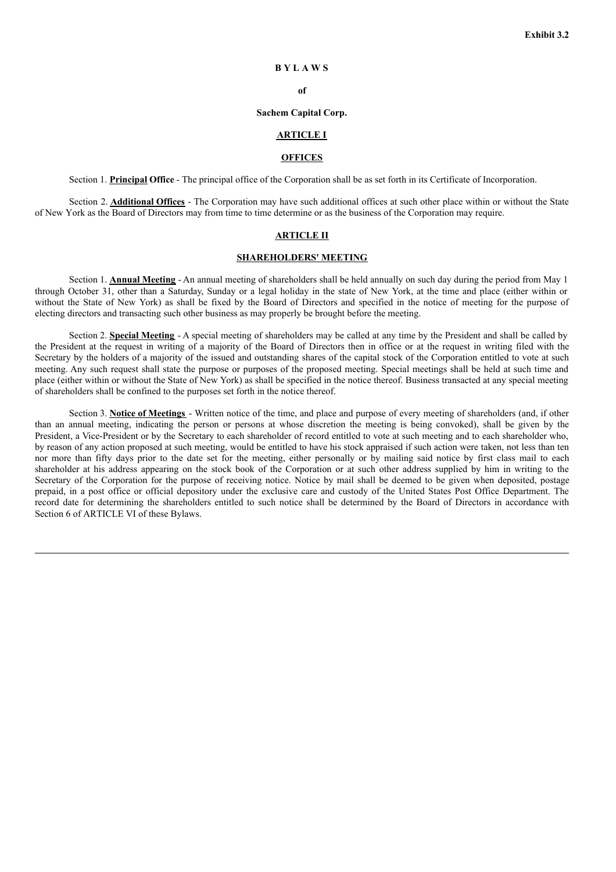## **B Y L A W S**

**of**

#### **Sachem Capital Corp.**

# **ARTICLE I**

## **OFFICES**

Section 1. **Principal Office** - The principal office of the Corporation shall be as set forth in its Certificate of Incorporation.

Section 2. **Additional Offices** - The Corporation may have such additional offices at such other place within or without the State of New York as the Board of Directors may from time to time determine or as the business of the Corporation may require.

# **ARTICLE II**

# **SHAREHOLDERS' MEETING**

Section 1. **Annual Meeting** - An annual meeting of shareholders shall be held annually on such day during the period from May 1 through October 31, other than a Saturday, Sunday or a legal holiday in the state of New York, at the time and place (either within or without the State of New York) as shall be fixed by the Board of Directors and specified in the notice of meeting for the purpose of electing directors and transacting such other business as may properly be brought before the meeting.

Section 2. **Special Meeting** - A special meeting of shareholders may be called at any time by the President and shall be called by the President at the request in writing of a majority of the Board of Directors then in office or at the request in writing filed with the Secretary by the holders of a majority of the issued and outstanding shares of the capital stock of the Corporation entitled to vote at such meeting. Any such request shall state the purpose or purposes of the proposed meeting. Special meetings shall be held at such time and place (either within or without the State of New York) as shall be specified in the notice thereof. Business transacted at any special meeting of shareholders shall be confined to the purposes set forth in the notice thereof.

Section 3. **Notice of Meetings** - Written notice of the time, and place and purpose of every meeting of shareholders (and, if other than an annual meeting, indicating the person or persons at whose discretion the meeting is being convoked), shall be given by the President, a Vice-President or by the Secretary to each shareholder of record entitled to vote at such meeting and to each shareholder who, by reason of any action proposed at such meeting, would be entitled to have his stock appraised if such action were taken, not less than ten nor more than fifty days prior to the date set for the meeting, either personally or by mailing said notice by first class mail to each shareholder at his address appearing on the stock book of the Corporation or at such other address supplied by him in writing to the Secretary of the Corporation for the purpose of receiving notice. Notice by mail shall be deemed to be given when deposited, postage prepaid, in a post office or official depository under the exclusive care and custody of the United States Post Office Department. The record date for determining the shareholders entitled to such notice shall be determined by the Board of Directors in accordance with Section 6 of ARTICLE VI of these Bylaws.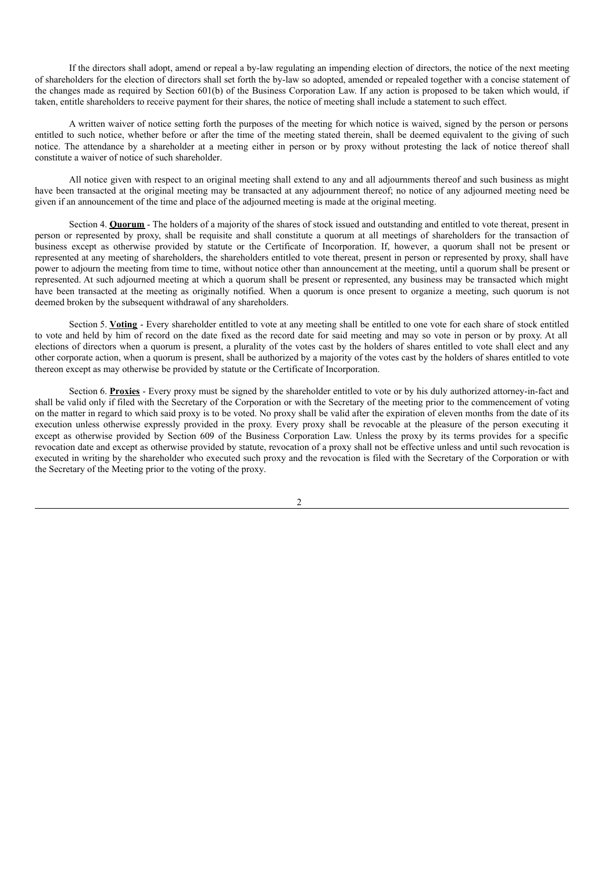If the directors shall adopt, amend or repeal a by-law regulating an impending election of directors, the notice of the next meeting of shareholders for the election of directors shall set forth the by-law so adopted, amended or repealed together with a concise statement of the changes made as required by Section 601(b) of the Business Corporation Law. If any action is proposed to be taken which would, if taken, entitle shareholders to receive payment for their shares, the notice of meeting shall include a statement to such effect.

A written waiver of notice setting forth the purposes of the meeting for which notice is waived, signed by the person or persons entitled to such notice, whether before or after the time of the meeting stated therein, shall be deemed equivalent to the giving of such notice. The attendance by a shareholder at a meeting either in person or by proxy without protesting the lack of notice thereof shall constitute a waiver of notice of such shareholder.

All notice given with respect to an original meeting shall extend to any and all adjournments thereof and such business as might have been transacted at the original meeting may be transacted at any adjournment thereof; no notice of any adjourned meeting need be given if an announcement of the time and place of the adjourned meeting is made at the original meeting.

Section 4. **Quorum** - The holders of a majority of the shares of stock issued and outstanding and entitled to vote thereat, present in person or represented by proxy, shall be requisite and shall constitute a quorum at all meetings of shareholders for the transaction of business except as otherwise provided by statute or the Certificate of Incorporation. If, however, a quorum shall not be present or represented at any meeting of shareholders, the shareholders entitled to vote thereat, present in person or represented by proxy, shall have power to adjourn the meeting from time to time, without notice other than announcement at the meeting, until a quorum shall be present or represented. At such adjourned meeting at which a quorum shall be present or represented, any business may be transacted which might have been transacted at the meeting as originally notified. When a quorum is once present to organize a meeting, such quorum is not deemed broken by the subsequent withdrawal of any shareholders.

Section 5. **Voting** - Every shareholder entitled to vote at any meeting shall be entitled to one vote for each share of stock entitled to vote and held by him of record on the date fixed as the record date for said meeting and may so vote in person or by proxy. At all elections of directors when a quorum is present, a plurality of the votes cast by the holders of shares entitled to vote shall elect and any other corporate action, when a quorum is present, shall be authorized by a majority of the votes cast by the holders of shares entitled to vote thereon except as may otherwise be provided by statute or the Certificate of Incorporation.

Section 6. **Proxies** - Every proxy must be signed by the shareholder entitled to vote or by his duly authorized attorney-in-fact and shall be valid only if filed with the Secretary of the Corporation or with the Secretary of the meeting prior to the commencement of voting on the matter in regard to which said proxy is to be voted. No proxy shall be valid after the expiration of eleven months from the date of its execution unless otherwise expressly provided in the proxy. Every proxy shall be revocable at the pleasure of the person executing it except as otherwise provided by Section 609 of the Business Corporation Law. Unless the proxy by its terms provides for a specific revocation date and except as otherwise provided by statute, revocation of a proxy shall not be effective unless and until such revocation is executed in writing by the shareholder who executed such proxy and the revocation is filed with the Secretary of the Corporation or with the Secretary of the Meeting prior to the voting of the proxy.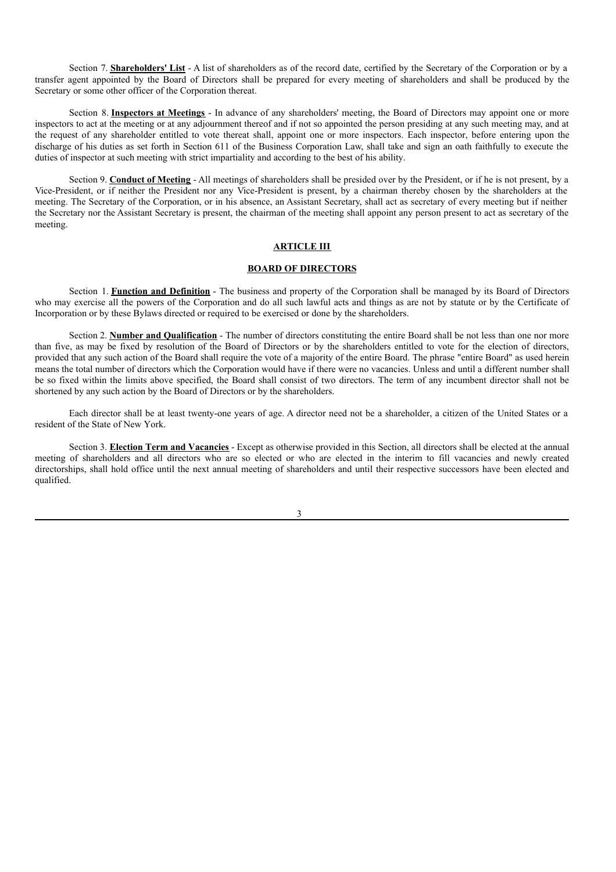Section 7. **Shareholders' List** - A list of shareholders as of the record date, certified by the Secretary of the Corporation or by a transfer agent appointed by the Board of Directors shall be prepared for every meeting of shareholders and shall be produced by the Secretary or some other officer of the Corporation thereat.

Section 8. **Inspectors at Meetings** - In advance of any shareholders' meeting, the Board of Directors may appoint one or more inspectors to act at the meeting or at any adjournment thereof and if not so appointed the person presiding at any such meeting may, and at the request of any shareholder entitled to vote thereat shall, appoint one or more inspectors. Each inspector, before entering upon the discharge of his duties as set forth in Section 611 of the Business Corporation Law, shall take and sign an oath faithfully to execute the duties of inspector at such meeting with strict impartiality and according to the best of his ability.

Section 9. **Conduct of Meeting** - All meetings of shareholders shall be presided over by the President, or if he is not present, by a Vice-President, or if neither the President nor any Vice-President is present, by a chairman thereby chosen by the shareholders at the meeting. The Secretary of the Corporation, or in his absence, an Assistant Secretary, shall act as secretary of every meeting but if neither the Secretary nor the Assistant Secretary is present, the chairman of the meeting shall appoint any person present to act as secretary of the meeting.

# **ARTICLE III**

# **BOARD OF DIRECTORS**

Section 1. **Function and Definition** - The business and property of the Corporation shall be managed by its Board of Directors who may exercise all the powers of the Corporation and do all such lawful acts and things as are not by statute or by the Certificate of Incorporation or by these Bylaws directed or required to be exercised or done by the shareholders.

Section 2. **Number and Qualification** - The number of directors constituting the entire Board shall be not less than one nor more than five, as may be fixed by resolution of the Board of Directors or by the shareholders entitled to vote for the election of directors, provided that any such action of the Board shall require the vote of a majority of the entire Board. The phrase "entire Board" as used herein means the total number of directors which the Corporation would have if there were no vacancies. Unless and until a different number shall be so fixed within the limits above specified, the Board shall consist of two directors. The term of any incumbent director shall not be shortened by any such action by the Board of Directors or by the shareholders.

Each director shall be at least twenty-one years of age. A director need not be a shareholder, a citizen of the United States or a resident of the State of New York.

Section 3. **Election Term and Vacancies** - Except as otherwise provided in this Section, all directors shall be elected at the annual meeting of shareholders and all directors who are so elected or who are elected in the interim to fill vacancies and newly created directorships, shall hold office until the next annual meeting of shareholders and until their respective successors have been elected and qualified.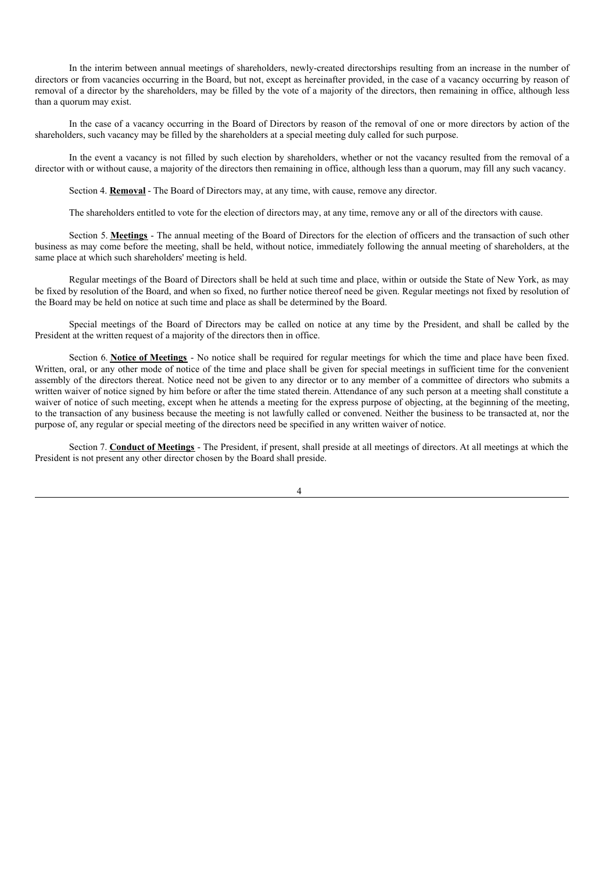In the interim between annual meetings of shareholders, newly-created directorships resulting from an increase in the number of directors or from vacancies occurring in the Board, but not, except as hereinafter provided, in the case of a vacancy occurring by reason of removal of a director by the shareholders, may be filled by the vote of a majority of the directors, then remaining in office, although less than a quorum may exist.

In the case of a vacancy occurring in the Board of Directors by reason of the removal of one or more directors by action of the shareholders, such vacancy may be filled by the shareholders at a special meeting duly called for such purpose.

In the event a vacancy is not filled by such election by shareholders, whether or not the vacancy resulted from the removal of a director with or without cause, a majority of the directors then remaining in office, although less than a quorum, may fill any such vacancy.

Section 4. **Removal** - The Board of Directors may, at any time, with cause, remove any director.

The shareholders entitled to vote for the election of directors may, at any time, remove any or all of the directors with cause.

Section 5. **Meetings** - The annual meeting of the Board of Directors for the election of officers and the transaction of such other business as may come before the meeting, shall be held, without notice, immediately following the annual meeting of shareholders, at the same place at which such shareholders' meeting is held.

Regular meetings of the Board of Directors shall be held at such time and place, within or outside the State of New York, as may be fixed by resolution of the Board, and when so fixed, no further notice thereof need be given. Regular meetings not fixed by resolution of the Board may be held on notice at such time and place as shall be determined by the Board.

Special meetings of the Board of Directors may be called on notice at any time by the President, and shall be called by the President at the written request of a majority of the directors then in office.

Section 6. **Notice of Meetings** - No notice shall be required for regular meetings for which the time and place have been fixed. Written, oral, or any other mode of notice of the time and place shall be given for special meetings in sufficient time for the convenient assembly of the directors thereat. Notice need not be given to any director or to any member of a committee of directors who submits a written waiver of notice signed by him before or after the time stated therein. Attendance of any such person at a meeting shall constitute a waiver of notice of such meeting, except when he attends a meeting for the express purpose of objecting, at the beginning of the meeting, to the transaction of any business because the meeting is not lawfully called or convened. Neither the business to be transacted at, nor the purpose of, any regular or special meeting of the directors need be specified in any written waiver of notice.

Section 7. **Conduct of Meetings** - The President, if present, shall preside at all meetings of directors. At all meetings at which the President is not present any other director chosen by the Board shall preside.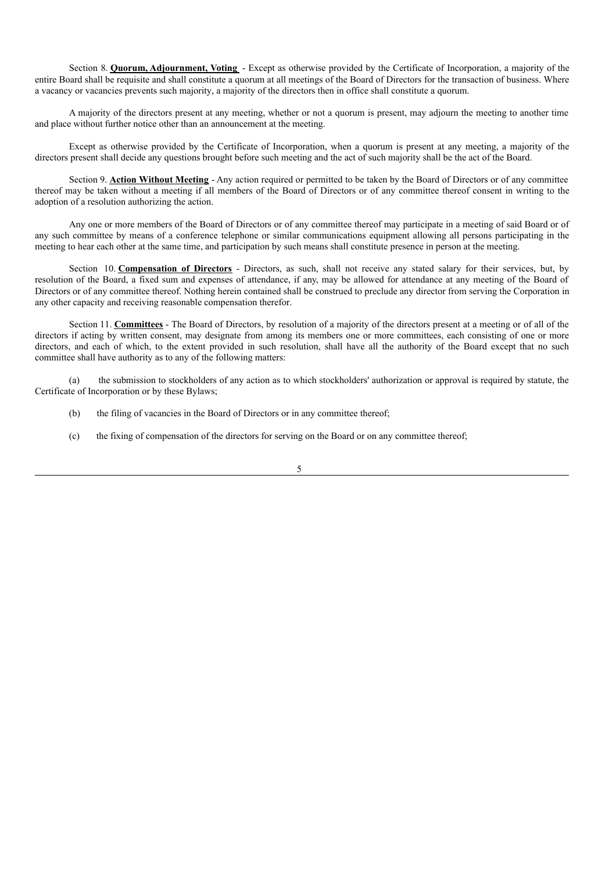Section 8. **Quorum, Adjournment, Voting** - Except as otherwise provided by the Certificate of Incorporation, a majority of the entire Board shall be requisite and shall constitute a quorum at all meetings of the Board of Directors for the transaction of business. Where a vacancy or vacancies prevents such majority, a majority of the directors then in office shall constitute a quorum.

A majority of the directors present at any meeting, whether or not a quorum is present, may adjourn the meeting to another time and place without further notice other than an announcement at the meeting.

Except as otherwise provided by the Certificate of Incorporation, when a quorum is present at any meeting, a majority of the directors present shall decide any questions brought before such meeting and the act of such majority shall be the act of the Board.

Section 9. **Action Without Meeting** - Any action required or permitted to be taken by the Board of Directors or of any committee thereof may be taken without a meeting if all members of the Board of Directors or of any committee thereof consent in writing to the adoption of a resolution authorizing the action.

Any one or more members of the Board of Directors or of any committee thereof may participate in a meeting of said Board or of any such committee by means of a conference telephone or similar communications equipment allowing all persons participating in the meeting to hear each other at the same time, and participation by such means shall constitute presence in person at the meeting.

Section 10. **Compensation of Directors** - Directors, as such, shall not receive any stated salary for their services, but, by resolution of the Board, a fixed sum and expenses of attendance, if any, may be allowed for attendance at any meeting of the Board of Directors or of any committee thereof. Nothing herein contained shall be construed to preclude any director from serving the Corporation in any other capacity and receiving reasonable compensation therefor.

Section 11. **Committees** - The Board of Directors, by resolution of a majority of the directors present at a meeting or of all of the directors if acting by written consent, may designate from among its members one or more committees, each consisting of one or more directors, and each of which, to the extent provided in such resolution, shall have all the authority of the Board except that no such committee shall have authority as to any of the following matters:

(a) the submission to stockholders of any action as to which stockholders' authorization or approval is required by statute, the Certificate of Incorporation or by these Bylaws;

- (b) the filing of vacancies in the Board of Directors or in any committee thereof;
- (c) the fixing of compensation of the directors for serving on the Board or on any committee thereof;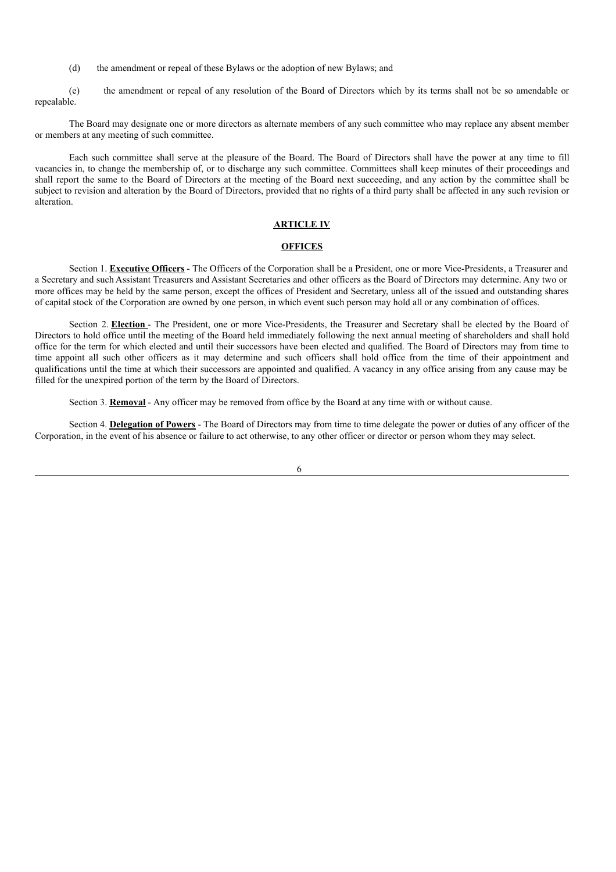(d) the amendment or repeal of these Bylaws or the adoption of new Bylaws; and

(e) the amendment or repeal of any resolution of the Board of Directors which by its terms shall not be so amendable or repealable.

The Board may designate one or more directors as alternate members of any such committee who may replace any absent member or members at any meeting of such committee.

Each such committee shall serve at the pleasure of the Board. The Board of Directors shall have the power at any time to fill vacancies in, to change the membership of, or to discharge any such committee. Committees shall keep minutes of their proceedings and shall report the same to the Board of Directors at the meeting of the Board next succeeding, and any action by the committee shall be subject to revision and alteration by the Board of Directors, provided that no rights of a third party shall be affected in any such revision or alteration.

# **ARTICLE IV**

#### **OFFICES**

Section 1. **Executive Officers** - The Officers of the Corporation shall be a President, one or more Vice-Presidents, a Treasurer and a Secretary and such Assistant Treasurers and Assistant Secretaries and other officers as the Board of Directors may determine. Any two or more offices may be held by the same person, except the offices of President and Secretary, unless all of the issued and outstanding shares of capital stock of the Corporation are owned by one person, in which event such person may hold all or any combination of offices.

Section 2. **Election** - The President, one or more Vice-Presidents, the Treasurer and Secretary shall be elected by the Board of Directors to hold office until the meeting of the Board held immediately following the next annual meeting of shareholders and shall hold office for the term for which elected and until their successors have been elected and qualified. The Board of Directors may from time to time appoint all such other officers as it may determine and such officers shall hold office from the time of their appointment and qualifications until the time at which their successors are appointed and qualified. A vacancy in any office arising from any cause may be filled for the unexpired portion of the term by the Board of Directors.

Section 3. **Removal** - Any officer may be removed from office by the Board at any time with or without cause.

Section 4. **Delegation of Powers** - The Board of Directors may from time to time delegate the power or duties of any officer of the Corporation, in the event of his absence or failure to act otherwise, to any other officer or director or person whom they may select.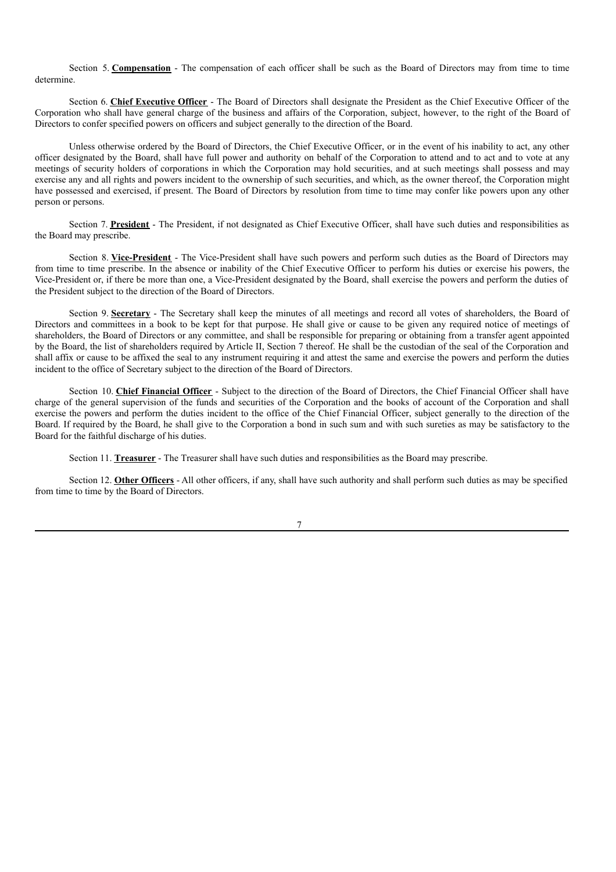Section 5. **Compensation** - The compensation of each officer shall be such as the Board of Directors may from time to time determine.

Section 6. **Chief Executive Officer** - The Board of Directors shall designate the President as the Chief Executive Officer of the Corporation who shall have general charge of the business and affairs of the Corporation, subject, however, to the right of the Board of Directors to confer specified powers on officers and subject generally to the direction of the Board.

Unless otherwise ordered by the Board of Directors, the Chief Executive Officer, or in the event of his inability to act, any other officer designated by the Board, shall have full power and authority on behalf of the Corporation to attend and to act and to vote at any meetings of security holders of corporations in which the Corporation may hold securities, and at such meetings shall possess and may exercise any and all rights and powers incident to the ownership of such securities, and which, as the owner thereof, the Corporation might have possessed and exercised, if present. The Board of Directors by resolution from time to time may confer like powers upon any other person or persons.

Section 7. President - The President, if not designated as Chief Executive Officer, shall have such duties and responsibilities as the Board may prescribe.

Section 8. Vice-President - The Vice-President shall have such powers and perform such duties as the Board of Directors may from time to time prescribe. In the absence or inability of the Chief Executive Officer to perform his duties or exercise his powers, the Vice-President or, if there be more than one, a Vice-President designated by the Board, shall exercise the powers and perform the duties of the President subject to the direction of the Board of Directors.

Section 9. **Secretary** - The Secretary shall keep the minutes of all meetings and record all votes of shareholders, the Board of Directors and committees in a book to be kept for that purpose. He shall give or cause to be given any required notice of meetings of shareholders, the Board of Directors or any committee, and shall be responsible for preparing or obtaining from a transfer agent appointed by the Board, the list of shareholders required by Article II, Section 7 thereof. He shall be the custodian of the seal of the Corporation and shall affix or cause to be affixed the seal to any instrument requiring it and attest the same and exercise the powers and perform the duties incident to the office of Secretary subject to the direction of the Board of Directors.

Section 10. **Chief Financial Officer** - Subject to the direction of the Board of Directors, the Chief Financial Officer shall have charge of the general supervision of the funds and securities of the Corporation and the books of account of the Corporation and shall exercise the powers and perform the duties incident to the office of the Chief Financial Officer, subject generally to the direction of the Board. If required by the Board, he shall give to the Corporation a bond in such sum and with such sureties as may be satisfactory to the Board for the faithful discharge of his duties.

Section 11. **Treasurer** - The Treasurer shall have such duties and responsibilities as the Board may prescribe.

Section 12. **Other Officers** - All other officers, if any, shall have such authority and shall perform such duties as may be specified from time to time by the Board of Directors.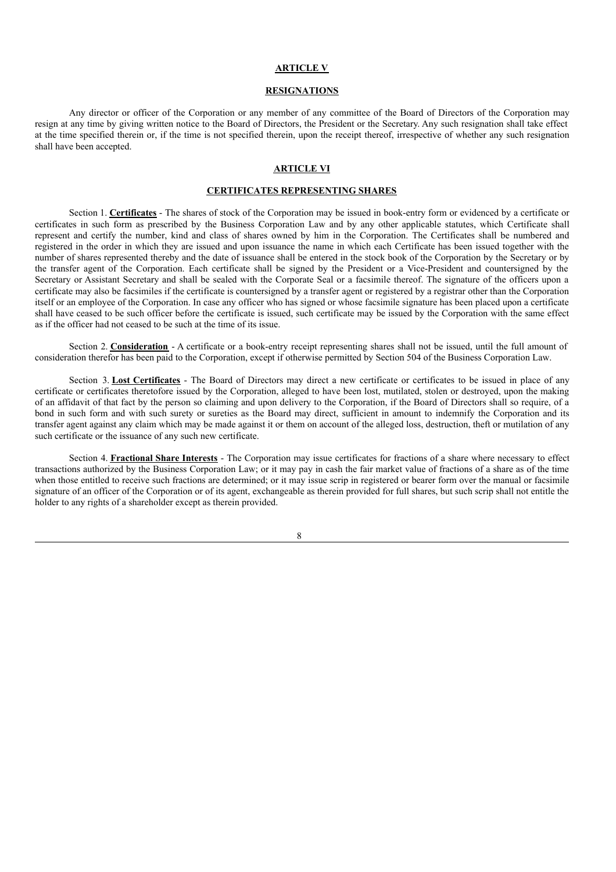# **ARTICLE V**

# **RESIGNATIONS**

Any director or officer of the Corporation or any member of any committee of the Board of Directors of the Corporation may resign at any time by giving written notice to the Board of Directors, the President or the Secretary. Any such resignation shall take effect at the time specified therein or, if the time is not specified therein, upon the receipt thereof, irrespective of whether any such resignation shall have been accepted.

# **ARTICLE VI**

# **CERTIFICATES REPRESENTING SHARES**

Section 1. **Certificates** - The shares of stock of the Corporation may be issued in book-entry form or evidenced by a certificate or certificates in such form as prescribed by the Business Corporation Law and by any other applicable statutes, which Certificate shall represent and certify the number, kind and class of shares owned by him in the Corporation. The Certificates shall be numbered and registered in the order in which they are issued and upon issuance the name in which each Certificate has been issued together with the number of shares represented thereby and the date of issuance shall be entered in the stock book of the Corporation by the Secretary or by the transfer agent of the Corporation. Each certificate shall be signed by the President or a Vice-President and countersigned by the Secretary or Assistant Secretary and shall be sealed with the Corporate Seal or a facsimile thereof. The signature of the officers upon a certificate may also be facsimiles if the certificate is countersigned by a transfer agent or registered by a registrar other than the Corporation itself or an employee of the Corporation. In case any officer who has signed or whose facsimile signature has been placed upon a certificate shall have ceased to be such officer before the certificate is issued, such certificate may be issued by the Corporation with the same effect as if the officer had not ceased to be such at the time of its issue.

Section 2. **Consideration** - A certificate or a book-entry receipt representing shares shall not be issued, until the full amount of consideration therefor has been paid to the Corporation, except if otherwise permitted by Section 504 of the Business Corporation Law.

Section 3. **Lost Certificates** - The Board of Directors may direct a new certificate or certificates to be issued in place of any certificate or certificates theretofore issued by the Corporation, alleged to have been lost, mutilated, stolen or destroyed, upon the making of an affidavit of that fact by the person so claiming and upon delivery to the Corporation, if the Board of Directors shall so require, of a bond in such form and with such surety or sureties as the Board may direct, sufficient in amount to indemnify the Corporation and its transfer agent against any claim which may be made against it or them on account of the alleged loss, destruction, theft or mutilation of any such certificate or the issuance of any such new certificate.

Section 4. **Fractional Share Interests** - The Corporation may issue certificates for fractions of a share where necessary to effect transactions authorized by the Business Corporation Law; or it may pay in cash the fair market value of fractions of a share as of the time when those entitled to receive such fractions are determined; or it may issue scrip in registered or bearer form over the manual or facsimile signature of an officer of the Corporation or of its agent, exchangeable as therein provided for full shares, but such scrip shall not entitle the holder to any rights of a shareholder except as therein provided.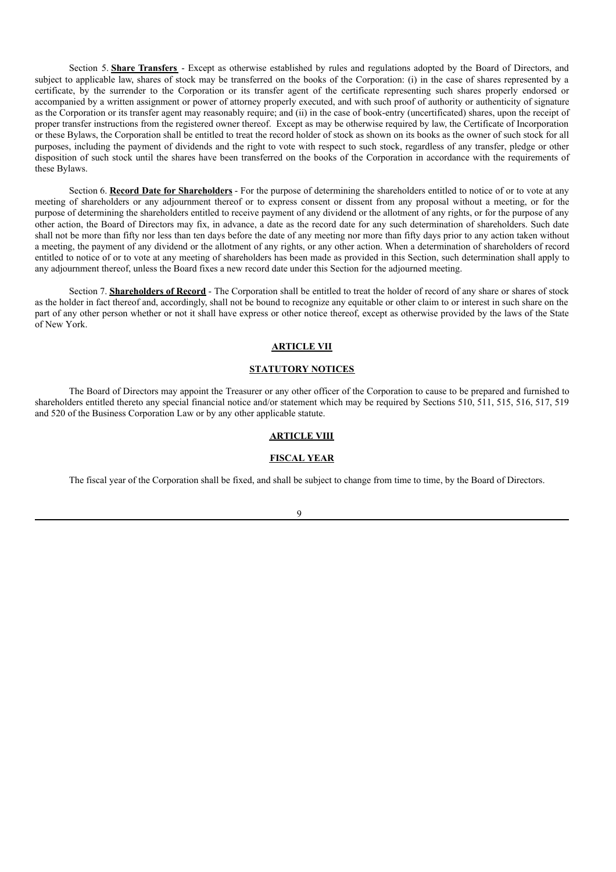Section 5. **Share Transfers** - Except as otherwise established by rules and regulations adopted by the Board of Directors, and subject to applicable law, shares of stock may be transferred on the books of the Corporation: (i) in the case of shares represented by a certificate, by the surrender to the Corporation or its transfer agent of the certificate representing such shares properly endorsed or accompanied by a written assignment or power of attorney properly executed, and with such proof of authority or authenticity of signature as the Corporation or its transfer agent may reasonably require; and (ii) in the case of book-entry (uncertificated) shares, upon the receipt of proper transfer instructions from the registered owner thereof. Except as may be otherwise required by law, the Certificate of Incorporation or these Bylaws, the Corporation shall be entitled to treat the record holder of stock as shown on its books as the owner of such stock for all purposes, including the payment of dividends and the right to vote with respect to such stock, regardless of any transfer, pledge or other disposition of such stock until the shares have been transferred on the books of the Corporation in accordance with the requirements of these Bylaws.

Section 6. **Record Date for Shareholders** - For the purpose of determining the shareholders entitled to notice of or to vote at any meeting of shareholders or any adjournment thereof or to express consent or dissent from any proposal without a meeting, or for the purpose of determining the shareholders entitled to receive payment of any dividend or the allotment of any rights, or for the purpose of any other action, the Board of Directors may fix, in advance, a date as the record date for any such determination of shareholders. Such date shall not be more than fifty nor less than ten days before the date of any meeting nor more than fifty days prior to any action taken without a meeting, the payment of any dividend or the allotment of any rights, or any other action. When a determination of shareholders of record entitled to notice of or to vote at any meeting of shareholders has been made as provided in this Section, such determination shall apply to any adjournment thereof, unless the Board fixes a new record date under this Section for the adjourned meeting.

Section 7. **Shareholders of Record** - The Corporation shall be entitled to treat the holder of record of any share or shares of stock as the holder in fact thereof and, accordingly, shall not be bound to recognize any equitable or other claim to or interest in such share on the part of any other person whether or not it shall have express or other notice thereof, except as otherwise provided by the laws of the State of New York.

# **ARTICLE VII**

### **STATUTORY NOTICES**

The Board of Directors may appoint the Treasurer or any other officer of the Corporation to cause to be prepared and furnished to shareholders entitled thereto any special financial notice and/or statement which may be required by Sections 510, 511, 515, 516, 517, 519 and 520 of the Business Corporation Law or by any other applicable statute.

### **ARTICLE VIII**

### **FISCAL YEAR**

The fiscal year of the Corporation shall be fixed, and shall be subject to change from time to time, by the Board of Directors.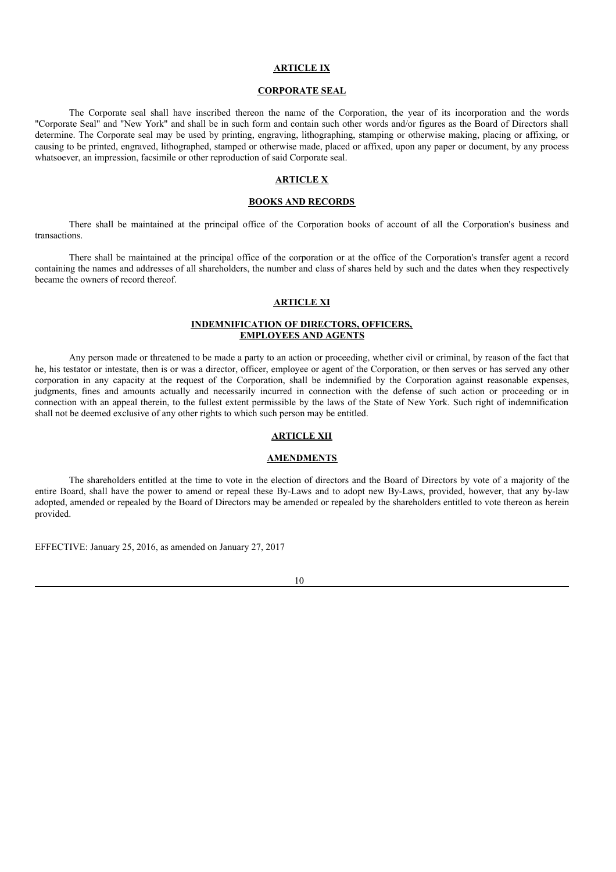### **ARTICLE IX**

# **CORPORATE SEAL**

The Corporate seal shall have inscribed thereon the name of the Corporation, the year of its incorporation and the words "Corporate Seal" and "New York" and shall be in such form and contain such other words and/or figures as the Board of Directors shall determine. The Corporate seal may be used by printing, engraving, lithographing, stamping or otherwise making, placing or affixing, or causing to be printed, engraved, lithographed, stamped or otherwise made, placed or affixed, upon any paper or document, by any process whatsoever, an impression, facsimile or other reproduction of said Corporate seal.

### **ARTICLE X**

## **BOOKS AND RECORDS**

There shall be maintained at the principal office of the Corporation books of account of all the Corporation's business and transactions.

There shall be maintained at the principal office of the corporation or at the office of the Corporation's transfer agent a record containing the names and addresses of all shareholders, the number and class of shares held by such and the dates when they respectively became the owners of record thereof.

# **ARTICLE XI**

# **INDEMNIFICATION OF DIRECTORS, OFFICERS, EMPLOYEES AND AGENTS**

Any person made or threatened to be made a party to an action or proceeding, whether civil or criminal, by reason of the fact that he, his testator or intestate, then is or was a director, officer, employee or agent of the Corporation, or then serves or has served any other corporation in any capacity at the request of the Corporation, shall be indemnified by the Corporation against reasonable expenses, judgments, fines and amounts actually and necessarily incurred in connection with the defense of such action or proceeding or in connection with an appeal therein, to the fullest extent permissible by the laws of the State of New York. Such right of indemnification shall not be deemed exclusive of any other rights to which such person may be entitled.

# **ARTICLE XII**

### **AMENDMENTS**

The shareholders entitled at the time to vote in the election of directors and the Board of Directors by vote of a majority of the entire Board, shall have the power to amend or repeal these By-Laws and to adopt new By-Laws, provided, however, that any by-law adopted, amended or repealed by the Board of Directors may be amended or repealed by the shareholders entitled to vote thereon as herein provided.

EFFECTIVE: January 25, 2016, as amended on January 27, 2017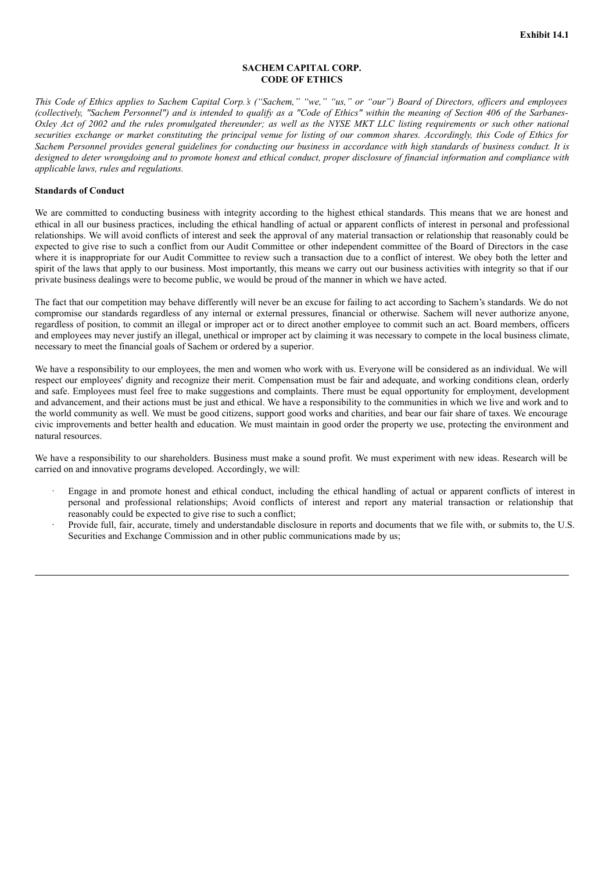# **SACHEM CAPITAL CORP. CODE OF ETHICS**

This Code of Ethics applies to Sachem Capital Corp.'s ("Sachem," "we," "us," or "our") Board of Directors, officers and employees (collectively, "Sachem Personnel") and is intended to qualify as a "Code of Ethics" within the meaning of Section 406 of the Sarbanes-Oxley Act of 2002 and the rules promulgated thereunder; as well as the NYSE MKT LLC listing requirements or such other national securities exchange or market constituting the principal venue for listing of our common shares. Accordingly, this Code of Ethics for Sachem Personnel provides general guidelines for conducting our business in accordance with high standards of business conduct. It is designed to deter wrongdoing and to promote honest and ethical conduct, proper disclosure of financial information and compliance with *applicable laws, rules and regulations.*

### **Standards of Conduct**

We are committed to conducting business with integrity according to the highest ethical standards. This means that we are honest and ethical in all our business practices, including the ethical handling of actual or apparent conflicts of interest in personal and professional relationships. We will avoid conflicts of interest and seek the approval of any material transaction or relationship that reasonably could be expected to give rise to such a conflict from our Audit Committee or other independent committee of the Board of Directors in the case where it is inappropriate for our Audit Committee to review such a transaction due to a conflict of interest. We obey both the letter and spirit of the laws that apply to our business. Most importantly, this means we carry out our business activities with integrity so that if our private business dealings were to become public, we would be proud of the manner in which we have acted.

The fact that our competition may behave differently will never be an excuse for failing to act according to Sachem's standards. We do not compromise our standards regardless of any internal or external pressures, financial or otherwise. Sachem will never authorize anyone, regardless of position, to commit an illegal or improper act or to direct another employee to commit such an act. Board members, officers and employees may never justify an illegal, unethical or improper act by claiming it was necessary to compete in the local business climate, necessary to meet the financial goals of Sachem or ordered by a superior.

We have a responsibility to our employees, the men and women who work with us. Everyone will be considered as an individual. We will respect our employees' dignity and recognize their merit. Compensation must be fair and adequate, and working conditions clean, orderly and safe. Employees must feel free to make suggestions and complaints. There must be equal opportunity for employment, development and advancement, and their actions must be just and ethical. We have a responsibility to the communities in which we live and work and to the world community as well. We must be good citizens, support good works and charities, and bear our fair share of taxes. We encourage civic improvements and better health and education. We must maintain in good order the property we use, protecting the environment and natural resources.

We have a responsibility to our shareholders. Business must make a sound profit. We must experiment with new ideas. Research will be carried on and innovative programs developed. Accordingly, we will:

- · Engage in and promote honest and ethical conduct, including the ethical handling of actual or apparent conflicts of interest in personal and professional relationships; Avoid conflicts of interest and report any material transaction or relationship that reasonably could be expected to give rise to such a conflict;
- Provide full, fair, accurate, timely and understandable disclosure in reports and documents that we file with, or submits to, the U.S. Securities and Exchange Commission and in other public communications made by us;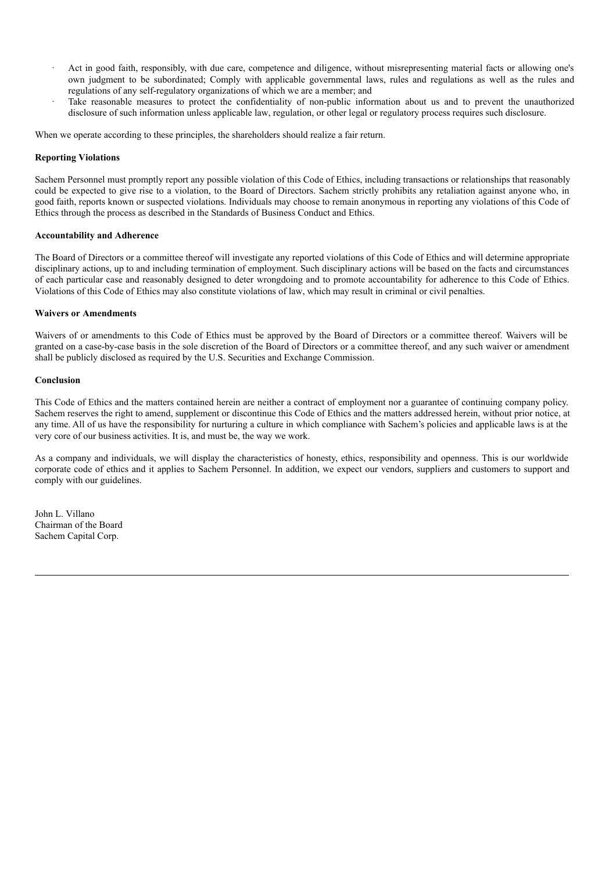- Act in good faith, responsibly, with due care, competence and diligence, without misrepresenting material facts or allowing one's own judgment to be subordinated; Comply with applicable governmental laws, rules and regulations as well as the rules and regulations of any self-regulatory organizations of which we are a member; and
- Take reasonable measures to protect the confidentiality of non-public information about us and to prevent the unauthorized disclosure of such information unless applicable law, regulation, or other legal or regulatory process requires such disclosure.

When we operate according to these principles, the shareholders should realize a fair return.

# **Reporting Violations**

Sachem Personnel must promptly report any possible violation of this Code of Ethics, including transactions or relationships that reasonably could be expected to give rise to a violation, to the Board of Directors. Sachem strictly prohibits any retaliation against anyone who, in good faith, reports known or suspected violations. Individuals may choose to remain anonymous in reporting any violations of this Code of Ethics through the process as described in the Standards of Business Conduct and Ethics.

## **Accountability and Adherence**

The Board of Directors or a committee thereof will investigate any reported violations of this Code of Ethics and will determine appropriate disciplinary actions, up to and including termination of employment. Such disciplinary actions will be based on the facts and circumstances of each particular case and reasonably designed to deter wrongdoing and to promote accountability for adherence to this Code of Ethics. Violations of this Code of Ethics may also constitute violations of law, which may result in criminal or civil penalties.

## **Waivers or Amendments**

Waivers of or amendments to this Code of Ethics must be approved by the Board of Directors or a committee thereof. Waivers will be granted on a case-by-case basis in the sole discretion of the Board of Directors or a committee thereof, and any such waiver or amendment shall be publicly disclosed as required by the U.S. Securities and Exchange Commission.

## **Conclusion**

This Code of Ethics and the matters contained herein are neither a contract of employment nor a guarantee of continuing company policy. Sachem reserves the right to amend, supplement or discontinue this Code of Ethics and the matters addressed herein, without prior notice, at any time. All of us have the responsibility for nurturing a culture in which compliance with Sachem's policies and applicable laws is at the very core of our business activities. It is, and must be, the way we work.

As a company and individuals, we will display the characteristics of honesty, ethics, responsibility and openness. This is our worldwide corporate code of ethics and it applies to Sachem Personnel. In addition, we expect our vendors, suppliers and customers to support and comply with our guidelines.

John L. Villano Chairman of the Board Sachem Capital Corp.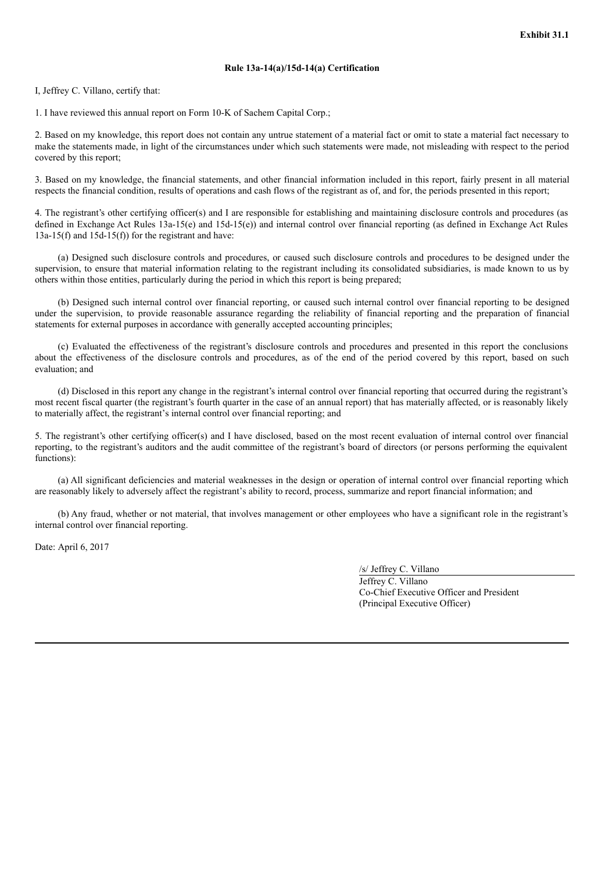# **Rule 13a-14(a)/15d-14(a) Certification**

I, Jeffrey C. Villano, certify that:

1. I have reviewed this annual report on Form 10-K of Sachem Capital Corp.;

2. Based on my knowledge, this report does not contain any untrue statement of a material fact or omit to state a material fact necessary to make the statements made, in light of the circumstances under which such statements were made, not misleading with respect to the period covered by this report;

3. Based on my knowledge, the financial statements, and other financial information included in this report, fairly present in all material respects the financial condition, results of operations and cash flows of the registrant as of, and for, the periods presented in this report;

4. The registrant's other certifying officer(s) and I are responsible for establishing and maintaining disclosure controls and procedures (as defined in Exchange Act Rules 13a-15(e) and 15d-15(e)) and internal control over financial reporting (as defined in Exchange Act Rules 13a-15(f) and 15d-15(f)) for the registrant and have:

(a) Designed such disclosure controls and procedures, or caused such disclosure controls and procedures to be designed under the supervision, to ensure that material information relating to the registrant including its consolidated subsidiaries, is made known to us by others within those entities, particularly during the period in which this report is being prepared;

(b) Designed such internal control over financial reporting, or caused such internal control over financial reporting to be designed under the supervision, to provide reasonable assurance regarding the reliability of financial reporting and the preparation of financial statements for external purposes in accordance with generally accepted accounting principles;

(c) Evaluated the effectiveness of the registrant's disclosure controls and procedures and presented in this report the conclusions about the effectiveness of the disclosure controls and procedures, as of the end of the period covered by this report, based on such evaluation; and

(d) Disclosed in this report any change in the registrant's internal control over financial reporting that occurred during the registrant's most recent fiscal quarter (the registrant's fourth quarter in the case of an annual report) that has materially affected, or is reasonably likely to materially affect, the registrant's internal control over financial reporting; and

5. The registrant's other certifying officer(s) and I have disclosed, based on the most recent evaluation of internal control over financial reporting, to the registrant's auditors and the audit committee of the registrant's board of directors (or persons performing the equivalent functions):

(a) All significant deficiencies and material weaknesses in the design or operation of internal control over financial reporting which are reasonably likely to adversely affect the registrant's ability to record, process, summarize and report financial information; and

(b) Any fraud, whether or not material, that involves management or other employees who have a significant role in the registrant's internal control over financial reporting.

Date: April 6, 2017

/s/ Jeffrey C. Villano

Jeffrey C. Villano Co-Chief Executive Officer and President (Principal Executive Officer)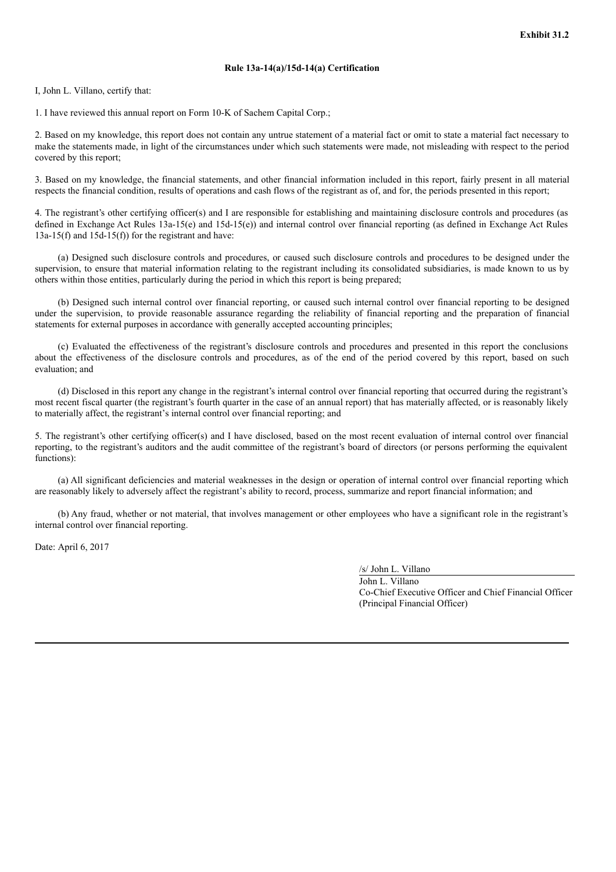### **Rule 13a-14(a)/15d-14(a) Certification**

I, John L. Villano, certify that:

1. I have reviewed this annual report on Form 10-K of Sachem Capital Corp.;

2. Based on my knowledge, this report does not contain any untrue statement of a material fact or omit to state a material fact necessary to make the statements made, in light of the circumstances under which such statements were made, not misleading with respect to the period covered by this report;

3. Based on my knowledge, the financial statements, and other financial information included in this report, fairly present in all material respects the financial condition, results of operations and cash flows of the registrant as of, and for, the periods presented in this report;

4. The registrant's other certifying officer(s) and I are responsible for establishing and maintaining disclosure controls and procedures (as defined in Exchange Act Rules 13a-15(e) and 15d-15(e)) and internal control over financial reporting (as defined in Exchange Act Rules  $13a-15(f)$  and  $15d-15(f)$  for the registrant and have:

(a) Designed such disclosure controls and procedures, or caused such disclosure controls and procedures to be designed under the supervision, to ensure that material information relating to the registrant including its consolidated subsidiaries, is made known to us by others within those entities, particularly during the period in which this report is being prepared;

(b) Designed such internal control over financial reporting, or caused such internal control over financial reporting to be designed under the supervision, to provide reasonable assurance regarding the reliability of financial reporting and the preparation of financial statements for external purposes in accordance with generally accepted accounting principles;

(c) Evaluated the effectiveness of the registrant's disclosure controls and procedures and presented in this report the conclusions about the effectiveness of the disclosure controls and procedures, as of the end of the period covered by this report, based on such evaluation; and

(d) Disclosed in this report any change in the registrant's internal control over financial reporting that occurred during the registrant's most recent fiscal quarter (the registrant's fourth quarter in the case of an annual report) that has materially affected, or is reasonably likely to materially affect, the registrant's internal control over financial reporting; and

5. The registrant's other certifying officer(s) and I have disclosed, based on the most recent evaluation of internal control over financial reporting, to the registrant's auditors and the audit committee of the registrant's board of directors (or persons performing the equivalent functions):

(a) All significant deficiencies and material weaknesses in the design or operation of internal control over financial reporting which are reasonably likely to adversely affect the registrant's ability to record, process, summarize and report financial information; and

(b) Any fraud, whether or not material, that involves management or other employees who have a significant role in the registrant's internal control over financial reporting.

Date: April 6, 2017

/s/ John L. Villano

John L. Villano Co-Chief Executive Officer and Chief Financial Officer (Principal Financial Officer)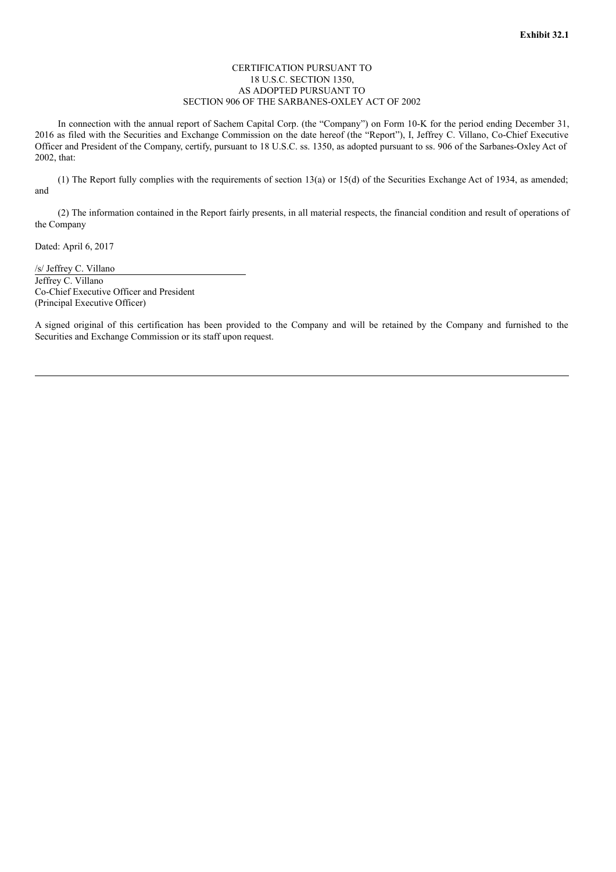# CERTIFICATION PURSUANT TO 18 U.S.C. SECTION 1350, AS ADOPTED PURSUANT TO SECTION 906 OF THE SARBANES-OXLEY ACT OF 2002

In connection with the annual report of Sachem Capital Corp. (the "Company") on Form 10-K for the period ending December 31, 2016 as filed with the Securities and Exchange Commission on the date hereof (the "Report"), I, Jeffrey C. Villano, Co-Chief Executive Officer and President of the Company, certify, pursuant to 18 U.S.C. ss. 1350, as adopted pursuant to ss. 906 of the Sarbanes-Oxley Act of 2002, that:

(1) The Report fully complies with the requirements of section 13(a) or 15(d) of the Securities Exchange Act of 1934, as amended; and

(2) The information contained in the Report fairly presents, in all material respects, the financial condition and result of operations of the Company

Dated: April 6, 2017

/s/ Jeffrey C. Villano Jeffrey C. Villano Co-Chief Executive Officer and President (Principal Executive Officer)

A signed original of this certification has been provided to the Company and will be retained by the Company and furnished to the Securities and Exchange Commission or its staff upon request.